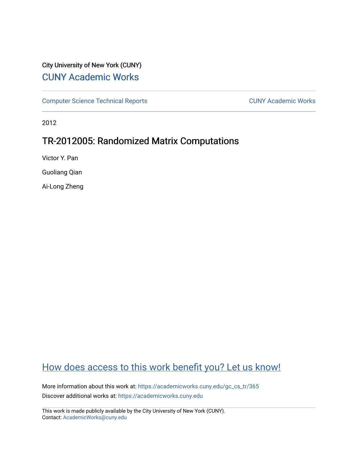# City University of New York (CUNY) [CUNY Academic Works](https://academicworks.cuny.edu/)

[Computer Science Technical Reports](https://academicworks.cuny.edu/gc_cs_tr) **CUNY Academic Works** CUNY Academic Works

2012

# TR-2012005: Randomized Matrix Computations

Victor Y. Pan

Guoliang Qian

Ai-Long Zheng

# [How does access to this work benefit you? Let us know!](http://ols.cuny.edu/academicworks/?ref=https://academicworks.cuny.edu/gc_cs_tr/365)

More information about this work at: https://academicworks.cuny.edu/gc\_cs\_tr/365 Discover additional works at: [https://academicworks.cuny.edu](https://academicworks.cuny.edu/?)

This work is made publicly available by the City University of New York (CUNY). Contact: [AcademicWorks@cuny.edu](mailto:AcademicWorks@cuny.edu)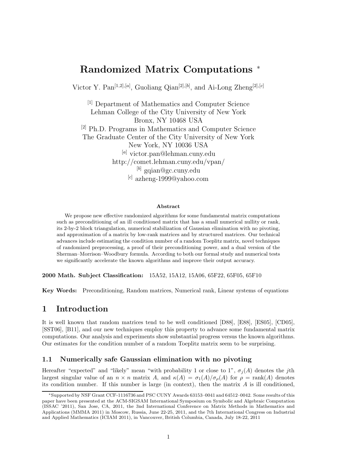# **Randomized Matrix Computations** <sup>∗</sup>

Victor Y. Pan[1*,*2]*,*[*a*] , Guoliang Qian[2]*,*[*b*] , and Ai-Long Zheng[2]*,*[*c*]

[1] Department of Mathematics and Computer Science Lehman College of the City University of New York Bronx, NY 10468 USA [2] Ph.D. Programs in Mathematics and Computer Science The Graduate Center of the City University of New York New York, NY 10036 USA [*a*] victor.pan@lehman.cuny.edu http://comet.lehman.cuny.edu/vpan/ [*b*] gqian@gc.cuny.edu [*c*] azheng-1999@yahoo.com

#### **Abstract**

We propose new effective randomized algorithms for some fundamental matrix computations such as preconditioning of an ill conditioned matrix that has a small numerical nullity or rank, its 2-by-2 block triangulation, numerical stabilization of Gaussian elimination with no pivoting, and approximation of a matrix by low-rank matrices and by structured matrices. Our technical advances include estimating the condition number of a random Toeplitz matrix, novel techniques of randomized preprocessing, a proof of their preconditioning power, and a dual version of the Sherman–Morrison–Woodbury formula. According to both our formal study and numerical tests we significantly accelerate the known algorithms and improve their output accuracy.

**2000 Math. Subject Classification:** 15A52, 15A12, 15A06, 65F22, 65F05, 65F10

**Key Words:** Preconditioning, Random matrices, Numerical rank, Linear systems of equations

# **1 Introduction**

It is well known that random matrices tend to be well conditioned [D88], [E88], [ES05], [CD05], [SST06], [B11], and our new techniques employ this property to advance some fundamental matrix computations. Our analysis and experiments show substantial progress versus the known algorithms. Our estimates for the condition number of a random Toeplitz matrix seem to be surprising.

#### **1.1 Numerically safe Gaussian elimination with no pivoting**

Hereafter "expected" and "likely" mean "with probability 1 or close to 1",  $\sigma_i(A)$  denotes the *j*th largest singular value of an  $n \times n$  matrix *A*, and  $\kappa(A) = \sigma_1(A)/\sigma_0(A)$  for  $\rho = \text{rank}(A)$  denotes its condition number. If this number is large (in context), then the matrix *A* is ill conditioned,

<sup>∗</sup>Supported by NSF Grant CCF-1116736 and PSC CUNY Awards 63153–0041 and 64512–0042. Some results of this paper have been presented at the ACM-SIGSAM International Symposium on Symbolic and Algebraic Computation (ISSAC '2011), San Jose, CA, 2011, the 3nd International Conference on Matrix Methods in Mathematics and Applications (MMMA 2011) in Moscow, Russia, June 22-25, 2011, and the 7th International Congress on Industrial and Applied Mathematics (ICIAM 2011), in Vancouver, British Columbia, Canada, July 18-22, 2011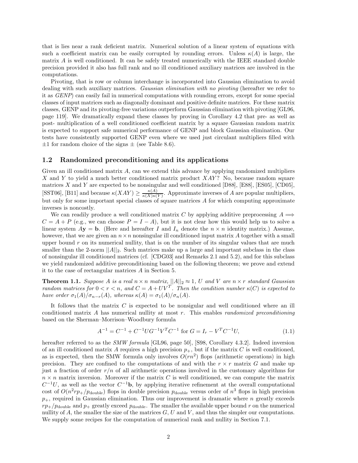that is lies near a rank deficient matrix. Numerical solution of a linear system of equations with such a coefficient matrix can be easily corrupted by rounding errors. Unless  $\kappa(A)$  is large, the matrix *A* is well conditioned. It can be safely treated numerically with the IEEE standard double precision provided it also has full rank and no ill conditioned auxiliary matrices are involved in the computations.

Pivoting, that is row or column interchange is incorporated into Gaussian elimination to avoid dealing with such auxiliary matrices. *Gaussian elimination with no pivoting* (hereafter we refer to it as *GENP*) can easily fail in numerical computations with rounding errors, except for some special classes of input matrices such as diagonally dominant and positive definite matrices. For these matrix classes, GENP and its pivoting-free variations outperform Gaussian elimination with pivoting [GL96, page 119]. We dramatically expand these classes by proving in Corollary 4.2 that pre- as well as post- multiplication of a well conditioned coefficient matrix by a square Gaussian random matrix is expected to support safe numerical performance of GENP and block Gaussian elimination. Our tests have consistently supported GENP even where we used just circulant multipliers filled with  $\pm 1$  for random choice of the signs  $\pm$  (see Table 8.6).

#### **1.2 Randomized preconditioning and its applications**

Given an ill conditioned matrix *A*, can we extend this advance by applying randomized multipliers *X* and *Y* to yield a much better conditioned matrix product *XAY* ? No, because random square matrices *X* and *Y* are expected to be nonsingular and well conditioned [D88], [E88], [ES05], [CD05], [SST06], [B11] and because  $\kappa(XAY) \geq \frac{\kappa(A)}{\kappa(X)\kappa(Y)}$ . Approximate inverses of *A* are popular multipliers, but only for some important special classes of square matrices *A* for which computing approximate inverses is noncostly.

We can readily produce a well conditioned matrix *C* by applying additive preprocessing  $A \implies$  $C = A + P$  (e.g., we can choose  $P = I - A$ ), but it is not clear how this would help us to solve a linear system  $A$ **y** = **b**. (Here and hereafter *I* and  $I_n$  denote the  $n \times n$  identity matrix.) Assume, however, that we are given an  $n \times n$  nonsingular ill conditioned input matrix A together with a small upper bound  $r$  on its numerical nullity, that is on the number of its singular values that are much smaller than the 2-norm  $||A||_2$ . Such matrices make up a large and important subclass in the class of nonsingular ill conditioned matrices (cf. [CDG03] and Remarks 2.1 and 5.2), and for this subclass we yield randomized additive preconditioning based on the following theorem; we prove and extend it to the case of rectangular matrices *A* in Section 5.

**Theorem 1.1.** *Suppose A is a real*  $n \times n$  *matrix,*  $||A||_2 \approx 1$ , *U and V are*  $n \times r$  *standard Gaussian random matrices for*  $0 < r < n$ , and  $C = A + UV^T$ . Then the condition number  $\kappa(C)$  is expected to *have order*  $\sigma_1(A)/\sigma_{n-r}(A)$ *, whereas*  $\kappa(A) = \sigma_1(A)/\sigma_n(A)$ *.* 

It follows that the matrix *C* is expected to be nonsigular and well conditioned where an ill conditioned matrix *A* has numerical nullity at most *r*. This enables *randomized preconditioning* based on the Sherman–Morrison–Woodbury formula

$$
A^{-1} = C^{-1} + C^{-1} U G^{-1} V^T C^{-1} \text{ for } G = I_r - V^T C^{-1} U,
$$
\n(1.1)

hereafter referred to as the *SMW formula* [GL96, page 50], [S98, Corollary 4.3.2]. Indeed inversion of an ill conditioned matrix A requires a high precision  $p_+$ , but if the matrix C is well conditioned, as is expected, then the SMW formula only involves  $O(rn^2)$  flops (arithmetic operations) in high precision. They are confined to the computations of and with the  $r \times r$  matrix *G* and make up just a fraction of order *r/n* of all arithmetic operations involved in the customary algorithms for  $n \times n$  matrix inversion. Moreover if the matrix *C* is well conditioned, we can compute the matrix  $C^{-1}U$ , as well as the vector  $C^{-1}$ **b**, by applying iterative refinement at the overall computational cost of  $O(n^2rp_+/p_{\text{double}})$  flops in double precision  $p_{\text{double}}$  versus order of  $n^3$  flops in high precision *p*+, required in Gaussian elimination. Thus our improvement is dramatic where *n* greatly exceeds  $rp_{+}/p_{\text{double}}$  and  $p_{+}$  greatly exceed  $p_{\text{double}}$ . The smaller the available upper bound *r* on the numerical nullity of  $A$ , the smaller the size of the matrices  $G, U$  and  $V$ , and thus the simpler our computations. We supply some recipes for the computation of numerical rank and nullity in Section 7.1.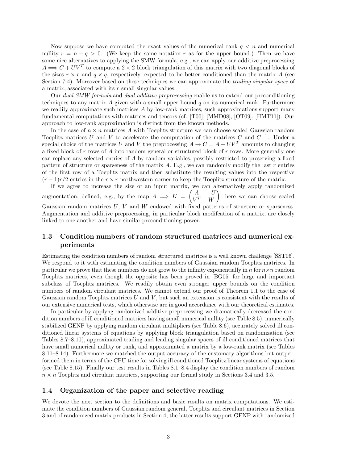Now suppose we have computed the exact values of the numerical rank  $q < n$  and numerical nullity  $r = n - q > 0$ . (We keep the same notation r as for the upper bound.) Then we have some nice alternatives to applying the SMW formula, e.g., we can apply our additive preprocessing  $A \Longrightarrow C + UV^T$  to compute a 2 × 2 block triangulation of this matrix with two diagonal blocks of the sizes  $r \times r$  and  $q \times q$ , respectively, expected to be better conditioned than the matrix *A* (see Section 7.4). Moreover based on these techniques we can approximate the *trailing singular space* of a matrix, associated with its *r* small singular values.

Our *dual SMW formula* and *dual additive preprocessing* enable us to extend our preconditioning techniques to any matrix *A* given with a small upper bound *q* on its numerical rank. Furthermore we readily approximate such matrices *A* by low-rank matrices; such approximations support many fundamental computations with matrices and tensors (cf. [T00], [MMD08], [OT09], [HMT11]). Our approach to low-rank approximation is distinct from the known methods.

In the case of  $n \times n$  matrices A with Toeplitz structure we can choose scaled Gaussian random Toeplitz matrices *U* and *V* to accelerate the computation of the matrices *C* and  $C^{-1}$ . Under a special choice of the matrices *U* and *V* the preprocessing  $A \rightarrow C = A + UV^T$  amounts to changing a fixed block of *r* rows of *A* into random general or structured block of *r* rows. More generally one can replace any selected entries of *A* by random variables, possibly restricted to preserving a fixed pattern of structure or sparseness of the matrix *A*. E.g., we can randomly modify the last *r* entries of the first row of a Toeplitz matrix and then substitute the resulting values into the respective  $(r-1)r/2$  entries in the  $r \times r$  northwestern corner to keep the Toeplitz structure of the matrix.

If we agree to increase the size of an input matrix, we can alternatively apply randomized augmentation, defined, e.g., by the map  $A \implies K = \begin{pmatrix} A & -U \\ V^T & W \end{pmatrix}$  $V^T$  *W* - ; here we can choose scaled Gaussian random matrices U, V and W endowed with fixed patterns of structure or sparseness. Augmentation and additive preprocessing, in particular block modifcation of a matrix, are closely linked to one another and have similar preconditioning power.

### **1.3 Condition numbers of random structured matrices and numerical experiments**

Estimating the condition numbers of random structured matrices is a well known challenge [SST06]. We respond to it with estimating the condition numbers of Gaussian random Toeplitz matrices. In particular we prove that these numbers do not grow to the infinity exponentially in *n* for  $n \times n$  random Toeplitz matrices, even though the opposite has been proved in [BG05] for large and important subclass of Toeplitz matrices. We readily obtain even stronger upper bounds on the condition numbers of random circulant matrices. We cannot extend our proof of Theorem 1.1 to the case of Gaussian random Toeplitz matrices *U* and *V* , but such an extension is consistent with the results of our extensive numerical tests, which otherwise are in good accordance with our theoretical estimates.

In particular by applyng randomized additive preprocessing we dramatically decreased the condition numbers of ill conditioned matrices having small numerical nullity (see Table 8.5), numerically stabilized GENP by applying random circulant multipliers (see Table 8.6), accurately solved ill conditioned linear systems of equations by applying block triangulation based on randomization (see Tables 8.7–8.10), approximated trailing and leading singular spaces of ill conditioned matrices that have small numerical nullity or rank, and approximated a matrix by a low-rank matrix (see Tables 8.11–8.14). Furthermore we matched the output accuracy of the customary algorithms but outperformed them in terms of the CPU time for solving ill conditioned Toeplitz linear systems of equations (see Table 8.15). Finally our test results in Tables 8.1–8.4 display the condition numbers of random  $n \times n$  Toeplitz and circulant matrices, supporting our formal study in Sections 3.4 and 3.5.

#### **1.4 Organization of the paper and selective reading**

We devote the next section to the definitions and basic results on matrix computations. We estimate the condition numbers of Gaussian random general, Toeplitz and circulant matrices in Section 3 and of randomized matrix products in Section 4; the latter results support GENP with randomized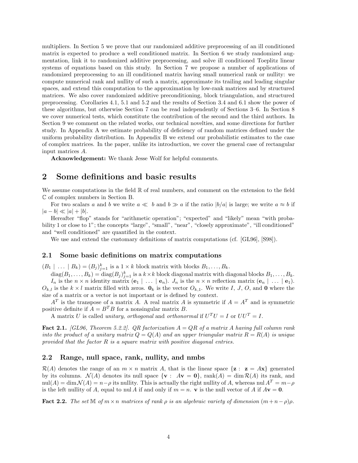multipliers. In Section 5 we prove that our randomized additive preprocessing of an ill conditioned matrix is expected to produce a well conditioned matrix. In Section 6 we study randomized augmentation, link it to randomized additive preprocessing, and solve ill conditioned Toeplitz linear systems of equations based on this study. In Section 7 we propose a number of applications of randomized preprocessing to an ill conditioned matrix having small numerical rank or nullity: we compute numerical rank and nullity of such a matrix, approximate its trailing and leading singular spaces, and extend this computation to the approximation by low-rank matrices and by structured matrices. We also cover randomized additive preconditioning, block triangulation, and structured preprocessing. Corollaries 4.1, 5.1 and 5.2 and the results of Section 3.4 and 6.1 show the power of these algorithms, but otherwise Section 7 can be read independently of Sections 3–6. In Section 8 we cover numerical tests, which constitute the contribution of the second and the third authors. In Section 9 we comment on the related works, our technical novelties, and some directions for further study. In Appendix A we estimate probability of deficiency of random matrices defined under the uniform probability distribution. In Appendix B we extend our probabilistic estimates to the case of complex matrices. In the paper, unlike its introduction, we cover the general case of rectangular input matrices *A*.

**Acknowledgement:** We thank Jesse Wolf for helpful comments.

# **2 Some definitions and basic results**

We assume computations in the field  $\mathbb R$  of real numbers, and comment on the extension to the field C of complex numbers in Section B.

For two scalars *a* and *b* we write  $a \ll b$  and  $b \gg a$  if the ratio  $|b/a|$  is large; we write  $a \approx b$  if  $|a - b| \ll |a| + |b|.$ 

Hereafter "flop" stands for "arithmetic operation"; "expected" and "likely" mean "with probability 1 or close to 1"; the concepts "large", "small", "near", "closely approximate", "ill conditioned" and "well conditioned" are quantified in the context.

We use and extend the customary definitions of matrix computations (cf. [GL96], [S98]).

#### **2.1 Some basic definitions on matrix computations**

 $(B_1 \mid \ldots \mid B_k) = (B_j)_{j=1}^k$  is a  $1 \times k$  block matrix with blocks  $B_1, \ldots, B_k$ .

 $\text{diag}(B_1,\ldots,B_k) = \text{diag}(B_j)_{j=1}^k$  is a  $k \times k$  block diagonal matrix with diagonal blocks  $B_1,\ldots,B_k$ . *I<sub>n</sub>* is the  $n \times n$  identity matrix  $(\mathbf{e}_1 | \dots | \mathbf{e}_n)$ . *J<sub>n</sub>* is the  $n \times n$  reflection matrix  $(\mathbf{e}_n | \dots | \mathbf{e}_1)$ .

 $O_{k,l}$  is the  $k \times l$  matrix filled with zeros.  $\mathbf{0}_k$  is the vector  $O_{k,l}$ . We write *I*, *J*, *O*, and **0** where the size of a matrix or a vector is not important or is defined by context.

 $A<sup>T</sup>$  is the transpose of a matrix *A*. A real matrix *A* is symmetric if  $A = A<sup>T</sup>$  and is symmetric positive definite if  $A = B^T B$  for a nonsingular matrix *B*.

A matrix *U* is called *unitary*, *orthogonal* and *orthonormal* if  $U^T U = I$  or  $UU^T = I$ .

**Fact 2.1.** *[GL96, Theorem 5.2.2]. QR factorization A* = *QR of a matrix A having full column rank into the product of a unitary matrix*  $Q = Q(A)$  *and an upper triangular matrix*  $R = R(A)$  *is unique provided that the factor R is a square matrix with positive diagonal entries.*

#### **2.2 Range, null space, rank, nullity, and nmbs**

 $\mathcal{R}(A)$  denotes the range of an  $m \times n$  matrix A, that is the linear space  $\{z : z = Ax\}$  generated by its columns.  $\mathcal{N}(A)$  denotes its null space  $\{ \mathbf{v} : A\mathbf{v} = \mathbf{0} \}$ , rank $(A) = \dim \mathcal{R}(A)$  its rank, and  $\text{null}(A) = \dim \mathcal{N}(A) = n - \rho$  its nullity. This is actually the right nullity of *A*, whereas nul  $A^T = m - \rho$ is the left nullity of A, equal to nul A if and only if  $m = n$ . **v** is the null vector of A if  $A$ **v** = **0**.

**Fact 2.2.** *The set*  $\mathbb{M}$  *of*  $m \times n$  *matrices of rank*  $\rho$  *is an algebraic variety of dimension*  $(m+n-\rho)\rho$ *.*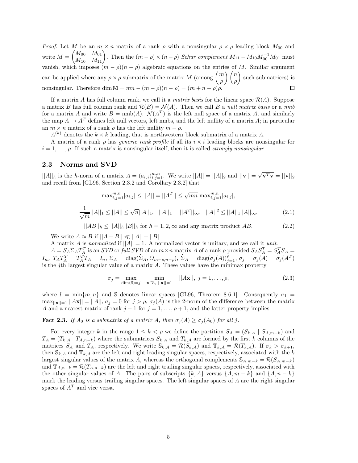*Proof.* Let *M* be an  $m \times n$  matrix of a rank  $\rho$  with a nonsingular  $\rho \times \rho$  leading block  $M_{00}$  and  $M = \begin{pmatrix} M_{00} & M_{01} \ M_{10} & M_{11} \end{pmatrix}$ . Then the  $(m - \rho) \times (n - \rho)$  *Schur complement*  $M_{11} - M_{10} M_{00}^{-1} M_{01}$  must vanish, which imposes  $(m - \rho)(n - \rho)$  algebraic equations on the entries of *M*. Similar argument can be applied where any  $\rho \times \rho$  submatrix of the matrix *M* (among  $\binom{m}{q}$ - *n* -such submatrices) is *ρ ρ* nonsingular. Therefore dim  $\mathbb{M} = mn - (m - \rho)(n - \rho) = (m + n - \rho)\rho$ .  $\Box$ 

If a matrix *A* has full column rank, we call it a *matrix basis* for the linear space  $\mathcal{R}(A)$ . Suppose a matrix *B* has full column rank and  $\mathcal{R}(B) = \mathcal{N}(A)$ . Then we call *B* a *null matrix basis* or a *nmb* for a matrix *A* and write  $B = \text{nmb}(A)$ .  $\mathcal{N}(A^T)$  is the left null space of a matrix *A*, and similarly the map  $A \to A^T$  defines left null vectors, left nmbs, and the left nullity of a matrix *A*; in particular an  $m \times n$  matrix of a rank  $\rho$  has the left nullity  $m - \rho$ .

 $A^{(k)}$  denotes the  $k \times k$  leading, that is northwestern block submatrix of a matrix *A*.

A matrix of a rank *ρ* has *generic rank profile* if all its *i* × *i* leading blocks are nonsingular for  $i = 1, \ldots, \rho$ . If such a matrix is nonsingular itself, then it is called *strongly nonsingular*.

#### **2.3 Norms and SVD**

 $||A||_h$  is the *h*-norm of a matrix  $A = (a_{i,j})_{i,j=1}^{m,n}$ . We write  $||A|| = ||A||_2$  and  $||\mathbf{v}|| = \sqrt{\mathbf{v}^T \mathbf{v}} = ||\mathbf{v}||_2$ and recall from [GL96, Section 2.3.2 and Corollary 2.3.2] that

$$
\max_{i,j=1}^{m,n} |a_{i,j}| \le ||A|| = ||A^T|| \le \sqrt{mn} \max_{i,j=1}^{m,n} |a_{i,j}|,
$$
  

$$
\frac{1}{\sqrt{m}}||A||_1 \le ||A|| \le \sqrt{n}||A||_1, \quad ||A||_1 = ||A^T||_{\infty}, \quad ||A||^2 \le ||A||_1||A||_{\infty}, \tag{2.1}
$$

 $||AB||_h \leq ||A||_h ||B||_h$  for  $h = 1, 2, \infty$  and any matrix product *AB*. (2.2)

We write  $A \approx B$  if  $||A - B|| \ll ||A|| + ||B||$ .

A matrix *A* is *normalized* if ||*A*|| = 1. A normalized vector is unitary, and we call it *unit*.

 $A = S_A \Sigma_A T_A^T$  is an SVD or full SVD of an  $m \times n$  matrix A of a rank  $\rho$  provided  $S_A S_A^T = S_A^T S_A =$  $I_m$ ,  $T_A T_A^T = T_A^T T_A = I_n$ ,  $\Sigma_A = \text{diag}(\widehat{\Sigma}_A, O_{m-\rho,n-\rho}), \widehat{\Sigma}_A = \text{diag}(\sigma_j(A))_{j=1}^{\rho}, \sigma_j = \sigma_j(A) = \sigma_j(A^T)$ is the *j*th largest singular value of a matrix *A*. These values have the minimax property

$$
\sigma_j = \max_{\dim(\mathbb{S}) = j} \quad \min_{\mathbf{x} \in \mathbb{S}, \ |\mathbf{x}\| = 1} \quad ||A\mathbf{x}||, \ j = 1, \dots, \rho,
$$
\n(2.3)

where  $l = \min\{m, n\}$  and S denotes linear spaces [GL96, Theorem 8.6.1]. Consequently  $\sigma_1$  $\max_{\vert\vert \mathbf{x}\vert\vert=1}\vert\vert Ax\vert\vert=\vert\vert A\vert\vert, \sigma_j=0$  for  $j>\rho, \sigma_j(A)$  is the 2-norm of the difference between the matrix *A* and a nearest matrix of rank  $j-1$  for  $j = 1, \ldots, \rho + 1$ , and the latter property implies

**Fact 2.3.** *If*  $A_0$  *is a submatrix of a matrix*  $A$ *, then*  $\sigma_j(A) \geq \sigma_j(A_0)$  *for all j.* 

For every integer *k* in the range  $1 \leq k < \rho$  we define the partition  $S_A = (S_{k,A} | S_{A,m-k})$  and  $T_A = (T_{k,A} | T_{A,n-k})$  where the submatrices  $S_{k,A}$  and  $T_{k,A}$  are formed by the first *k* columns of the matrices  $S_A$  and  $T_A$ , respectively. We write  $\mathcal{S}_{k,A} = \mathcal{R}(S_{k,A})$  and  $\mathbb{T}_{k,A} = \mathcal{R}(T_{k,A})$ . If  $\sigma_k > \sigma_{k+1}$ , then  $\mathbb{S}_{k,A}$  and  $\mathbb{T}_{k,A}$  are the left and right leading singular spaces, respectively, associated with the *k* largest singular values of the matrix *A*, whereas the orthogonal complements  $\mathcal{S}_{A,m-k} = \mathcal{R}(S_{A,m-k})$ and  $\mathbb{T}_{A,n-k} = \mathcal{R}(T_{A,n-k})$  are the left and right trailing singular spaces, respectively, associated with the other singular values of *A*. The pairs of subscripts  $\{k, A\}$  versus  $\{A, m - k\}$  and  $\{A, n - k\}$ mark the leading versus trailing singular spaces. The left singular spaces of *A* are the right singular spaces of  $A<sup>T</sup>$  and vice versa.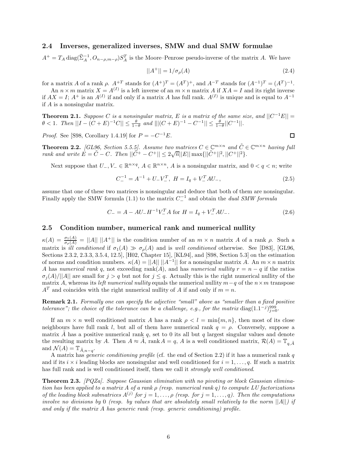#### **2.4 Inverses, generalized inverses, SMW and dual SMW formulae**

 $A^+ = T_A \text{diag}(\hat{\Sigma}_A^{-1}, O_{n-\rho,m-\rho}) S_A^T$  is the Moore–Penrose pseudo-inverse of the matrix *A*. We have

$$
||A^{+}|| = 1/\sigma_{\rho}(A)
$$
\n(2.4)

for a matrix *A* of a rank *ρ*.  $A^{+T}$  stands for  $(A^{+})^{T} = (A^{T})^{+}$ , and  $A^{-T}$  stands for  $(A^{-1})^{T} = (A^{T})^{-1}$ .

An  $n \times m$  matrix  $X = A^{(I)}$  is a left inverse of an  $m \times n$  matrix A if  $XA = I$  and its right inverse if  $AX = I$ ;  $A^+$  is an  $A^{(I)}$  if and only if a matrix *A* has full rank.  $A^{(I)}$  is unique and is equal to  $A^{-1}$ if *A* is a nonsingular matrix.

**Theorem 2.1.** *Suppose C is a nonsingular matrix,*  $E$  *is a matrix of the same size, and*  $||C^{-1}E|| =$  $\theta$  < 1*.* Then  $||I - (C + E)^{-1}C|| \leq \frac{\theta}{1-\theta}$  and  $||[(C + E)^{-1} - C^{-1}|| \leq \frac{\theta}{1-\theta}||C^{-1}||$ *.* 

*Proof.* See [S98, Corollary 1.4.19] for  $P = -C^{-1}E$ .

**Theorem 2.2.** *[GL96, Section 5.5.5]. Assume two matrices*  $C \in \mathbb{C}^{m \times n}$  *and*  $\tilde{C} \in \mathbb{C}^{m \times n}$  *having full rank and write*  $E = \tilde{C} - C$ *. Then*  $||\tilde{C}^{+} - C^{+}|| \leq 2\sqrt{n}||E|| \max\{||\tilde{C}^{+}||^{2}, ||C^{+}||^{2}\}$ *.* 

Next suppose that  $U_-, V_-\in \mathbb{R}^{n\times q}$ ,  $A\in \mathbb{R}^{n\times n}$ , *A* is a nonsingular matrix, and  $0 < q < n$ ; write

$$
C_{-}^{-1} = A^{-1} + U_{-}V_{-}^{T}, \ H = I_{q} + V_{-}^{T}AU_{-}, \tag{2.5}
$$

assume that one of these two matrices is nonsingular and deduce that both of them are nonsingular. Finally apply the SMW formula (1.1) to the matrix  $C_1^{-1}$  and obtain the *dual SMW formula* 

$$
C_{-} = A - AU_{-}H^{-1}V_{-}^{T}A \text{ for } H = I_{q} + V_{-}^{T}AU_{-}.
$$
\n(2.6)

#### **2.5 Condition number, numerical rank and numerical nullity**

 $\kappa(A) = \frac{\sigma_1(A)}{\sigma_\rho(A)} = ||A|| \, ||A^+||$  is the condition number of an  $m \times n$  matrix *A* of a rank *ρ*. Such a matrix is *ill conditioned* if  $\sigma_1(A) \gg \sigma_\rho(A)$  and is *well conditioned* otherwise. See [D83], [GL96, Sections 2.3.2, 2.3.3, 3.5.4, 12.5], [H02, Chapter 15], [KL94], and [S98, Section 5.3] on the estimation of norms and condition numbers.  $\kappa(A) = ||A|| ||A^{-1}||$  for a nonsingular matrix *A*. An  $m \times n$  matrix *A* has *numerical rank q*, not exceeding rank(*A*), and has *numerical nullity*  $r = n - q$  if the ratios  $\sigma_i(A)/||A||$  are small for  $j > q$  but not for  $j \leq q$ . Actually this is the right numerical nullity of the matrix *A*, whereas its *left numerical nullity* equals the numerical nullity  $m-q$  of the  $n \times m$  transpose  $A<sup>T</sup>$  and coincides with the right numerical nullity of *A* if and only if  $m = n$ .

**Remark 2.1.** *Formally one can specify the adjective "small" above as "smaller than a fixed positive tolerance"; the choice of the tolerance can be a challenge, e.g., for the matrix* diag $(1.1^{-j})_{j=0}^{999}$ .

If an  $m \times n$  well conditioned matrix *A* has a rank  $\rho < l = \min\{m, n\}$ , then most of its close neighbours have full rank *l*, but all of them have numerical rank *q* = *ρ*. Conversely, suppose a matrix *A* has a positive numerical rank  $q$ , set to 0 its all but  $q$  largest singular values and denote the resulting matrix by *A*. Then  $A \approx \tilde{A}$ , rank  $A = q$ , *A* is a well conditioned matrix,  $\mathcal{R}(A) = \mathbb{T}_{q,\tilde{A}}$ and  $\mathcal{N}(A) = \mathbb{T}_{\tilde{A}, n-q}$ .

A matrix has *generic conditioning profile* (cf. the end of Section 2.2) if it has a numerical rank *q* and if its  $i \times i$  leading blocks are nonsingular and well conditioned for  $i = 1, \ldots, q$ . If such a matrix has full rank and is well conditioned itself, then we call it *strongly well conditioned*.

**Theorem 2.3.** *[PQZa]. Suppose Gaussian elimination with no pivoting or block Gaussian elimination has been applied to a matrix A of a rank ρ (resp. numerical rank q) to compute LU factorizations of the leading block submatrices*  $A^{(j)}$  *for*  $j = 1, \ldots, \rho$  *(resp. for*  $j = 1, \ldots, q$ *). Then the computations involve no divisions by* 0 *(resp. by values that are absolutely small relatively to the norm* ||*A*||*) if and only if the matrix A has generic rank (resp. generic conditioning) profile.*

$$
\Box
$$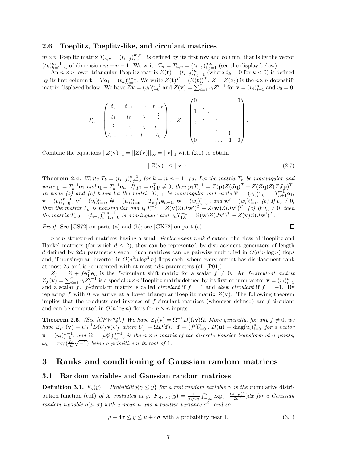#### **2.6 Toeplitz, Toeplitz-like, and circulant matrices**

 $m \times n$  Toeplitz matrix  $T_{m,n} = (t_{i-j})_{i,j=1}^{m,n}$  is defined by its first row and column, that is by the vector  $(t_h)_{h=1-n}^{m-1}$  of dimension  $m+n-1$ . We write  $T_n = T_{n,n} = (t_{i-j})_{i,j=1}^{n,n}$  (see the display below).

An  $n \times n$  lower triangular Toeplitz matrix  $Z(\mathbf{t}) = (t_{i-j})_{i,j=1}^n$  (where  $t_k = 0$  for  $k < 0$ ) is defined by its first column  $\mathbf{t} = T\mathbf{e}_1 = (t_h)_{h=0}^{n-1}$ . We write  $Z(\mathbf{t})^T = (Z(\mathbf{t}))^T$ .  $Z = Z(\mathbf{e}_2)$  is the  $n \times n$  downshift matrix displayed below. We have  $Z\mathbf{v} = (v_i)_{i=0}^{n-1}$  and  $Z(\mathbf{v}) = \sum_{i=1}^{n} v_i Z^{i-1}$  for  $\mathbf{v} = (v_i)_{i=1}^n$  and  $v_0 = 0$ ,

$$
T_n = \begin{pmatrix} t_0 & t_{-1} & \cdots & t_{1-n} \\ t_1 & t_0 & \ddots & \vdots \\ \vdots & \ddots & \ddots & t_{-1} \\ t_{n-1} & \cdots & t_1 & t_0 \end{pmatrix}, \quad Z = \begin{pmatrix} 0 & \cdots & 0 \\ 1 & \ddots & \vdots \\ \vdots & \ddots & \ddots & \vdots \\ 0 & \cdots & 1 & 0 \end{pmatrix}
$$

Combine the equations  $||Z(\mathbf{v})||_1 = ||Z(\mathbf{v})||_{\infty} = ||\mathbf{v}||_1$  with (2.1) to obtain

$$
||Z(\mathbf{v})|| \le ||\mathbf{v}||_1. \tag{2.7}
$$

*.*

**Theorem 2.4.** Write  $T_k = (t_{i-j})_{i,j=0}^{k-1}$  for  $k = n, n+1$ . (a) Let the matrix  $T_n$  be nonsingular and write  $\mathbf{p} = T_n^{-1} \mathbf{e}_1$  and  $\mathbf{q} = T_n^{-1} \mathbf{e}_n$ . If  $p_1 = \mathbf{e}_1^T \mathbf{p} \neq 0$ , then  $p_1 T_n^{-1} = Z(\mathbf{p})Z(J\mathbf{q})^T - Z(Z\mathbf{q})Z(ZJ\mathbf{p})^T$ . *In parts (b)* and (c) below let the matrix  $T_{n+1}$  be nonsingular and write  $\hat{\mathbf{v}} = (v_i)^n \hat{\mathbf{v}} = T_{n+1}^{-1} \mathbf{e}_1$ ,  $\mathbf{v} = (v_i)_{i=0}^{n-1}, \mathbf{v}' = (v_i)_{i=1}^n, \hat{\mathbf{w}} = (w_i)_{i=0}^n = T_{n+1}^{-1} \mathbf{e}_{n+1}, \mathbf{w} = (w_i)_{i=0}^{n-1}, \text{ and } \mathbf{w}' = (w_i)_{i=1}^n, (b) \text{ If } v_0 \neq 0,$ <br>
then the matrix  $T$  is nonsingular and  $v_i T^{-1} = Z(\mathbf{v}) Z(T_{\mathbf{w}'})^T = Z(\mathbf{w}) Z$ then the matrix  $T_n$  is nonsingular and  $v_0T_n^{-1} = Z(\mathbf{v})Z(J\mathbf{w}')^T - Z(\mathbf{w})Z(J\mathbf{v}')^T$ . (c) If  $v_n \neq 0$ , then the matrix  $T_{1,0} = (t_{i-j})_{i=1,j=0}^{n,n-1}$  is nonsingular and  $v_nT_{1,0}^{-1} = Z(\mathbf{w})Z(J\mathbf{v}')^T - Z(\mathbf{v})Z(J\mathbf{w}')^T$ .

*Proof.* See [GS72] on parts (a) and (b); see [GK72] on part (c).

$$
\square
$$

*n* × *n* structured matrices having a small *displacement rank d* extend the class of Toeplitz and Hankel matrices (for which  $d \leq 2$ ); they can be represented by displacement generators of length *d* defined by 2*dn* parameters each. Such matrices can be pairwise multiplied in  $O(d^2n \log n)$  flops and, if nonsingular, inverted in  $O(d^2n \log^2 n)$  flops each, where every output has displacement rank at most 2*d* and is represented with at most 4*dn* parameters (cf. [P01]).

 $Z_f = Z + f \mathbf{e}_1^T \mathbf{e}_n$  is the *f*-circulant shift matrix for a scalar  $f \neq 0$ . An *f-circulant matrix*  $Z_f(\mathbf{v}) = \sum_{i=1}^n v_i Z_f^{i-1}$  is a special  $n \times n$  Toeplitz matrix defined by its first column vector  $\mathbf{v} = (v_i)_{i=1}^n$ and a scalar *f*. *f*-circulant matrix is called *circulant* if  $f = 1$  and *skew circulant* if  $f = -1$ . By replacing f with 0 we arrive at a lower triangular Toeplitz matrix  $Z(\mathbf{v})$ . The following theorem implies that the products and inverses of *f*-circulant matrices (wherever defined) are *f*-circulant and can be computed in  $O(n \log n)$  flops for  $n \times n$  inputs.

**Theorem 2.5.** *(See [CPW74].) We have*  $Z_1(\mathbf{v}) = \Omega^{-1}D(\Omega \mathbf{v})\Omega$ *. More generally, for any*  $f \neq 0$ *, we* have  $Z_{f^n}(\mathbf{v}) = U_f^{-1} D(U_f \mathbf{v}) U_f$  where  $U_f = \Omega D(\mathbf{f}), \quad \mathbf{f} = (f^i)_{i=0}^{n-1}, D(\mathbf{u}) = \text{diag}(u_i)_{i=0}^{n-1}$  for a vector  $\mathbf{u} = (u_i)_{i=0}^{n-1}$ , and  $\Omega = (\omega_n^{ij})_{i,j=0}^{n-1}$  is the  $n \times n$  matrix of the discrete Fourier transform at n points,  $\omega_n = \frac{(\omega_n)^i}{(n-1)^i}$  *being a primitive n-th root of* 1*.* 

## **3 Ranks and conditioning of Gaussian random matrices**

#### **3.1 Random variables and Gaussian random matrices**

**Definition 3.1.**  $F_{\gamma}(y) =$  *Probability*{ $\gamma \leq y$ } *for a real random variable*  $\gamma$  *is the* cumulative distribution function (cdf) *of X evaluated at y.*  $F_{g(\mu,\sigma)}(y) = \frac{1}{\sigma\sqrt{2\pi}} \int_{-\infty}^{y} \exp(-\frac{(x-\mu)^2}{2\sigma^2}) dx$  for a Gaussian *random variable*  $g(\mu, \sigma)$  *with a mean*  $\mu$  *and a positive variance*  $\sigma^2$ *, and so* 

$$
\mu - 4\sigma \le y \le \mu + 4\sigma \text{ with a probability near 1.} \tag{3.1}
$$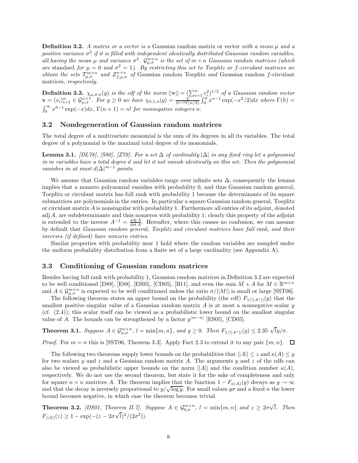**Definition 3.2.** *A matrix or a vector is a* Gaussian random matrix or vector *with a mean µ and a positive variance*  $\sigma^2$  *if it is filled with independent identically distributed Gaussian random variables,*  $\int_{a}^{b}$  *all having the mean*  $\mu$  *and variance*  $\sigma^2$ *.*  $\mathcal{G}_{\mu,\sigma}^{m\times n}$  *is the set of*  $m \times n$  *Gaussian random matrices (which are* standard *for*  $\mu = 0$  *and*  $\sigma^2 = 1$ *). By restricting this set to Toeplitz or f-circulant matrices we obtain the sets*  $T_{\mu,\sigma}^{m\times n}$  *and*  $Z_{f,\mu,\sigma}^{n\times n}$  *of* Gaussian random Toeplitz *and* Gaussian random *f*-circulant matrices*, respectively.*

**Definition 3.3.**  $\chi_{\mu,\sigma,n}(y)$  is the cdf of the norm  $||\mathbf{v}|| = \left(\sum_{i=1}^{n} v_i^2\right)^{1/2}$  of a Gaussian random vector  $\mathbf{v} = (v_i)_{i=1}^n \in \mathcal{G}_{\mu,\sigma}^{n \times 1}$ . For  $y \ge 0$  we have  $\chi_{0,1,n}(y) = \frac{2^{n+1}}{2^{n/2} \Gamma(n/2)} \int_0^y x^{n-1} \exp(-x^2/2) dx$  where  $\Gamma(h) =$  $\int_0^\infty x^{h-1} \exp(-x) dx$ ,  $\Gamma(n+1) = n!$  *for nonnegative integers n.* 

#### **3.2 Nondegeneration of Gaussian random matrices**

The total degree of a multivariate monomial is the sum of its degrees in all its variables. The total degree of a polynomial is the maximal total degree of its monomials.

**Lemma 3.1.** *[DL78], [S80], [Z79]. For a set*  $\Delta$  *of cardinality*  $|\Delta|$  *in any fixed ring let a polynomial in m variables have a total degree d and let it not vanish identically on this set. Then the polynomial vanishes in at most*  $d|\Delta|^{m-1}$  *points.* 

We assume that Gaussian random variables range over infinite sets  $\Delta$ ; consequently the lemma implies that a nonzero polynomial vanishes with probability 0, and thus Gaussian random general, Toeplitz or circulant matrix has full rank with probability 1 because the determinants of its square submatrices are polynomials in the entries. In particular a square Gaussian random general, Toeplitz or circulant matrix *A* is nonsingular with probability 1. Furthermore all entries of its adjoint, denoted adj *A*, are subdeterminants and thus nonzeros with probability 1; clearly this property of the adjoint is extended to the inverse  $A^{-1} = \frac{\text{adj }A}{\text{det }A}$ . Hereafter, where this causes no confusion, we can assume by default that *Gaussian random general, Toeplitz and circulant matrices have full rank, and their inverses (if defined) have nonzero entries*.

Similar properties with probability near 1 hold where the random variables are sampled under the uniform probability distribution from a finite set of a large cardinality (see Appendix A).

#### **3.3 Conditioning of Gaussian random matrices**

Besides having full rank with probability 1, Gaussian random matrices in Definition 3.2 are expected to be well conditioned [D88], [E88], [ES05], [CD05], [B11], and even the sum  $M + A$  for  $M \in \mathbb{R}^{m \times n}$ and  $A \in \mathcal{G}_{\mu,\sigma}^{m \times n}$  is expected to be well conditioned unless the ratio  $\sigma/||M||$  is small or large [SST06].

The following theorem states an upper bound on the probability (the cdf)  $F_{1/||A^+||}(y)$  that the smallest positive singular value of a Gaussian random matrix *A* is at most a nonnegative scalar *y* (cf. (2.4)); this scalar itself can be viewed as a probabilistic lower bound on the smallest singular value of *A*. The bounds can be strengthened by a factor  $y^{|m-n|}$  [ES05], [CD05].

**Theorem 3.1.** Suppose  $A \in \mathcal{G}_{\mu,\sigma}^{m \times n}$ ,  $l = \min\{m,n\}$ , and  $y \ge 0$ . Then  $F_{1/||A^+||}(y) \le 2.35 \sqrt{lg/\sigma}$ .

*Proof.* For  $m = n$  this is [SST06, Theorem 3.3]. Apply Fact 2.3 to extend it to any pair  $\{m, n\}$ .  $\Box$ 

The following two theorems supply lower bounds on the probabilities that  $||A|| \leq z$  and  $\kappa(A) \leq y$ for two scalars *y* and *z* and a Gaussian random matrix *A*. The arguments *y* and *z* of the cdfs can also be viewed as probabilistic upper bounds on the norm  $||A||$  and the condition number  $\kappa(A)$ , respectively. We do not use the second theorem, but state it for the sake of completeness and only for square  $n \times n$  matrices *A*. The theorem implies that the function  $1 - F_{\kappa(A)}(y)$  decays as  $y \to \infty$ and that the decay is inversely proportional to  $y/\sqrt{\log y}$ . For small values  $y\sigma$  and a fixed *n* the lower bound becomes negative, in which case the theorem becomes trivial.

**Theorem 3.2.** *[DS01, Theorem II.7]. Suppose*  $A \in \mathcal{G}_{0,\sigma}^{m \times n}$ ,  $l = \min\{m,n\}$  and  $z \geq 2\sigma\sqrt{l}$ . Then  $F_{\vert A \vert \vert}(z) \geq 1 - \exp(-(z - 2\sigma\sqrt{l})^2/(2\sigma^2)).$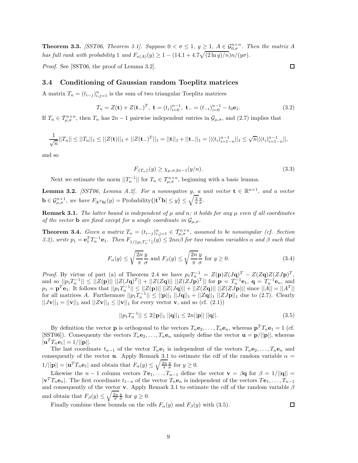**Theorem 3.3.** *[SST06, Theorem 3.1]. Suppose*  $0 < \sigma \leq 1$ ,  $y \geq 1$ ,  $A \in \mathcal{G}_{0,\sigma}^{n \times n}$ . Then the matrix A *has full rank with probability* 1 *and*  $F_{\kappa(A)}(y) \geq 1 - (14.1 + 4.7\sqrt{(2 \ln y)/n})n/(y\sigma)$ .

*Proof.* See [SST06, the proof of Lemma 3.2].

#### **3.4 Conditioning of Gaussian random Toeplitz matrices**

A matrix  $T_n = (t_{i-j})_{i,j=1}^n$  is the sum of two triangular Toeplitz matrices

$$
T_n = Z(\mathbf{t}) + Z(\mathbf{t})^T, \ \mathbf{t} = (t_i)_{i=0}^{n-1}, \ \mathbf{t} = (t_{-i})_{i=0}^{n-1} - t_0 \mathbf{e}_1. \tag{3.2}
$$

If  $T_n \in \mathcal{T}_{\mu,\sigma}^{n \times n}$ , then  $T_n$  has  $2n-1$  pairwise independent entries in  $\mathcal{G}_{\mu,\sigma}$ , and (2.7) implies that

$$
\frac{1}{\sqrt{n}}||T_n|| \le ||T_n||_1 \le ||Z(\mathbf{t})||_1 + ||Z(\mathbf{t})||_1 = ||\mathbf{t}||_1 + ||\mathbf{t}||_1 = ||(t_i)_{i=1-n}^{n-1}||_1 \le \sqrt{n}||(t_i)_{i=1-n}^{n-1}||,
$$

and so

$$
F_{||T_n||}(y) \ge \chi_{\mu,\sigma,2n-1}(y/n). \tag{3.3}
$$

Next we estimate the norm  $||T_n^{-1}||$  for  $T_n \in T_{\mu,\sigma}^{n \times n}$ , beginning with a basic lemma.

**Lemma 3.2.** *[SST06, Lemma A.2]. For a nonnegative y, a unit vector*  $\mathbf{t} \in \mathbb{R}^{n \times 1}$ *, and a vector*  $\mathbf{b} \in \mathcal{G}_{\mu,\sigma}^{n\times 1}$ , we have  $F_{|\mathbf{t}^T\mathbf{b}|}(y) = \text{Probability}\{|\mathbf{t}^T\mathbf{b}| \leq y\} \leq \sqrt{\frac{2}{\pi}} \frac{y}{\sigma}.$ 

**Remark 3.1.** *The latter bound is independent of*  $\mu$  *and*  $n$ *; it holds for any*  $\mu$  *even if all coordinates of the vector* **b** *are fixed except for a single coordinate in*  $\mathcal{G}_{\mu,\sigma}$ *.* 

**Theorem 3.4.** Given a matrix  $T_n = (t_{i-j})_{i,j=1}^n \in \mathcal{T}_{\mu,\sigma}^{n \times n}$ , assumed to be nonsingular (cf. Section 3.2), write  $p_1 = \mathbf{e}_1^T T_n^{-1} \mathbf{e}_1$ . Then  $F_{1/||p_1T_n^{-1}||}(y) \le 2n\alpha\beta$  for two random variables  $\alpha$  and  $\beta$  such that

$$
F_{\alpha}(y) \le \sqrt{\frac{2n}{\pi}} \frac{y}{\sigma} \text{ and } F_{\beta}(y) \le \sqrt{\frac{2n}{\pi}} \frac{y}{\sigma} \text{ for } y \ge 0.
$$
 (3.4)

*Proof.* By virtue of part (a) of Theorem 2.4 we have  $p_1T_n^{-1} = Z(\mathbf{p})Z(J\mathbf{q})^T - Z(Z\mathbf{q})Z(ZJ\mathbf{p})^T$ , and so  $||p_1T_n^{-1}|| \le ||Z(\mathbf{p})|| ||Z(J\mathbf{q})^T|| + ||Z(Z\mathbf{q})|| ||Z(ZJ\mathbf{p})^T||$  for  $\mathbf{p} = T_n^{-1}\mathbf{e}_1$ ,  $\mathbf{q} = T_n^{-1}\mathbf{e}_n$ , and  $p_1 = \mathbf{p}^T \mathbf{e}_1$ . It follows that  $||p_1 T_n^{-1}|| \le ||Z(\mathbf{p})|| ||Z(J\mathbf{q})|| + ||Z(Z\mathbf{q})|| ||Z(ZJ\mathbf{p})||$  since  $||A|| = ||A^T||$ for all matrices *A*. Furthermore  $||p_1T_n^{-1}|| \le ||\mathbf{p}||_1 ||J\mathbf{q}||_1 + ||Z\mathbf{q}||_1 ||ZJ\mathbf{p}||_1$  due to (2.7). Clearly  $||J\mathbf{v}||_1 = ||\mathbf{v}||_1$  and  $||Z\mathbf{v}||_1 \le ||\mathbf{v}||_1$  for every vector **v**, and so (cf. (2.1))

$$
||p_1 T_n^{-1}|| \le 2||\mathbf{p}||_1 ||\mathbf{q}||_1 \le 2n||\mathbf{p}|| ||\mathbf{q}||. \tag{3.5}
$$

By definition the vector **p** is orthogonal to the vectors  $T_n \mathbf{e}_2, \ldots, T_n \mathbf{e}_n$ , whereas  $\mathbf{p}^T T_n \mathbf{e}_1 = 1$  (cf. [SST06]). Consequenty the vectors  $T_n \mathbf{e}_2, \ldots, T_n \mathbf{e}_n$  uniquely define the vector  $\mathbf{u} = \mathbf{p}/||\mathbf{p}||$ , whereas  $|\mathbf{u}^{T} T_{n} \mathbf{e}_{1}| = 1/||\mathbf{p}||.$ 

The last coordinate  $t_{n-1}$  of the vector  $T_n \mathbf{e}_1$  is independent of the vectors  $T_n \mathbf{e}_2, \ldots, T_n \mathbf{e}_n$  and consequently of the vector **u**. Apply Remark 3.1 to estimate the cdf of the random variable  $\alpha$  =  $1/||\mathbf{p}|| = |\mathbf{u}^T T_n \mathbf{e}_1|$  and obtain that  $F_\alpha(y) \le \sqrt{\frac{2n}{\pi}} \frac{y}{\sigma}$  for  $y \ge 0$ .

Likewise the *n* − 1 column vectors  $T\mathbf{e}_1, \ldots, T_{n-1}$  define the vector  $\mathbf{v} = \beta \mathbf{q}$  for  $\beta = 1/||\mathbf{q}||$  =  $|\mathbf{v}^T T_n \mathbf{e}_n|$ . The first coordinate  $t_{1-n}$  of the vector  $T_n \mathbf{e}_n$  is independent of the vectors  $T \mathbf{e}_1, \ldots, T_{n-1}$ and consequently of the vector **v**. Apply Remark 3.1 to estimate the cdf of the random variable *β* and obtain that  $F_\beta(y) \leq \sqrt{\frac{2n}{\pi}} \frac{y}{\sigma}$  for  $y \geq 0$ .

Finally combine these bounds on the cdfs  $F_\alpha(y)$  and  $F_\beta(y)$  with (3.5).

 $\Box$ 

 $\Box$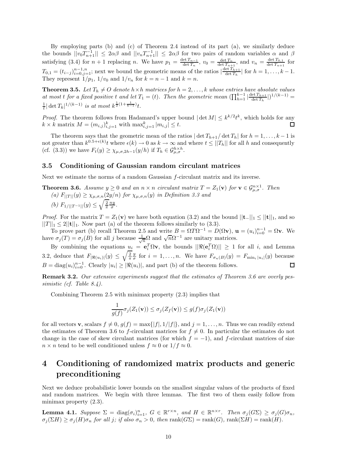By employing parts (b) and (c) of Theorem 2.4 instead of its part (a), we similarly deduce the bounds  $||v_0T_{n+1}^{-1}|| \le 2\alpha\beta$  and  $||v_nT_{n+1}^{-1}|| \le 2\alpha\beta$  for two pairs of random variables  $\alpha$  and  $\beta$ satisfying (3.4) for  $n + 1$  replacing *n*. We have  $p_1 = \frac{\det T_{n-1}}{\det T_n}$ ,  $v_0 = \frac{\det T_n}{\det T_{n+1}}$ , and  $v_n = \frac{\det T_{0,1}}{\det T_{n+1}}$  for  $T_{0,1} = (t_{i-j})_{i=0,j=1}^{n-1,n}$ ; next we bound the geometric means of the ratios  $\left|\frac{\det T_{h+1}}{\det T_h}\right|$  for  $h = 1, \ldots, k-1$ . They represent  $1/p_1$ ,  $1/v_0$  and  $1/v_n$  for  $k = n - 1$  and  $k = n$ .

**Theorem 3.5.** Let  $T_h \neq O$  denote  $h \times h$  matrices for  $h = 2, \ldots, k$  whose entries have absolute values *at most t for a fixed positive t and let*  $T_1 = (t)$ *. Then the geometric mean*  $(\prod_{h=1}^{k-1} |\frac{\det T_{h+1}}{\det T_h}|)^{1/(k-1)}$  $\frac{1}{t} |\det T_k|^{1/(k-1)}$  *is at most*  $k^{\frac{1}{2}(1+\frac{1}{k-1})}t$ *.* 

*Proof.* The theorem follows from Hadamard's upper bound  $|\det M| \leq k^{k/2} t^k$ , which holds for any  $k \times k$  matrix  $M = (m_{i,j})_{i,j=1}^k$  with  $\max_{i,j=1}^k |m_{i,j}| \leq t$ . ◻

The theorem says that the geometric mean of the ratios  $|\det T_{h+1}/\det T_h|$  for  $h = 1, \ldots, k-1$  is not greater than  $k^{0.5+\epsilon(k)}$  *t* where  $\epsilon(k) \to 0$  as  $k \to \infty$  and where  $t \le ||T_h||$  for all *h* and consequently (cf. (3.3)) we have  $F_t(y) \geq \chi_{\mu,\sigma,2h-1}(y/h)$  if  $T_h \in \mathcal{G}_{\mu,\sigma}^{h \times h}$ .

#### **3.5 Conditioning of Gaussian random circulant matrices**

Next we estimate the norms of a random Gaussian *f*-circulant matrix and its inverse.

**Theorem 3.6.** *Assume*  $y \ge 0$  *and an*  $n \times n$  *circulant matrix*  $T = Z_1(\mathbf{v})$  *for*  $\mathbf{v} \in \mathcal{G}_{\mu,\sigma}^{n \times 1}$ *. Then*  $(a)$   $F_{\vert\vert T\vert\vert}(y) \geq \chi_{\mu,\sigma,n}(2y/n)$  *for*  $\chi_{\mu,\sigma,n}(y)$  *in Definition 3.3 and (b)*  $F_{1/||T^{-1}||}(y) \leq \sqrt{\frac{2}{\pi}} \frac{ny}{\sigma}$ .

*Proof.* For the matrix  $T = Z_1(\mathbf{v})$  we have both equation (3.2) and the bound  $||\mathbf{t} - ||_1 \leq ||\mathbf{t}||_1$ , and so  $||T||_1 \leq 2||{\bf t}||_1$ . Now part (a) of the theorem follows similarly to (3.3).

To prove part (b) recall Theorem 2.5 and write  $B = \Omega T \Omega^{-1} = D(\Omega \mathbf{v}), \mathbf{u} = (u_i)_{i=0}^{n-1} = \Omega \mathbf{v}.$  We have *σ*<sub>*j*</sub>(*T*) = *σ*<sub>*j*</sub>(*B*) for all *j* because  $\frac{1}{\sqrt{n}}Ω$  and  $\sqrt{n}Ω^{-1}$  are unitary matrices.

By combining the equations  $u_i = e_i^T \Omega v$ , the bounds  $||\Re(e_i^T \Omega)|| \ge 1$  for all *i*, and Lemma 3.2, deduce that  $F_{|\Re(u_i)|}(y) \le \sqrt{\frac{2}{\pi}} \frac{y}{\sigma}$  for  $i = 1, \ldots, n$ . We have  $F_{\sigma_n(B)}(y) = F_{\min_i |u_i|}(y)$  because  $B = \text{diag}(u_i)_{i=0}^{n-1}$ . Clearly  $|u_i| \geq |\Re(u_i)|$ , and part (b) of the theorem follows. 口

**Remark 3.2.** *Our extensive experiments suggest that the estimates of Theorem 3.6 are overly pessimistic (cf. Table 8.4).*

Combining Theorem 2.5 with minimax property (2.3) implies that

$$
\frac{1}{g(f)}\sigma_j(Z_1(\mathbf{v})) \le \sigma_j(Z_f(\mathbf{v})) \le g(f)\sigma_j(Z_1(\mathbf{v}))
$$

for all vectors **v**, scalars  $f \neq 0$ ,  $g(f) = \max\{|f|, 1/|f|\}$ , and  $j = 1, \ldots, n$ . Thus we can readily extend the estimates of Theorem 3.6 to *f*-circulant matrices for  $f \neq 0$ . In particular the estimates do not change in the case of skew circulant matrices (for which  $f = -1$ ), and *f*-circulant matrices of size  $n \times n$  tend to be well conditioned unless  $f \approx 0$  or  $1/f \approx 0$ .

# **4 Conditioning of randomized matrix products and generic preconditioning**

Next we deduce probabilistic lower bounds on the smallest singular values of the products of fixed and random matrices. We begin with three lemmas. The first two of them easily follow from minimax property  $(2.3)$ .

**Lemma 4.1.** Suppose  $\Sigma = \text{diag}(\sigma_i)_{i=1}^n$ ,  $G \in \mathbb{R}^{r \times n}$ , and  $H \in \mathbb{R}^{n \times r}$ . Then  $\sigma_j(G\Sigma) \geq \sigma_j(G)\sigma_n$ ,  $\sigma_j(\Sigma H) \geq \sigma_j(H)\sigma_n$  for all j; if also  $\sigma_n > 0$ , then rank $(G \Sigma) = \text{rank}(G)$ , rank $(\Sigma H) = \text{rank}(H)$ .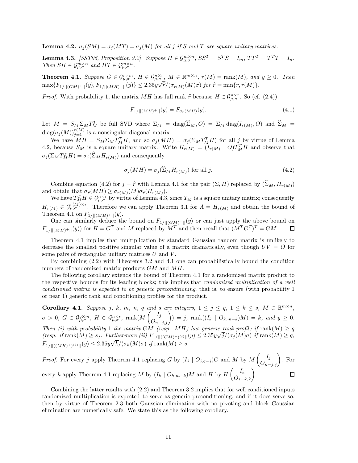**Lemma 4.2.**  $\sigma_j(SM) = \sigma_j(MT) = \sigma_j(M)$  for all *j* if *S* and *T* are square unitary matrices.

**Lemma 4.3.** [SST06, Proposition 2.2]. Suppose  $H \in \mathcal{G}_{\mu,\sigma}^{m \times n}$ ,  $SS^T = S^T S = I_m$ ,  $TT^T = T^T T = I_n$ . *Then*  $SH \in \mathcal{G}_{\mu,\sigma}^{m \times n}$  *and*  $HT \in \mathcal{G}_{\mu,\sigma}^{m \times n}$ .

**Theorem 4.1.** Suppose  $G \in \mathcal{G}_{\mu,\sigma}^{r\times m}$ ,  $H \in \mathcal{G}_{\mu,\sigma}^{n\times r}$ ,  $M \in \mathbb{R}^{m\times n}$ ,  $r(M) = \text{rank}(M)$ , and  $y \ge 0$ . Then  $\max\{F_{1/||(GM)^{+}||}(y), F_{1/||(MH)^{+}||}(y)\}\leq 2.35y\sqrt{\hat{r}}/(\sigma_{r(M)}(M)\sigma)$  for  $\hat{r} = \min\{r, r(M)\}.$ 

*Proof.* With probability 1, the matrix *MH* has full rank  $\hat{r}$  because  $H \in \mathcal{G}_{\mu,\sigma}^{n \times r}$ . So (cf. (2.4))

$$
F_{1/||(MH)^{+}||}(y) = F_{\sigma_{\hat{r}}(MH)}(y). \tag{4.1}
$$

Let  $M = S_M \Sigma_M T_M^T$  be full SVD where  $\Sigma_M = \text{diag}(\Sigma_M, O) = \Sigma_M \text{diag}(I_{r(M)}, O)$  and  $\widehat{\Sigma}_M =$  $\text{diag}(\sigma_j(M))_{j=1}^{r(M)}$  is a nonsingular diagonal matrix.

We have  $MH = S_M \Sigma_M T_M^T H$ , and so  $\sigma_j(MH) = \sigma_j(\Sigma_M T_M^T H)$  for all  $j$  by virtue of Lemma 4.2, because  $S_M$  is a square unitary matrix. Write  $H_{r(M)} = (I_{r(M)} \mid O)T_M^T H$  and observe that  $\sigma_j(\Sigma_M T_M^T H) = \sigma_j(\Sigma_M H_{r(M)})$  and consequently

$$
\sigma_j(MH) = \sigma_j(\widehat{\Sigma}_M H_{r(M)}) \text{ for all } j.
$$
\n(4.2)

Combine equation (4.2) for  $j = \hat{r}$  with Lemma 4.1 for the pair  $(\Sigma, H)$  replaced by  $(\widehat{\Sigma}_M, H_{r(M)})$ and obtain that  $\sigma_{\widehat{r}}(MH) \geq \sigma_{r(M)}(M)\sigma_{\widehat{r}}(H_{r(M)})$ .

We have  $T_M^T H \in \mathcal{G}_{\mu,\sigma}^{n \times r}$  by virtue of Lemma 4.3, since  $T_M$  is a square unitary matrix; consequently  $H_{r(M)} \in \mathcal{G}_{\mu,\sigma}^{r(M)\times r}$ . Therefore we can apply Theorem 3.1 for  $A = H_{r(M)}$  and obtain the bound of Theorem 4.1 on  $F_{1/}||(MH)^+||(y)$ .

One can similarly deduce the bound on  $F_{1/||(GM)^+||}(y)$  or can just apply the above bound on  $F_{1/||(GM)^+||}(y)$  for  $H = G^T$  and M replaced by  $M^T$  and then recall that  $(M^T G^T)^T = GM$ . *F*<sub>1</sub>/||(*MH*)+||(*y*)) for  $H = G^T$  and *M* replaced by  $M^T$  and then recall that  $(M^T G^T)^T = GM$ .

Theorem 4.1 implies that multiplication by standard Gaussian random matrix is unlikely to decrease the smallest positive singular value of a matrix dramatically, even though  $UV = O$  for some pairs of rectangular unitary matrices *U* and *V* .

By combining (2.2) with Theorems 3.2 and 4.1 one can probabilistically bound the condition numbers of randomized matrix products *GM* and *MH*.

The following corollary extends the bound of Theorem 4.1 for a randomized matrix product to the respective bounds for its leading blocks; this implies that *randomized multiplication of a well conditioned matrix is expected to be generic preconditioning*, that is, to ensure (with probability 1 or near 1) generic rank and conditioning profiles for the product.

**Corollary 4.1.** Suppose j, k, m, n, q and s are integers,  $1 \le j \le q$ ,  $1 \le k \le s$ ,  $M \in \mathbb{R}^{m \times n}$ ,  $\sigma > 0, G \in \mathcal{G}_{\mu,\sigma}^{q \times m}, H \in \mathcal{G}_{\mu,\sigma}^{n \times s}, \text{ rank}(M\begin{pmatrix}I_j\O_{n-j,j}\end{pmatrix}) = j, \text{ rank}((I_k \mid O_{k,m-k})M) = k, \text{ and } y \geq 0.$ *Then* (i) with probability 1 the matrix GM (resp. MH) has generic rank profile if rank( $M$ )  $\geq q$ Then (i) with probability 1 the matrix  $GM$  (resp. MTI) has generic rank projue if  $\text{rank}(M) \geq q$ <br>(resp. if  $\text{rank}(M) \geq s$ ). Furthermore (ii)  $F_{1/||(((GM)^+)(i)||)}(y) \leq 2.35y\sqrt{j}/(\sigma_j(M)\sigma)$  if  $\text{rank}(M) \geq q$ ,  $F_{1/||(((MH)^{+})(k)||}(y) \leq 2.35y\sqrt{k}/(\sigma_k(M)\sigma)$  *if* rank $(M) \geq s$ .

*Proof.* For every 
$$
j
$$
 apply Theorem 4.1 replacing  $G$  by  $(I_j \mid O_{j,q-j})G$  and  $M$  by  $M\begin{pmatrix} I_j \\ O_{n-j,j} \end{pmatrix}$ . For every  $k$  apply Theorem 4.1 replacing  $M$  by  $(I_k \mid O_{k,m-k})M$  and  $H$  by  $H\begin{pmatrix} I_k \\ O_{s-k,k} \end{pmatrix}$ .

Combining the latter results with (2.2) and Theorem 3.2 implies that for well conditioned inputs randomized multiplication is expected to serve as generic preconditioning, and if it does serve so, then by virtue of Theorem 2.3 both Gaussian elimination with no pivoting and block Gaussian elimination are numerically safe. We state this as the following corollary.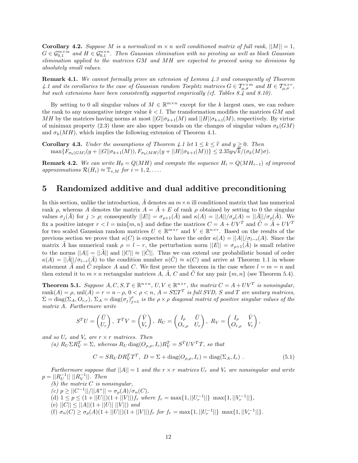**Corollary 4.2.** *Suppose M is a normalized*  $m \times n$  *well conditioned matrix of full rank,*  $||M|| = 1$ *,*  $G \in \mathcal{G}_{0,1}^{m \times m}$  and  $H \in \mathcal{G}_{0,1}^{n \times n}$ . Then Gaussian elimination with no pivoting as well as block Gaussian *elimination applied to the matrices GM and MH are expected to proceed using no divisions by absolutely small values.*

**Remark 4.1.** *We cannot formally prove an extension of Lemma 4.3 and consequently of Theorem 4.1 and its corollaries to the case of Gaussian random Toeplitz matrices*  $G \in T_{\mu,\sigma}^{r \times m}$  *and*  $H \in T_{\mu,\sigma}^{n \times r}$ , *but such extensions have been consistently supported empirically (cf. Tables 8.4 and 8.10).*

By setting to 0 all singular values of  $M \in \mathbb{R}^{m \times n}$  except for the *k* largest ones, we can reduce the rank to any nonnegative integer value  $k < l$ . The transformation modifies the matrices  $GM$  and *MH* by the matrices having norms at most  $||G||\sigma_{k+1}(M)$  and  $||H||\sigma_{k+1}(M)$ , respectively. By virtue of minimax property (2.3) these are also upper bounds on the changes of singular values  $\sigma_k(GM)$ and  $\sigma_k(MH)$ , which implies the following extension of Theorem 4.1.

**Corollary 4.3.** *Under the assumptions of Theorem 4.1 let*  $1 \leq k \leq \hat{r}$  *and*  $y \geq 0$ *. Then*  $\max\{F \mod y \mid C\}$  ( $\min\{F \mid C\}$ )  $\subseteq N$  ( $M$ ))  $\subseteq N$  ( $M$ ) ( $\max\{F \mid C\}$ ) ( $\min\{F \mid C\}$ ) ( $M$ )  $\max\{F_{\sigma_k(GM)}(y+||G||\sigma_{k+1}(M)), F_{\sigma_k(MH)}(y+||H||\sigma_{k+1}(M))\}\leq 2.35y\sqrt{k/(\sigma_k(M)\sigma)}.$ 

**Remark 4.2.** We can write  $H_0 = Q(MH)$  and compute the sequence  $H_i = Q(MH_{i-1})$  of improved  $approximations \mathcal{R}(H_i) \approx \mathbb{T}_{s,M}$  *for*  $i = 1, 2, \ldots$ 

## **5 Randomized additive and dual additive preconditioning**

In this section, unlike the introduction,  $\tilde{A}$  denotes an  $m \times n$  ill conditioned matrix that has numerical rank  $\rho$ , whereas *A* denotes the matrix  $A = \overline{A} + E$  of rank  $\rho$  obtained by setting to 0 the singular values  $\sigma_j(A)$  for  $j > \rho$ ; consequently  $||E|| = \sigma_{\rho+1}(A)$  and  $\kappa(A) = ||A||/\sigma_{\rho}(A) = ||A||/\sigma_{\rho}(A)$ . We fix a positive integer  $r < l = \min\{m, n\}$  and define the matrices  $C = A + UV^T$  and  $\tilde{C} = \tilde{A} + UV^T$ for two scaled Gaussian random matrices  $U \in \mathbb{R}^{m \times r}$  and  $V \in \mathbb{R}^{n \times r}$ . Based on the results of the previous section we prove that  $\kappa(C)$  is expected to have the order  $\kappa(A) = ||A|| / \sigma_{l-r}(A)$ . Since the matrix *A* has numerical rank  $\rho = l - r$ , the perturbation norm  $||E|| = \sigma_{\rho+1}(A)$  is small relative to the norms  $||A|| = ||\tilde{A}||$  and  $||C|| \approx ||\tilde{C}||$ . Thus we can extend our probabilistic bound of order  $\kappa(A) = ||\tilde{A}||/\sigma_{l-r}(\tilde{A})$  to the condition number  $\kappa(\tilde{C}) \approx \kappa(C)$  and arrive at Theorem 1.1 in whose statement *A* and *C* replace *A* and *C*. We first prove the theorem in the case where  $l = m = n$  and then extend it to  $m \times n$  rectangular matrices A,  $\tilde{A}$ , C and  $\tilde{C}$  for any pair  $\{m, n\}$  (see Theorem 5.4).

**Theorem 5.1.** *Suppose*  $A, C, S, T \in \mathbb{R}^{n \times n}$ ,  $U, V \in \mathbb{R}^{n \times r}$ , the matrix  $C = A + UV^T$  is nonsingular,  $rank(A) = \rho$ ,  $null(A) = r = n - \rho$ ,  $0 < \rho < n$ ,  $A = S\Sigma T^T$  *is full SVD, S and T are unitary matrices,*  $\Sigma = \text{diag}(\Sigma_A, O_{r,r})$ ,  $\Sigma_A = \text{diag}(\sigma_j)_{j=1}^{\rho}$  is the  $\rho \times \rho$  diagonal matrix of positive singular values of the *matrix A. Furthermore write*

$$
S^{T}U = \begin{pmatrix} \bar{U} \\ U_{r} \end{pmatrix}, T^{T}V = \begin{pmatrix} \bar{V} \\ V_{r} \end{pmatrix}, R_{U} = \begin{pmatrix} I_{\rho} & \bar{U} \\ O_{r,\rho} & U_{r} \end{pmatrix}, R_{V} = \begin{pmatrix} I_{\rho} & \bar{V} \\ O_{r,\rho} & V_{r} \end{pmatrix},
$$

*and so*  $U_r$  *and*  $V_r$  *are*  $r \times r$  *matrices. Then* 

 $P(V|X|Z) = \sum_{i=1}^{N} P(V|X|Z) = \sum_{i=1}^{N} P(V|X|Z) = \sum_{i=1}^{N} P(V|X|Z) = \sum_{i=1}^{N} P(V|X|Z) = \sum_{i=1}^{N} P(V|X|Z)$ 

$$
C = SR_U DR_V^T T^T, \ D = \Sigma + \text{diag}(O_{\rho,\rho}, I_r) = \text{diag}(\Sigma_A, I_r) \ . \tag{5.1}
$$

*Furthermore suppose that*  $||A|| = 1$  *and the*  $r \times r$  *matrices*  $U_r$  *and*  $V_r$  *are nonsingular and write*  $p = ||R_U^{-1}|| \, ||R_V^{-1}|| \, . \text{ Then}$ 

- *(b) the matrix C is nonsingular,*
- *(c) p* ≥ ||*C*−<sup>1</sup>||*/*||*A*<sup>+</sup>|| = *σρ*(*A*)*/σn*(*C*)*,*
- $p \leq (1 + ||U||)(1 + ||V||)f_r$  where  $f_r = \max\{1, ||U_r^{-1}||\} \max\{1, ||V_r^{-1}||\},$
- (e)  $||C|| \leq ||A||(1 + ||U|| \, ||V||)$  *and*
- (f)  $\sigma_n(C) \geq \sigma_\rho(A)(1+||U||)(1+||V||)f_r$  for  $f_r = \max\{1, ||U_r^{-1}||\}$   $\max\{1, ||V_r^{-1}||\}.$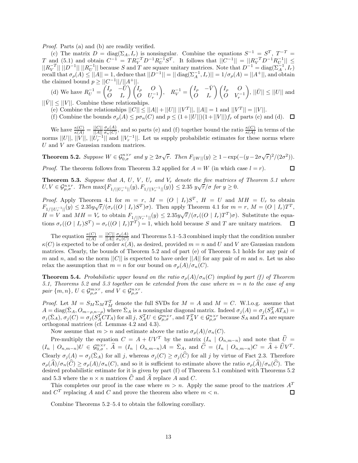*Proof.* Parts (a) and (b) are readily verified.

(c) The matrix  $D = \text{diag}(\Sigma_A, I_r)$  is nonsingular. Combine the equations  $S^{-1} = S^T$ ,  $T^{-T} =$ *T* and (5.1) and obtain  $C^{-1} = TR_V^{-T}D^{-1}R_U^{-1}S^T$ . It follows that  $||C^{-1}|| = ||R_V^{-T}D^{-1}R_U^{-1}|| \le$  $||R_V^{-T}|| \cdot ||D^{-1}|| \cdot ||R_U^{-1}||$  because *S* and *T* are square unitary matrices. Note that  $D^{-1} = \text{diag}(\Sigma_A^{-1}, I_r)$  $\int \text{d} \vec{r} \cdot d\vec{r} \cdot d\vec{r} = \int |\vec{A}| = 1$ , deduce that  $||D^{-1}|| = ||\text{diag}(\Sigma_A^{-1}, I_r)|| = 1/\sigma_\rho(A) = ||A^+||$ , and obtain the claimed bound  $p \geq ||C^{-1}||/||A^+||$ .

(d) We have  $R_U^{-1} = \begin{pmatrix} I_\rho & -\bar{U} & \bar{U} \\ O & I_\rho & \bar{U} \end{pmatrix}$ *O I<sup>r</sup>* - *I<sup>ρ</sup> O*  $\overline{O}$  *U<sub>r</sub>*<sup>-1</sup>  $R_V^{-1} = \begin{pmatrix} I_\rho & -\bar{V} \\ O & I_\rho \end{pmatrix}$ *O I<sup>r</sup>* - *I<sup>ρ</sup> O*  $\overline{O}$  *V*<sub>r</sub><sup>-1</sup>  $\Big), ||\bar{U}|| \leq ||U||$  and

 $||V|| \leq ||V||$ . Combine these relationships.

- (e) Combine the relationships  $||C|| \le ||A|| + ||U|| ||V^T||$ ,  $||A|| = 1$  and  $||V^T|| = ||V||$ .
- (f) Combine the bounds  $\sigma_{\rho}(A) \leq p\sigma_n(C)$  and  $p \leq (1+||U||)(1+||V||)f_r$  of parts (c) and (d).  $\Box$

We have  $\frac{\kappa(C)}{\kappa(A)} = \frac{||C||}{||A||}$  $\frac{\sigma_p(A)}{\sigma_n(C)}$ , and so parts (e) and (f) together bound the ratio  $\frac{\kappa(C)}{\kappa(A)}$  in terms of the norms  $||U||$ ,  $||V||$ ,  $||U_T^{-1}||$  and  $||V_T^{-1}||$ . Let us supply probabilstic estimates for these norms where *U* and *V* are Gaussian random matrices.

**Theorem 5.2.** Suppose  $W \in \mathcal{G}_{0,\sigma}^{n \times r}$  and  $y \geq 2\sigma\sqrt{r}$ . Then  $F_{||W||}(y) \geq 1 - \exp(-(y - 2\sigma\sqrt{r})^2/(2\sigma^2))$ .

□

*Proof.* The theorem follows from Theorem 3.2 applied for  $A = W$  (in which case  $l = r$ ).

**Theorem 5.3.** *Suppose that A, U, V , U<sup>r</sup> and V<sup>r</sup> denote the five matrices of Theorem 5.1 where U, V*  $\in$   $\mathcal{G}_{\mu,\sigma}^{n\times r}$ . Then max $\{F_{1/||U_{r}^{-1}||}(y), F_{1/||V_{r}^{-1}||}(y)\}$   $\leq$  2.35  $y\sqrt{r}/\sigma$  for  $y \geq 0$ .

*Proof.* Apply Theorem 4.1 for  $m = r$ ,  $M = (O | I_r)S^T$ ,  $H = U$  and  $MH = U_r$  to obtain  $F_{1/||U_r^{-1}||}(y) \leq 2.35y\sqrt{r}/(\sigma_r((O \mid I_r)S^T)\sigma)$ . Then apply Theorem 4.1 for  $m = r$ ,  $M = (O \mid I_r)T^T$ ,  $H = V$  and  $MH = V_r$  to obtain  $F_{1/||V_r^{-1}||}(y) \leq 2.35y\sqrt{r}/(\sigma_r((O \mid I_r)T^T)\sigma)$ . Substitute the equations  $\sigma_r((O \mid I_r)S^T) = \sigma_r((O \mid I_r)T^T) = 1$ , which hold because *S* and *T* are unitary matrices. □

The equation  $\frac{\kappa(C)}{\kappa(A)} = \frac{||C||}{||A||}$  $\frac{\sigma_p(A)}{\sigma_n(C)}$  and Theorems 5.1–5.3 combined imply that the condition number  $\kappa(C)$  is expected to be of order  $\kappa(A)$ , as desired, provided  $m = n$  and *U* and *V* are Gaussian random matrices. Clearly, the bounds of Theorem 5.2 and of part (e) of Theorem 5.1 holds for any pair of *m* and *n*, and so the norm  $||C||$  is expected to have order  $||A||$  for any pair of *m* and *n*. Let us also relax the assumption that  $m = n$  for our bound on  $\sigma_{\rho}(A)/\sigma_n(C)$ .

**Theorem 5.4.** *Probabilistic upper bound on the ratio*  $\sigma_{\rho}(A)/\sigma_n(C)$  *implied by part (f) of Theorem 5.1, Theorems 5.2 and 5.3 together can be extended from the case where m* = *n to the case of any pair*  $\{m, n\}$ *,*  $U \in \mathcal{G}_{\mu, \sigma}^{m \times r}$ *, and*  $V \in \mathcal{G}_{\mu, \sigma}^{n \times r}$ *.* 

*Proof.* Let  $M = S_M \Sigma_M T_M^T$  denote the full SVDs for  $M = A$  and  $M = C$ . W.l.o.g. assume that  $A = \text{diag}(\bar{\Sigma}_A, O_{m-\rho,n-\rho})$  where  $\bar{\Sigma}_A$  is a nonsingular diagonal matrix. Indeed  $\sigma_j(A) = \sigma_j(S_A^T A T_A) =$  $\sigma_j(\bar{\Sigma}_A), \sigma_j(C) = \sigma_j(S_A^TCT_A)$  for all  $j, S_A^TU \in \mathcal{G}^{m \times r}_{\mu,\sigma}$ , and  $T_A^TV \in \mathcal{G}^{n \times r}_{\mu,\sigma}$  because  $S_A$  and  $T_A$  are square orthogonal matrices (cf. Lemmas 4.2 and 4.3).

Now assume that  $m > n$  and estimate above the ratio  $\sigma_p(A)/\sigma_n(C)$ .

Pre-multiply the equation  $C = A + UV^T$  by the matrix  $(I_n \mid O_{n,m-n})$  and note that  $\hat{U}$  $(I_n \mid O_{n,m-n})U \in \mathcal{G}_{0,\sigma}^{n \times r}$ ,  $\hat{A} = (I_n \mid O_{n,m-n})A = \bar{\Sigma}_A$ , and  $\hat{C} = (I_n \mid O_{n,m-n})C = \hat{A} + \hat{U}V^T$ . Clearly  $\sigma_j(A) = \sigma_j(\bar{\Sigma}_A)$  for all *j*, whereas  $\sigma_j(C) \geq \sigma_j(\widehat{C})$  for all *j* by virtue of Fact 2.3. Therefore  $\sigma_p(\widehat{A})/\sigma_n(\widehat{C}) \geq \sigma_p(A)/\sigma_n(C)$ , and so it is sufficient to estimate above the ratio  $\sigma_p(\widehat{A})/\sigma_n(\widehat{C})$ . The desired probabilistic estimate for it is given by part (f) of Theorem 5.1 combined with Theorems 5.2 and 5.3 where the  $n \times n$  matrices  $\widehat{C}$  and  $\widehat{A}$  replace A and C.

This completes our proof in the case where  $m > n$ . Apply the same proof to the matrices  $A<sup>T</sup>$ and  $C<sup>T</sup>$  replacing *A* and *C* and prove the theorem also where  $m < n$ .  $\Box$ 

Combine Theorems 5.2–5.4 to obtain the following corollary.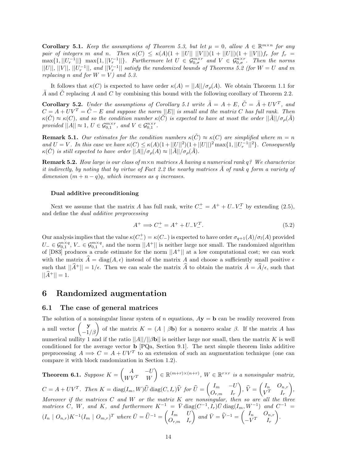**Corollary 5.1.** *Keep the assumptions of Theorem 5.3, but let*  $\mu = 0$ , allow  $A \in \mathbb{R}^{m \times n}$  *for any pair of integers m* and *n*. Then  $\kappa(C) \leq \kappa(A)(1 + ||U|| \, ||V||)(1 + ||U||)(1 + ||V||)f_r$  for  $f_r =$  $\max\{1, ||U_r^{-1}||\}$   $\max\{1, ||V_r^{-1}||\}$ *. Furthermore let*  $U \in \mathcal{G}_{0,\sigma}^{m \times r}$  and  $V \in \mathcal{G}_{0,\sigma}^{n \times r}$ *. Then the norms*  $||U||$ ,  $||V||$ ,  $||U_r^{-1}||$ , and  $||V_r^{-1}||$  satisfy the randomized bounds of Theorems 5.2 (for  $W = U$  and  $m$ *replacing n and for*  $W = V$ *) and* 5.3.

It follows that  $\kappa(C)$  is expected to have order  $\kappa(A) = ||A|| / \sigma_o(A)$ . We obtain Theorem 1.1 for  $\tilde{A}$  and  $\tilde{C}$  replacing *A* and *C* by combining this bound with the following corollary of Theorem 2.2.

**Corollary 5.2.** *Under the assumptions of Corollary 5.1 write*  $\tilde{A} = A + E$ ,  $\tilde{C} = \tilde{A} + UV^T$ , and  $C = A + UV^T = C - E$  and suppose the norm  $||E||$  is small and the matrix *C* has full rank. Then  $\kappa(\tilde{C}) \approx \kappa(C)$ , and so the condition number  $\kappa(\tilde{C})$  is expected to have at most the order  $||\tilde{A}||/\sigma_{\rho}(\tilde{A})$ *provided*  $||A|| \approx 1, U \in \mathcal{G}_{0,1}^{m \times r}$ , and  $V \in \mathcal{G}_{0,1}^{n \times r}$ .

**Remark 5.1.** *Our estimates for the condition numbers*  $\kappa(C) \approx \kappa(C)$  *are simplified where*  $m = n$ *and*  $U = V$ . In this case we have  $\kappa(C) \leq \kappa(A)(1 + ||U||^2)(1 + ||U||)^2 \max\{1, ||U_x^{-1}||^2\}$ . Consequently  $\kappa(\tilde{C})$  *is still expected to have order*  $||A||/\sigma_{\rho}(A) \approx ||\tilde{A}||/\sigma_{\rho}(\tilde{A})$ .

**Remark 5.2.** *How large is our class of m*×*n matrices A having a numerical rank q? We characterize it indirectly, by noting that by virtue of Fact 2.2 the nearby matrices*  $\tilde{A}$  *of rank q form a variety of dimension*  $(m + n - q)q$ *, which increases as q increases.* 

#### **Dual additive preconditioning**

Next we assume that the matrix *A* has full rank, write  $C_{-}^{+} = A^{+} + U_{-}V_{-}^{T}$  by extending (2.5), and define the *dual additive preprocessing*

$$
A^{+} \implies C_{-}^{+} = A^{+} + U_{-}V_{-}^{T}.
$$
\n(5.2)

Our analysis implies that the value  $\kappa(C_{-}^{+}) = \kappa(C_{-})$  is expected to have order  $\sigma_{q+1}(A)/\sigma_{l}(A)$  provided  $U_-\in \mathcal{G}_{0,1}^{n\times q}$ ,  $V_-\in \mathcal{G}_{0,1}^{m\times q}$ , and the norm  $||A^+||$  is neither large nor small. The randomized algorithm of  $[D83]$  produces a crude estimate for the norm  $||A^+||$  at a low computational cost; we can work with the matrix  $\hat{A} = \text{diag}(A, \epsilon)$  instead of the matrix A and choose a sufficiently small positive  $\epsilon$ such that  $||\hat{A}^+|| = 1/\epsilon$ . Then we can scale the matrix  $\hat{A}$  to obtain the matrix  $\tilde{A} = \hat{A}/\epsilon$ , such that  $||A^+|| = 1.$ 

## **6 Randomized augmentation**

#### **6.1 The case of general matrices**

The solution of a nonsingular linear system of *n* equations,  $A\mathbf{y} = \mathbf{b}$  can be readily recovered from a null vector  $\begin{pmatrix} \mathbf{y} \\ -1/\beta \end{pmatrix}$  of the matrix  $K = (A | \beta \mathbf{b})$  for a nonzero scalar  $\beta$ . If the matrix *A* has numerical nullity 1 and if the ratio  $||A||/||B||$  is neither large nor small, then the matrix *K* is well conditioned for the average vector **b** [PQa, Section 9.1]. The next simple theorem links additive preprocessing  $A \implies C = A + UV^T$  to an extension of such an augmentation technique (one can compare it with block randomization in Section 1.2).

**Theorem 6.1.** *Suppose*  $K = \begin{pmatrix} A & -U \\ W V^T & W \end{pmatrix}$  $W V^T$  *W*  $\left\{ \in \mathbb{R}^{(m+r)\times(n+r)}, W \in \mathbb{R}^{r\times r} \text{ is a nonsingular matrix,} \right\}$  $C = A + UV^T$ . Then  $K = \text{diag}(I_m, W)\hat{U} \text{diag}(C, I_r)\hat{V}$  for  $\hat{U} = \begin{pmatrix} I_m & -U \\ O_{r,m} & I_r \end{pmatrix}$ *Or,m I<sup>r</sup>*  $\hat{V} = \begin{pmatrix} I_n & O_{n,r} \\ V^T & I_r \end{pmatrix}$  $\sim$   $\sim$   $\sim$   $\sim$   $\sim$   $\sim$  $V^T$  *I<sub>r</sub>* -*, Moreover if the matrices C and W or the matrix K are nonsingular, then so are all the three*  $m \text{arrices } C, W, \text{ and } K, \text{ and further more } K^{-1} = \overline{V} \text{diag}(C^{-1}, I_r) \overline{U} \text{diag}(I_m, W^{-1}) \text{ and } C^{-1} =$  $(I_n \mid O_{n,r})K^{-1}(I_m \mid O_{m,r})^T$  where  $\bar{U} = \hat{U}^{-1} = \begin{pmatrix} I_m & U \\ O_{r,m} & I_n \end{pmatrix}$  $O_{r,m}$  *I<sub>r</sub>*  $\left\{ \begin{array}{cc} \eta & \partial_{n,r} \\ \eta & \nabla_{r} \end{array} \right\}$  and  $\overline{V} = \widehat{V}^{-1} = \begin{pmatrix} I_n & \partial_{n,r} \\ -V^T & I_r \end{pmatrix}$  $-V^T$  *I<sub>r</sub>* - *.*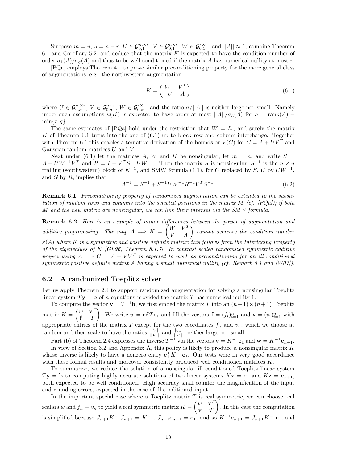Suppose  $m = n$ ,  $q = n - r$ ,  $U \in \mathcal{G}_{0,1}^{m \times r}$ ,  $V \in \mathcal{G}_{0,1}^{n \times r}$ ,  $W \in \mathcal{G}_{0,1}^{r \times r}$ , and  $||A|| \approx 1$ , combine Theorem 6.1 and Corollary 5.2, and deduce that the matrix *K* is expected to have the condition number of order  $\sigma_1(A)/\sigma_q(A)$  and thus to be well conditioned if the matrix *A* has numerical nullity at most *r*.

[PQa] employs Theorem 4.1 to prove similar preconditioning property for the more general class of augmentations, e.g., the northwestern augmentation

$$
K = \begin{pmatrix} W & V^T \\ -U & A \end{pmatrix} \tag{6.1}
$$

where  $U \in \mathcal{G}_{0,\sigma}^{m \times r}$ ,  $V \in \mathcal{G}_{0,\sigma}^{n \times r}$ ,  $W \in \mathcal{G}_{0,\sigma}^{r \times r}$ , and the ratio  $\sigma/||A||$  is neither large nor small. Namely under such assumptions  $\kappa(K)$  is expected to have order at most  $||A||/\sigma_h(A)$  for  $h = \text{rank}(A)$  –  $\min\{r, q\}.$ 

The same estimates of  $[PQa]$  hold under the restriction that  $W = I_n$ , and surely the matrix *K* of Theorem 6.1 turns into the one of (6.1) up to block row and column interchange. Together with Theorem 6.1 this enables alternative derivation of the bounds on  $\kappa(C)$  for  $C = A + UV^T$  and Gaussian random matrices *U* and *V* .

Next under (6.1) let the matrices A, W and K be nonsingular, let  $m = n$ , and write  $S =$  $A + UW^{-1}V^{T}$  and  $R = I - V^{T}S^{-1}UW^{-1}$ . Then the matrix *S* is nonsingular,  $S^{-1}$  is the  $n \times n$ trailing (southwestern) block of  $K^{-1}$ , and SMW formula (1.1), for *C* replaced by *S*, *U* by  $U W^{-1}$ , and *G* by *R*, implies that

$$
A^{-1} = S^{-1} + S^{-1}UW^{-1}R^{-1}V^{T}S^{-1}.
$$
\n(6.2)

**Remark 6.1.** *Preconditioning property of randomized augmentation can be extended to the substitution of random rows and columns into the selected positions in the matrix M (cf. [PQa]); if both M and the new matrix are nonsingular, we can link their inverses via the SMW formula.*

**Remark 6.2.** *Here is an example of minor differences between the power of augmentation and additive preprocessing.* The map  $A \implies K = \begin{pmatrix} W & V^T \\ V & A \end{pmatrix}$  cannot decrease the condition number *κ*(*A*) *where K is a symmetric and positive definite matrix; this follows from the Interlacing Property of the eigenvalues of K [GL96, Theorem 8.1.7]. In contrast scaled randomized symmetric additive preprocessing*  $A \implies C = A + VV^T$  *is expected to work as preconditioning for an ill conditioned symmetric positive definite matrix A having a small numerical nullity (cf. Remark 5.1 and [W07]).*

#### **6.2 A randomized Toeplitz solver**

Let us apply Theorem 2.4 to support randomized augmentation for solving a nonsingular Toeplitz linear system  $T$ **y** = **b** of *n* equations provided the matrix *T* has numerical nullity 1.

To compute the vector  $\mathbf{y} = T^{-1}\mathbf{b}$ , we first embed the matrix *T* into an  $(n+1) \times (n+1)$  Toeplitz matrix  $K = \begin{pmatrix} w & \mathbf{v}^T \\ \mathbf{r} & T \end{pmatrix}$ **f** *T* ). We write  $w = \mathbf{e}_1^T T \mathbf{e}_1$  and fill the vectors  $\mathbf{f} = (f_i)_{i=1}^n$  and  $\mathbf{v} = (v_i)_{i=1}^n$  with appropriate entries of the matrix  $T$  except for the two coordinates  $f_n$  and  $v_n$ , which we choose at random and then scale to have the ratios  $\frac{|f_n|}{||K||}$  and  $\frac{|v_n|}{||K||}$  neither large nor small.

Part (b) of Theorem 2.4 expresses the inverse  $T^{-1}$  via the vectors  $\mathbf{v} = K^{-1} \mathbf{e}_1$  and  $\mathbf{w} = K^{-1} \mathbf{e}_{n+1}$ .

In view of Section 3.2 and Appendix A, this policy is likely to produce a nonsingular matrix *K* whose inverse is likely to have a nonzero entry  $\mathbf{e}_1^T K^{-1} \mathbf{e}_1$ . Our tests were in very good accordance with these formal results and moreover consistently produced well conditioned matrices *K*.

To summarize, we reduce the solution of a nonsingular ill conditioned Toeplitz linear system  $T$ **y** = **b** to computing highly accurate solutions of two linear systems  $K$ **x** = **e**<sub>1</sub> and  $K$ **z** = **e**<sub>*n*+1</sub>, both expected to be well conditioned. High accuracy shall counter the magnification of the input and rounding errors, expected in the case of ill conditioned input.

In the important special case where a Toeplitz matrix *T* is real symmetric, we can choose real scalars *w* and  $f_n = v_n$  to yield a real symmetric matrix  $K = \begin{pmatrix} w & \mathbf{v}^T \\ \mathbf{v} & T \end{pmatrix}$ **v** *T* - . In this case the computation is simplified because  $J_{n+1}K^{-1}J_{n+1} = K^{-1}$ ,  $J_{n+1}\mathbf{e}_{n+1} = \mathbf{e}_1$ , and so  $K^{-1}\mathbf{e}_{n+1} = J_{n+1}K^{-1}\mathbf{e}_1$ , and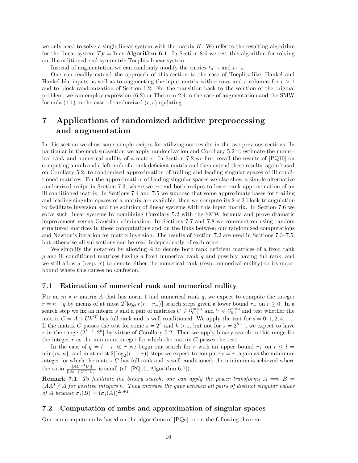we only need to solve a single linear system with the matrix *K*. We refer to the resulting algorithm for the linear system  $T$ **y** = **b** as **Algorithm 6.1**. In Section 8.6 we test this algorithm for solving an ill conditioned real symmetric Toeplitz linear system.

Instead of augmentation we can randomly modify the entries  $t_{n-1}$  and  $t_{1-n}$ .

One can readily extend the approach of this section to the case of Toeplitz-like, Hankel and Hankel-like inputs as well as to augmenting the input matrix with r rows and r columns for  $r > 1$ and to block randomization of Section 1.2. For the transition back to the solution of the original problem, we can employ expression (6.2) or Theorem 2.4 in the case of augmentation and the SMW formula  $(1.1)$  in the case of randomized  $(r, r)$  updating.

# **7 Applications of randomized additive preprocessing and augmentation**

In this section we show some simple recipes for utilizing our results in the two previous sections. In particular in the next subsection we apply randomization and Corollary 5.2 to estimate the numerical rank and numerical nullity of a matrix. In Section 7.2 we first recall the results of [PQ10] on computing a nmb and a left nmb of a rank deficient matrix and then extend these results, again based on Corollary 5.2, to randomized approximation of trailing and leading singular spaces of ill conditioned matrices. For the approximation of leading singular spaces we also show a simple alternative randomized recipe in Section 7.3, where we extend both recipes to lower-rank approximation of an ill conditioned matrix. In Sections 7.4 and 7.5 we suppose that some approximate bases for trailing and leading singular spaces of a matrix are available; then we compute its  $2 \times 2$  block triangulation to facilitate inversion and the solution of linear systems with this input matrix. In Section 7.6 we solve such linear systems by combining Corollary 5.2 with the SMW formula and prove dramatic improvement versus Gaussian elimination. In Sections 7.7 and 7.8 we comment on using random structured matrices in these computations and on the links between our randomized computations and Newton's iteration for matrix inversion. The results of Section 7.2 are used in Sections 7.3–7.5, but otherwise all subsections can be read independently of each other.

We simplify the notation by allowing *A* to denote both rank deficient matrices of a fixed rank *ρ* and ill conditioned matrices having a fixed numerical rank *q* and possibly having full rank, and we still allow  $q$  (resp.  $r$ ) to denote either the numerical rank (resp. numerical nullity) or its upper bound where this causes no confusion.

#### **7.1 Estimation of numerical rank and numerical nullity**

For an  $m \times n$  matrix A that has norm 1 and numerical rank q, we expect to compute the integer  $r = n - q$  by means of at most  $2\lceil \log_2 r(r - r_-\rceil) \rceil$  search steps given a lower bound  $r_-\,$  on  $r \geq 0$ . In a search step we fix an integer *s* and a pair of matrices  $U \in \mathcal{G}_{0,1}^{m \times s}$  and  $V \in \mathcal{G}_{0,1}^{n \times s}$  and test whether the matrix  $C = A + UV^T$  has full rank and is well conditioned. We apply the test for  $s = 0, 1, 2, 4, \ldots$ If the matrix *C* passes the test for some  $s = 2^h$  and  $h > 1$ , but not for  $s = 2^{h-1}$ , we expect to have *r* in the range  $(2^{h-1}, 2^h)$  by virtue of Corollary 5.2. Then we apply binary search in this range for the integer  $r$  as the minimum integer for which the matrix  $C$  passes the test.

In the case of  $q = l - r \ll r$  we begin our search for *r* with an upper bound  $r_{+}$  on  $r \leq l =$  $\min\{m, n\}$ , and in at most  $2\lceil \log_2(r_+ - r) \rceil$  steps we expect to compute  $s = r$ , again as the minimum integer for which the matrix *C* has full rank and is well conditioned; the minimum is achieved where the ratio  $\frac{||AC^{-1}U||}{||A|| ||C^{-1}U||}$  is small (cf. [PQ10, Algorithm 6.7]).

**Remark 7.1.** *To facilitate the binary search, one can apply the power transforms*  $A \implies B =$  $(AA<sup>T</sup>)<sup>h</sup>A$  *for positive integers h*. They increase the gaps between all pairs of distinct singular values *of A because*  $\sigma_j(B) = (\sigma_j(A))^{2h+1}$ .

#### **7.2 Computation of nmbs and approximation of singular spaces**

One can compute nmbs based on the algorithms of [PQa] or on the following theorem.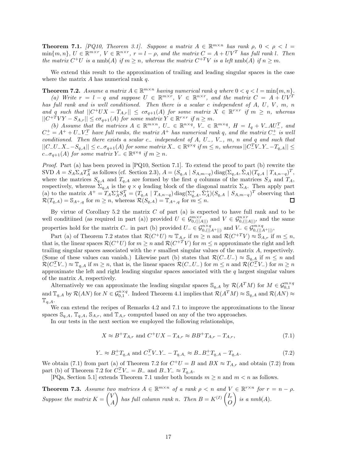**Theorem 7.1.** *[PQ10, Theorem 3.1]. Suppose a matrix*  $A \in \mathbb{R}^{m \times n}$  *has rank*  $\rho$ ,  $0 < \rho < l$  $\min\{m, n\}, U \in \mathbb{R}^{m \times r}, V \in \mathbb{R}^{n \times r}, r = l - \rho$ , and the matrix  $C = A + UV^T$  has full rank l. Then *the matrix*  $C^+U$  *is a* nmb(*A*) *if*  $m \geq n$ *, whereas the matrix*  $C^{+T}V$  *is a left* nmb(*A*) *if*  $n \geq m$ *.* 

We extend this result to the approximation of trailing and leading singular spaces in the case where the matrix *A* has numerical rank *q*.

**Theorem 7.2.** *Assume a matrix*  $A \in \mathbb{R}^{m \times n}$  *having numerical rank q where*  $0 < q < l = \min\{m, n\}$ *. (a)* Write  $r = l - q$  and suppose  $U \in \mathbb{R}^{m \times r}$ ,  $V \in \mathbb{R}^{n \times r}$ , and the matrix  $C = A + UV^T$ *has full rank and is well conditioned. Then there is a scalar c independent of A, U, V , m, n and q such that*  $||C^+UX - T_{A,r}|| \leq c\sigma_{q+1}(A)$  *for some matrix*  $X \in \mathbb{R}^{r \times r}$  *if*  $m \geq n$ *, whereas*  $||C^{+T}VY - S_{A,r}|| \leq c\sigma_{q+1}(A)$  *for some matrix*  $Y \in \mathbb{R}^{r \times r}$  *if*  $n \geq m$ *.* 

*(b)* Assume that the matrices  $A \in \mathbb{R}^{m \times n}$ ,  $U_{-} \in \mathbb{R}^{n \times q}$ ,  $V_{-} \in \mathbb{R}^{m \times q}$ ,  $H = I_q + V_{-}AU_{-}^T$ , and  $C_{-}^{+} = A^{+} + U_{-}V_{-}^{T}$  *have full ranks, the matrix*  $A^{+}$  *has numerical rank q, and the matrix*  $C_{-}^{+}$  *is well conditioned. Then there exists a scalar c*<sup>−</sup> *independent of A, U*−*, V*−*, m, n and q and such that*  $||C_{-}U_{-}X_{-}-S_{q,A}|| \leq c_{-}\sigma_{q+1}(A)$  for some matrix  $X_{-} \in \mathbb{R}^{q \times q}$  if  $m \leq n$ , whereas  $||C_{-}^{T}V_{-}Y_{-}-T_{q,A}|| \leq$  $c_-\sigma_{q+1}(A)$  *for some matrix*  $Y_-\in\mathbb{R}^{q\times q}$  *if*  $m\geq n$ *.* 

*Proof.* Part (a) has been proved in [PQ10, Section 7.1]. To extend the proof to part (b) rewrite the SVD  $A = S_A \Sigma_A T_A^T$  as follows (cf. Section 2.3),  $A = (S_{q,A} \mid S_{A,m-q}) \text{diag}(\Sigma_{q,A}, \overline{\Sigma}_A) (T_{q,A} \mid T_{A,n-q})^T$ , where the matrices  $S_{q,A}$  and  $T_{q,A}$  are formed by the first *q* columns of the matrices  $S_A$  and  $T_A$ , respectively, whereas  $\Sigma_{q,A}$  is the  $q \times q$  leading block of the diagonal matrix  $\Sigma_A$ . Then apply part (a) to the matrix  $A^+ = T_A \Sigma_A^+ S_A^T = (T_{q,A} \mid T_{A,n-q}) \text{diag}(\Sigma_{q,A}^+, \Sigma_A^+)(S_{q,A} \mid S_{A,m-q})^T$  observing that  $\mathcal{R}(T_{q,A}) = \mathbb{S}_{A^+,q}$  for  $m \geq n$ , whereas  $\mathcal{R}(S_{q,A}) = \mathbb{T}_{A^+,q}$  for  $m \leq n$ .

By virtue of Corollary 5.2 the matrix *C* of part (a) is expected to have full rank and to be well conditiined (as required in part (a)) provided  $U \in \mathcal{G}_{0, (||A||)}^{m \times r}$  and  $V \in \mathcal{G}_{0, (||A||)}^{n \times r}$ , and the same properties hold for the matrix *C*<sub>−</sub> in part (b) provided  $U$ <sub>−</sub> ∈  $\mathcal{G}_{0,(|A^+||)}^{n \times q}$  and  $V$ <sub>−</sub> ∈  $\mathcal{G}_{0,(|A^+||)}^{m \times q}$ ,

Part (a) of Theorem 7.2 states that  $\mathcal{R}(C^+U) \approx \mathbb{T}_{A,r}$  if  $m \geq n$  and  $\mathcal{R}(C^{+T}V) \approx \mathbb{S}_{A,r}$  if  $m \leq n$ , that is, the linear spaces  $\mathcal{R}(C^+U)$  for  $m \geq n$  and  $\mathcal{R}(C^{+T}V)$  for  $m \leq n$  approximate the right and left trailing singular spaces associated with the *r* smallest singular values of the matrix *A*, respectively. (Some of these values can vanish.) Likewise part (b) states that  $\mathcal{R}(C-U-) \approx \mathbb{S}_{q,A}$  if  $m \leq n$  and  $\mathcal{R}(C^T_\mathbb{C} V_{\mathbb{C}}) \approx \mathbb{T}_{q,A}$  if  $m \geq n$ , that is, the linear spaces  $\mathcal{R}(C_\mathbb{C} U_{\mathbb{C}})$  for  $m \leq n$  and  $\mathcal{R}(C^T_\mathbb{C} V_{\mathbb{C}})$  for  $m \geq n$ approximate the left and right leading singular spaces associated with the *q* largest singular values of the matrix *A*, respectively.

Alternatively we can approximate the leading singular spaces  $\mathcal{S}_{q,A}$  by  $\mathcal{R}(A^TM)$  for  $M \in \mathcal{G}_{0,1}^{m \times q}$ and  $\mathbb{T}_{q,A}$  by  $\mathcal{R}(AN)$  for  $N \in \mathcal{G}_{0,1}^{n \times q}$ . Indeed Theorem 4.1 implies that  $\mathcal{R}(A^TM) \approx \mathbb{S}_{q,A}$  and  $\mathcal{R}(AN) \approx$  $T_{q,A}.$ 

We can extend the recipes of Remarks 4.2 and 7.1 to improve the approximations to the linear spaces  $\mathbb{S}_{q,A}$ ,  $\mathbb{T}_{q,A}$ ,  $\mathbb{S}_{A,r}$ , and  $\mathbb{T}_{A,r}$  computed based on any of the two approaches.

In our tests in the next section we employed the following relationships,

$$
X \approx B^{+}T_{A,r} \text{ and } C^{+}UX - T_{A,r} \approx BB^{+}T_{A,r} - T_{A,r}, \qquad (7.1)
$$

$$
Y_{-} \approx B_{-}^{+}T_{q,A} \text{ and } C_{-}^{T}V_{-}Y_{-} - T_{q,A} \approx B_{-}B_{-}^{+}T_{q,A} - T_{q,A}.
$$
\n
$$
(7.2)
$$

We obtain (7.1) from part (a) of Theorem 7.2 for  $C^+U = B$  and  $BX \approx T_{A,r}$  and obtain (7.2) from part (b) of Theorem 7.2 for  $C^T T$  =  $B$ <sup>-</sup> and  $B$ <sup>-</sup> $Y$ <sup>-</sup>  $\approx T_{q, A}$ .

[PQa, Section 5.1] extends Theorem 7.1 under both bounds  $m \ge n$  and  $m < n$  as follows.

**Theorem 7.3.** *Assume two matrices*  $A \in \mathbb{R}^{m \times n}$  *of a rank*  $\rho < n$  *and*  $V \in \mathbb{R}^{r \times n}$  *for*  $r = n - \rho$ *. Suppose the matrix*  $K = \begin{pmatrix} V & V \\ V & V \end{pmatrix}$ *A has full column rank n. Then*  $B = K^{(I)} \begin{pmatrix} I_r \\ O \end{pmatrix}$ *O*  $\bigg\}$  is a nmb(A).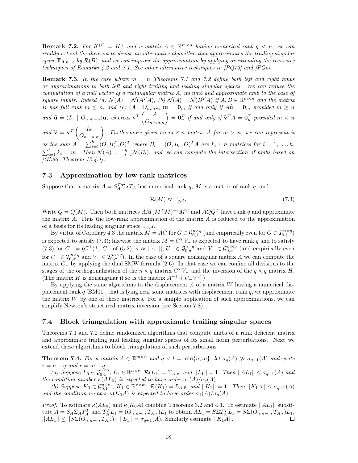**Remark 7.2.** For  $K^{(I)} = K^+$  and a matrix  $A \in \mathbb{R}^{m \times n}$  having numerical rank  $q \leq n$ , we can *readily extend the theorem to devise an alternative algorithm that approximates the trailing singular space*  $\mathbb{T}_{A,n-q}$  *by*  $\mathcal{R}(B)$ *, and we can improve the approximation by applying or extending the recursive techniques of Remarks 4.2 and 7.1. See other alternative techniques in [PQ10] and [PQa].*

**Remark 7.3.** *In the case where m* = *n Theorems 7.1 and 7.2 define both left and right nmbs or approximations to both left and right trailing and leading singular spaces. We can reduce the computation of a null vector of a rectangular matrix A, its nmb and approximate nmb to the case of square inputs. Indeed (a)*  $\mathcal{N}(A) = \mathcal{N}(A^T A)$ *, (b)*  $\mathcal{N}(A) = \mathcal{N}(B^T A)$  *if*  $A, B \in \mathbb{R}^{m \times n}$  *and the matrix* B has full rank  $m \leq n$ , and (c)  $(A | O_{n,m-n})\mathbf{u} = \mathbf{0}_m$  if and only if  $A\hat{\mathbf{u}} = \mathbf{0}_m$  provided  $m \geq n$  $and \ \hat{\mathbf{u}} = (I_n \mid O_{n,m-n})\mathbf{u}, \ whereas \ \mathbf{v}^T\begin{pmatrix} A \\ O_{n-m,n} \end{pmatrix} = \mathbf{0}_n^T \text{ if and only if } \widehat{\mathbf{v}}^T A = \mathbf{0}_n^T \text{ provided } m < n$ *and*  $\hat{\mathbf{v}} = \mathbf{v}^T \begin{pmatrix} I_m \\ O_{n-m,m} \end{pmatrix}$ . Furthermore given an  $m \times n$  matrix A for  $m > n$ , we can represent it as the sum  $A = \sum_{i=1}^{h} (O, B_i^T, O)^T$  where  $B_i = (O, I_{k_i}, O)^T A$  are  $k_i \times n$  matrices for  $i = 1, ..., h$ ,  $\sum_{i=1}^{h} k_i = m$ . Then  $\mathcal{N}(A) = \bigcap_{i=1}^{h} \mathcal{N}(B_i)$ , and we can compute the intersection of nmbs based on *[GL96, Theorem 12.4.1].*

#### **7.3 Approximation by low-rank matrices**

Suppose that a matrix  $A = S_A^T \Sigma_A T_A$  has numerical rank *q*, *M* is a matrix of rank *q*, and

$$
\mathcal{R}(M) \approx \mathbb{T}_{q,A}.\tag{7.3}
$$

Write  $Q = Q(M)$ . Then both matrices  $AM(M^TM)^{-1}M^T$  and  $AQQ^T$  have rank q and approximate the matrix *A*. Thus the low-rank approximation of the matrix *A* is reduced to the approximation of a basis for its leading singular space  $\mathbb{T}_{q,A}$ .

By virtue of Corollary 4.3 the matrix  $\hat{M} = AG$  for  $G \in \mathcal{G}_{0,1}^{n \times q}$  (and empirically even for  $G \in \mathcal{T}_{0,1}^{n \times q}$ ) is expected to satisfy (7.3); likewise the matrix  $M = C^T$ <sub>*L*</sub> is expected to have rank *q* and to satisfy  $(7.3)$  for  $C_{-} = (C_{-}^{+})^{+}$ ,  $C_{-}^{+}$  of (5.2),  $\sigma \approx ||A^{+}||$ ,  $U_{-} \in \mathcal{G}_{0,\sigma}^{n \times q}$  and  $V_{-} \in \mathcal{G}_{0,\sigma}^{m \times q}$  (and empirically even for  $U_-\in \mathcal{T}_{0,\sigma}^{n\times q}$  and  $V_-\in \mathcal{T}_{0,\sigma}^{m\times q}$ . In the case of a square nonsingular matrix *A* we can compute the matrix *C*<sup>−</sup> by applying the dual SMW formula (2.6). In that case we can confine all divisions to the stages of the orthogonalization of the  $n \times q$  matrix  $C^T$ <sub>*V*−</sub> and the inversion of the  $q \times q$  matrix *H*. (The matrix *H* is nonsingular if so is the matrix  $A^{-1} + U - V_{-}^{T}$ .)

By applying the same algorithms to the displacement *A* of a matrix *W* having a numerical displacement rank *q* [BM01], that is lying near some matrices with displacement rank *q*, we approximate the matrix  $W$  by one of these matrices. For a sample application of such approximations, we can simplify Newton's structured matrix inversion (see Section 7.8).

#### **7.4 Block triangulation with approximate trailing singular spaces**

Theorems 7.1 and 7.2 define randomized algorithms that compute nmbs of a rank deficient matrix and approximate trailing and leading singular spaces of its small norm perturbations. Next we extend these algorithms to block triangulation of such perturbations.

**Theorem 7.4.** For a matrix  $A \in \mathbb{R}^{m \times n}$  and  $q < l = \min\{n, m\}$ , let  $\sigma_q(A) \gg \sigma_{q+1}(A)$  and write  $r = n - q$  and  $\bar{r} = m - q$ .

(a) Suppose  $L_0 \in \mathcal{G}_{0,1}^{n \times q}$ ,  $L_1 \in \mathbb{R}^{n \times r}$ ,  $\mathcal{R}(L_1) = \mathbb{T}_{A,r}$ , and  $||L_1|| = 1$ . Then  $||AL_1|| \leq \sigma_{q+1}(A)$  and *the condition number*  $\kappa(AL_0)$  *is expected to have order*  $\sigma_1(A)/\sigma_q(A)$ *.* 

(b) Suppose  $K_0 \in \mathcal{G}_{0,1}^{\alpha \times m}$ ,  $K_1 \in \mathbb{R}^{\bar{r} \times m}$ ,  $\mathcal{R}(K_1) = \mathbb{S}_{A,\bar{r}}$ , and  $||K_1|| = 1$ . Then  $||K_1A|| \leq \sigma_{q+1}(A)$ *and the condition number*  $\kappa(K_0A)$  *is expected to have order*  $\sigma_1(A)/\sigma_q(A)$ *.* 

*Proof.* To estimate  $\kappa(AL_0)$  and  $\kappa(K_0A)$  combine Theorems 3.2 and 4.1. To estimate  $||AL_1||$  substitute  $A = S_A \Sigma_A T_A^T$  and  $T_A^T L_1 = (O_{n,n-r}, T_{A,r})L_1$  to obtain  $AL_1 = S \Sigma T_A^T L_1 = S \Sigma (O_{n,n-r}, T_{A,r})L_1$ ,  $||AL_1|| \le ||S\Sigma(O_{n,n-r}, T_{A,r})|| \, ||L_1|| = \sigma_{q+1}(A)$ . Similarly estimate  $||K_1A||$ .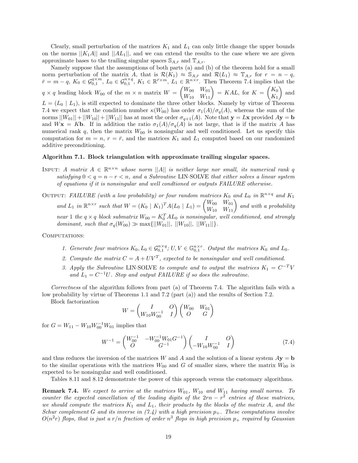Clearly, small perturbation of the matrices  $K_1$  and  $L_1$  can only little change the upper bounds on the norms  $||K_1A||$  and  $||AL_1||$ , and we can extend the results to the case where we are given approximate bases to the trailing singular spaces  $\mathcal{S}_{A,\bar{r}}$  and  $\mathbb{T}_{A,r}$ .

Namely suppose that the assumptions of both parts (a) and (b) of the theorem hold for a small norm perturbation of the matrix *A*, that is  $\mathcal{R}(K_1) \approx \mathbb{S}_{A,\bar{r}}$  and  $\mathcal{R}(L_1) \approx \mathbb{T}_{A,r}$  for  $r = n - q$ ,  $\bar{r} = m - q$ ,  $K_0 \in \mathcal{G}_{0,1}^{q \times m}$ ,  $L_0 \in \mathcal{G}_{0,1}^{n \times q}$ ,  $K_1 \in \mathbb{R}^{\bar{r} \times m}$ ,  $L_1 \in \mathbb{R}^{n \times r}$ . Then Theorem 7.4 implies that the  $q \times q$  leading block  $W_{00}$  of the  $m \times n$  matrix  $W = \begin{pmatrix} W_{00} & W_{01} \\ W_{10} & W_{11} \end{pmatrix} = KAL$ , for  $K = \begin{pmatrix} K_0 \\ K_1 \end{pmatrix}$ *K*1 -and  $L = (L_0 | L_1)$ , is still expected to dominate the three other blocks. Namely by virtue of Theorem 7.4 we expect that the condition number  $\kappa(W_{00})$  has order  $\sigma_1(A)/\sigma_q(A)$ , whereas the sum of the norms  $||W_{01}||+||W_{10}||+||W_{11}||$  has at most the order  $\sigma_{q+1}(A)$ . Note that  $\mathbf{y} = L\mathbf{x}$  provided  $A\mathbf{y} = \mathbf{b}$ and  $W$ **x** = K**b**. If in addition the ratio  $\sigma_1(A)/\sigma_q(A)$  is not large, that is if the matrix *A* has numerical rank  $q$ , then the matrix  $W_{00}$  is nonsingular and well conditioned. Let us specify this computation for  $m = n$ ,  $r = \bar{r}$ , and the matrices  $K_1$  and  $L_1$  computed based on our randomized additive preconditioning.

#### **Algorithm 7.1. Block triangulation with approximate trailing singular spaces.**

- INPUT: *A matrix*  $A \in \mathbb{R}^{n \times n}$  whose norm ||*A*|| *is neither large nor small, its numerical rank q satisfying*  $0 < q = n - r < n$ , and a Subroutine LIN·SOLVE that either solves a linear system *of equations if it is nonsingular and well condtioned or outputs FAILURE otherwise.*
- OUTPUT: FAILURE (with a low probability) or four random matrices  $K_0$  and  $L_0$  in  $\mathbb{R}^{n \times q}$  and  $K_1$ *and*  $L_1$  *in*  $\mathbb{R}^{n \times r}$  *such that*  $W = (K_0 \mid K_1)^T A (L_0 \mid L_1) = \begin{pmatrix} W_{00} & W_{01} \\ W_{10} & W_{11} \end{pmatrix}$  *and with a probability near* 1 *the*  $q \times q$  *block submatrix*  $W_{00} = K_0^T A L_0$  *is nonsingular, well conditioned, and strongly dominant, such that*  $\sigma_q(W_{00}) \gg \max\{||W_{01}||, ||W_{10}||, ||W_{11}||\}.$

#### COMPUTATIONS:

- *1. Generate four matrices*  $K_0, L_0 \in \mathcal{G}_{0,1}^{n \times q}$ ;  $U, V \in \mathbb{G}_{0,1}^{n \times r}$ . Output the matrices  $K_0$  and  $L_0$ .
- 2. Compute the matrix  $C = A + UV^T$ , expected to be nonsingular and well conditioned.
- *3. Apply the Subroutine* LIN·SOLVE *to compute and to output the matrices*  $K_1 = C^{-T}V$ and  $L_1 = C^{-1}U$ *. Stop and output FAILURE if so does the subroutine.*

*Correctness* of the algorithm follows from part (a) of Theorem 7.4. The algorithm fails with a low probability by virtue of Theorems 1.1 and 7.2 (part (a)) and the results of Section 7.2.

Block factorization

$$
W = \begin{pmatrix} I & O \\ W_{10} W_{00}^{-1} & I \end{pmatrix} \begin{pmatrix} W_{00} & W_{01} \\ O & G \end{pmatrix}
$$

for  $G = W_{11} - W_{10}W_{00}^{-1}W_{01}$  implies that

$$
W^{-1} = \begin{pmatrix} W_{00}^{-1} & -W_{00}^{-1}W_{01}G^{-1} \\ O & G^{-1} \end{pmatrix} \begin{pmatrix} I & O \\ -W_{10}W_{00}^{-1} & I \end{pmatrix}
$$
(7.4)

and thus reduces the inversion of the matrices *W* and *A* and the solution of a linear system  $Ay = b$ to the similar operations with the matrices  $W_{00}$  and *G* of smaller sizes, where the matrix  $W_{00}$  is expected to be nonsingular and well conditioned.

Tables 8.11 and 8.12 demonstrate the power of this approach versus the customary algorithms.

**Remark 7.4.** We expect to arrive at the matrices  $W_{01}$ ,  $W_{10}$  and  $W_{11}$  having small norms. To *counter the expected cancellation of the leading digits of the*  $2rn - r^2$  *entries of these matrices,* we should compute the matrices  $K_1$  and  $L_1$ , their products by the blocks of the matrix A, and the *Schur complement G* and its inverse in  $(7.4)$  with a high precision  $p_{+}$ . These computations involve  $O(n^2r)$  *flops, that is just a*  $r/n$  *fraction of order*  $n^3$  *flops in high precision*  $p_+$  *required by Gaussian*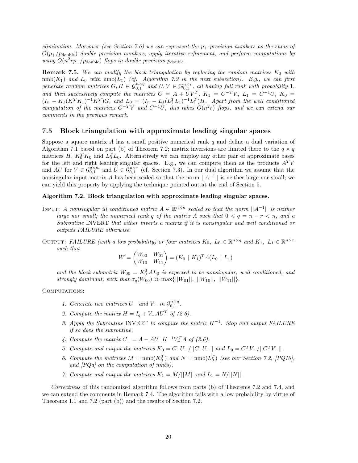*elimination. Moreover (see Section 7.6) we can represent the p*+*-precision numbers as the sums of*  $O(p_{+}/p_{\text{double}})$  *double precision numbers, apply iterative refinement, and perform computations by using*  $O(n^2rp_+/p_{\text{double}})$  *flops in double precision*  $p_{\text{double}}$ *.* 

**Remark 7.5.** We can modify the block triangulation by replacing the random matrices  $K_0$  with  $nmb(K_1)$  *and*  $L_0$  *with*  $nmb(L_1)$  *(cf. Algorithm 7.2 in the next subsection). E.g., we can first generate random matrices*  $G, H \in \mathcal{G}_{0,1}^{n \times q}$  *and*  $U, V \in \mathbb{G}_{0,1}^{n \times r}$ *, all having full rank with probability* 1*,* and then successively compute the matrices  $C = A + UV^T$ ,  $K_1 = C^{-T}V$ ,  $L_1 = C^{-1}U$ ,  $K_0 =$  $(I_n - K_1(K_1^T K_1)^{-1} K_1^T)G$ , and  $L_0 = (I_n - L_1(L_1^T L_1)^{-1} L_1^T)H$ . Apart from the well conditioned  $\overline{c}$ *computation of the matrices*  $C^{-T}V$  *and*  $C^{-1}U$ *, this takes*  $O(n^2r)$  *flops, and we can extend our comments in the previous remark.*

#### **7.5 Block triangulation with approximate leading singular spaces**

Suppose a square matrix *A* has a small positive numerical rank *q* and define a dual variation of Algorithm 7.1 based on part (b) of Theorem 7.2; matrix inversions are limited there to the  $q \times q$ matrices *H*,  $K_0^T K_0$  and  $L_0^T L_0$ . Alternatively we can employ any other pair of approximate bases for the left and right leading singular spaces. E.g., we can compute them as the products  $A<sup>T</sup>V$ and *AU* for  $V \in \mathcal{G}_{0,1}^{q \times m}$  and  $U \in \mathcal{G}_{0,1}^{n \times r}$  (cf. Section 7.3). In our dual algorithm we assume that the nonsingular input matrix *A* has been scaled so that the norm  $||A^{-1}||$  is neither large nor small; we can yield this property by applying the technique pointed out at the end of Section 5.

#### **Algorithm 7.2. Block triangulation with approximate leading singular spaces.**

- INPUT: *A nonsingular ill conditioned matrix*  $A \in \mathbb{R}^{n \times n}$  *scaled so that the norm*  $||A^{-1}||$  *is neither large nor small; the numerical rank q of the matrix A such that*  $0 < q = n - r < n$ *, and a Subroutine* INVERT *that either inverts a matrix if it is nonsingular and well conditioned or outputs FAILURE otherwise.*
- OUTPUT: *FAILURE* (with a low probability) or four matrices  $K_0$ ,  $L_0 \in \mathbb{R}^{n \times q}$  and  $K_1$ ,  $L_1 \in \mathbb{R}^{n \times r}$ *such that*

$$
W = \begin{pmatrix} W_{00} & W_{01} \\ W_{10} & W_{11} \end{pmatrix} = (K_0 \mid K_1)^T A (L_0 \mid L_1)
$$

and the block submatrix  $W_{00} = K_0^T A L_0$  is expected to be nonsingular, well conditioned, and *strongly dominant, such that*  $\sigma_q(W_{00}) \gg \max{\{||W_{01}||, ||W_{10}||, ||W_{11}||\}}$ .

#### Computations**:**

- *1. Generate two matrices*  $U_{-}$  *and*  $V_{-}$  *in*  $\mathcal{G}_{0,1}^{n \times q}$ .
- 2. Compute the matrix  $H = I_q + V_-AU_-^T$  of (2.6).
- *3. Apply the Subroutine* INVERT *to compute the matrix H*−<sup>1</sup>*. Stop and output FAILURE if so does the subroutine.*
- *4. Compute the matrix*  $C_{-} = A AU_{-}H^{-1}V_{-}^{T}A$  of (2.6).
- *5. Compute and output the matrices*  $K_0 = C_-U_- / ||C_-U_-||$  *and*  $L_0 = C_-^T V_- / ||C_-^T V_-||$ .
- 6. Compute the matrices  $M = \text{nmb}(K_0^T)$  and  $N = \text{nmb}(L_0^T)$  (see our Section 7.2, [PQ10], *and [PQa] on the computation of nmbs).*
- *7. Compute and output the matrices*  $K_1 = M/||M||$  *and*  $L_1 = N/||N||$ .

*Correctness* of this randomized algorithm follows from parts (b) of Theorems 7.2 and 7.4, and we can extend the comments in Remark 7.4. The algorithm fails with a low probability by virtue of Theorems 1.1 and 7.2 (part (b)) and the results of Section 7.2.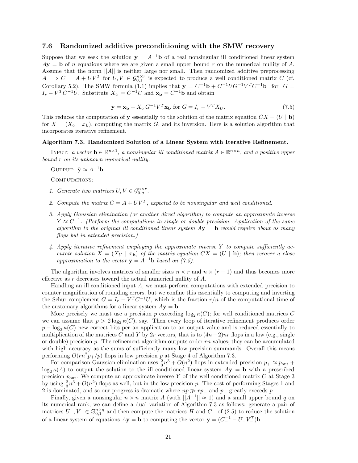#### **7.6 Randomized additive preconditioning with the SMW recovery**

Suppose that we seek the solution  $y = A^{-1}b$  of a real nonsingular ill conditioned linear system  $A$ **y** = **b** of *n* equations where we are given a small upper bound *r* on the numerical nullity of *A*. Assume that the norm ||*A*|| is neither large nor small. Then randomized additive preprocessing  $A \implies C = A + UV^T$  for  $U, V \in \mathcal{G}_{0,1}^{n \times r}$  is expected to produce a well conditioned matrix *C* (cf. Corollary 5.2). The SMW formula (1.1) implies that  $\mathbf{y} = C^{-1}\mathbf{b} + C^{-1}UG^{-1}V^T C^{-1}\mathbf{b}$  for  $G =$ *I*<sup>*r*</sup> − *V*<sup>*T*</sup> *C*<sup>−1</sup>*U*. Substitute *X*<sup>*U*</sup> =  $C^{-1}$ *U* and **x**<sub>**b**</sub> =  $C^{-1}$ **b** and obtain

$$
\mathbf{y} = \mathbf{x_b} + X_U G^{-1} V^T \mathbf{x_b} \text{ for } G = I_r - V^T X_U. \tag{7.5}
$$

This reduces the computation of **y** essentially to the solution of the matrix equation  $CX = (U | b)$ for  $X = (X_U | x_b)$ , computing the matrix G, and its inversion. Here is a solution algorithm that incorporates iterative refinement.

#### **Algorithm 7.3. Randomized Solution of a Linear System with Iterative Refinement.**

INPUT: *a vector*  $\mathbf{b} \in \mathbb{R}^{n \times 1}$ , *a nonsingular ill conditioned matrix*  $A \in \mathbb{R}^{n \times n}$ , and *a positive upper bound r on its unknown numerical nullity.*

OUTPUT:  $\tilde{\mathbf{y}} \approx A^{-1}\mathbf{b}$ *.* 

Computations*:*

- *1. Generate two matrices*  $U, V \in \mathcal{G}_{0,\sigma}^{n \times r}$ .
- 2. Compute the matrix  $C = A + UV^T$ , expected to be nonsingular and well conditioned.
- *3. Apply Gaussian elimination (or another direct algorithm) to compute an approximate inverse*  $Y \approx C^{-1}$ . (Perform the computations in single or double precision. Application of the same *algorithm to the original ill conditioned linear system A***y** = **b** *would require about as many flops but in extended precision.)*
- *4. Apply iterative refinement employing the approximate inverse Y to compute sufficiently accurate solution*  $X = (X_U | x_b)$  *of the matrix equation*  $CX = (U | b)$ *; then recover a close approximation to the vector*  $\mathbf{y} = A^{-1}\mathbf{b}$  *based on (7.5).*

The algorithm involves matrices of smaller sizes  $n \times r$  and  $n \times (r + 1)$  and thus becomes more effective as *r* decreases toward the actual numerical nullity of *A*.

Handling an ill conditioned input *A*, we must perform computations with extended precision to counter magnification of rounding errors, but we confine this essentially to computing and inverting the Schur complement  $G = I_r - V^T C^{-1} U$ , which is the fraction  $r/n$  of the computational time of the customary algorithms for a linear system  $A$ **y** = **b**.

More precisely we must use a precision p exceeding  $\log_2 \kappa(C)$ ; for well conditioned matrices C we can assume that  $p > 2 \log_2 \kappa(C)$ , say. Then every loop of iterative refinement produces order  $p - \log_2 \kappa(C)$  new correct bits per an application to an output value and is reduced essentially to multiplication of the matrices *C* and *Y* by 2*r* vectors, that is to  $(4n-2)nr$  flops in a low (e.g., single or double) precision *p*. The refinement algorithm outputs order *rn* values; they can be accumulated with high accuracy as the sums of sufficiently many low precision summands. Overall this means performing  $O(rn^2p_+/p)$  flops in low precision p at Stage 4 of Algorithm 7.3.

For comparison Gaussian elimination uses  $\frac{2}{3}n^3 + O(n^2)$  flops in extended precision  $p_+ \approx p_{\text{out}} +$  $\log_2 \kappa(A)$  to output the solution to the ill conditioned linear system  $A$ **y** = **b** with a prescribed precision  $p_{\text{out}}$ . We compute an approximate inverse Y of the well conditioned matrix C at Stage 3 by using  $\frac{2}{3}n^3 + O(n^2)$  flops as well, but in the low precision *p*. The cost of performing Stages 1 and 2 is dominated, and so our progress is dramatic where  $np \gg rp_+$  and  $p_+$  greatly exceeds p.

Finally, given a nonsingular  $n \times n$  matrix *A* (with  $||A^{-1}|| \approx 1$ ) and a small upper bound *q* on its numerical rank, we can define a dual variation of Algorithm 7.3 as follows: generate a pair of matrices  $U_-, V_-\in\mathbb{G}_{0,1}^{n\times q}$  and then compute the matrices  $H$  and  $C_-\$  of (2.5) to reduce the solution of a linear system of equations  $A$ **y** = **b** to computing the vector **y** =  $(C_-^{-1} - U_-V_-^T)$ **b**.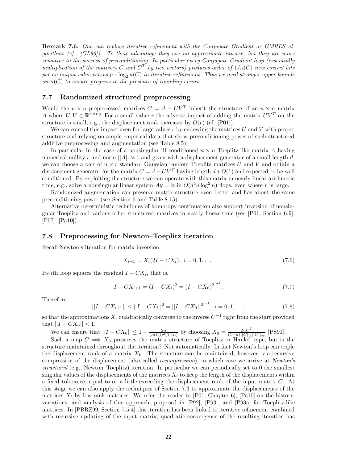**Remark 7.6.** *One can replace iterative refinement with the Conjugate Gradient or GMRES algorithms (cf. [GL96]). To their advantage they use no approximate inverse, but they are more sensitive to the success of preconditioning. In particular every Conjugate Gradient loop (essentially multiplication of the matrices C* and  $C^T$  by two vectors) produces order of  $1/\kappa(C)$  new correct bits *per an output value versus*  $p - \log_2 \kappa(C)$  *in iterative refinement. Thus we need stronger upper bounds on*  $\kappa(C)$  *to ensure progress in the presence of rounding errors.* 

### **7.7 Randomized structured preprocessing**

Would the  $n \times n$  preprocessed matrices  $C = A + UV^T$  inherit the structure of an  $n \times n$  matrix *A* where  $U, V \in \mathbb{R}^{n \times r}$ ? For a small value *r* the adverse impact of adding the matrix  $UV^T$  on the structure is small, e.g., the displacement rank increases by  $O(r)$  (cf. [P01]).

We can control this impact even for large values *r* by endowing the matrices *U* and *V* with proper structure and relying on ample empirical data that show preconditioning power of such structured additive preprocessing and augmentation (see Table 8.5).

In particular in the case of a nonsingular ill conditioned  $n \times n$  Toeplitz-like matrix A having numerical nullity *r* and norm  $||A|| \approx 1$  and given with a displacement generator of a small length *d*, we can choose a pair of  $n \times r$  standard Gaussian random Toeplitz matrices  $U$  and  $V$  and obtain a displacement generator for the matrix  $C = A + UV^T$  having length  $d + O(1)$  and expected to be well conditioned. By exploiting the structure we can operate with this matrix in nearly linear arithmetic time, e.g., solve a nonsingular linear system  $A$ **y** = **b** in  $O(d^2n \log^2 n)$  flops, even where *r* is large.

Randomized augmentation can preserve matrix structure even better and has about the same preconditioning power (see Section 6 and Table 8.15).

Alternative deterministic techniques of homotopy continuation also support inversion of nonsingular Toeplitz and various other structured matrices in nearly linear time (see [P01, Section 6.9], [P07], [Pa10]).

#### **7.8 Preprocessing for Newton–Toeplitz iteration**

Recall Newton's iteration for matrix inversion

$$
X_{i+1} = X_i(2I - CX_i), \quad i = 0, 1, \dots
$$
\n
$$
(7.6)
$$

Its *i*th loop squares the residual  $I - CX_i$ , that is,

$$
I - CX_{i+1} = (I - CX_i)^2 = (I - CX_0)^{2^{i+1}}.
$$
\n(7.7)

Therefore

$$
||I - CX_{i+1}|| \le ||I - CX_i||^2 = ||I - CX_0||^{2^{i+1}}, \ i = 0, 1, ..., \tag{7.8}
$$

so that the approximations  $X_i$  quadratically converge to the inverse  $C^{-1}$  right from the start provided that  $||I - CX_0|| < 1$ .

We can ensure that  $||I - CX_0|| \le 1 - \frac{2n}{(\kappa(C))^2(1+n)}$  by choosing  $X_0 = \frac{2nC^T}{(1+n)||C||_1||C||_{\infty}}$  [PS91].

Such a map  $C \implies X_0$  preserves the matrix structure of Toeplitz or Hankel type, but is the structure maintained throughout the iteration? Not automatically. In fact Newton's loop can triple the displacement rank of a matrix  $X_k$ . The structure can be maintained, however, via recursive compression of the displacement (also called *recompression*), in which case we arrive at *Newton's structured* (e.g., Newton–Toeplitz) iteration. In particular we can periodically set to 0 the smallest singular values of the displacements of the matrices  $X_i$  to keep the length of the displacements within a fixed tolerance, equal to or a little exceeding the displacement rank of the input matrix *C*. At this stage we can also apply the techniques of Section 7.3 to approximate the displacements of the matrices  $X_i$  by low-rank matrices. We refer the reader to [P01, Chapter 6], [Pa10] on the history, variations, and analysis of this approach, proposed in [P92], [P93], and [P93a] for Toeplitz-like matrices. In [PBRZ99, Section 7.5.4] this iteration has been linked to iterative refinement combined with recursive updating of the input matrix; quadratic convergence of the resulting iteration has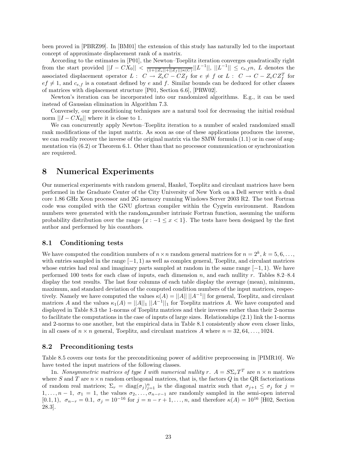been proved in [PBRZ99]. In [BM01] the extension of this study has naturally led to the important concept of approximate displacement rank of a matrix.

According to the estimates in [P01], the Newton–Toeplitz iteration converges quadratically right from the start provided  $||I - CX_0|| < \frac{1}{(1+||Z_e||+||Z_f||)\kappa(C)}||L^{-1}||, ||L^{-1}|| \leq c_{e,f}n, L$  denotes the associated displacement operator  $L: C \to Z_eC - CZ_f$  for  $e \neq f$  or  $L: C \to C - Z_eCZ_f^T$  for  $ef \neq 1$ , and  $c_{e,f}$  is a constant defined by *e* and *f*. Similar bounds can be deduced for other classes of matrices with displacement structure [P01, Section 6.6], [PRW02].

Newton's iteration can be incorporated into our randomized algorithms. E.g., it can be used instead of Gaussian elimination in Algorithm 7.3.

Conversely, our preconditioning techniques are a natural tool for decreasing the initial residual norm  $||I - CX_0||$  where it is close to 1.

We can concurrently apply Newton–Toeplitz iteration to a number of scaled randomized small rank modifications of the input matrix. As soon as one of these applications produces the inverse, we can readily recover the inverse of the original matrix via the SMW formula (1.1) or in case of augmentation via (6.2) or Theorem 6.1. Other than that no processor communication or synchronization are requiered.

# **8 Numerical Experiments**

Our numerical experiments with random general, Hankel, Toeplitz and circulant matrices have been performed in the Graduate Center of the City University of New York on a Dell server with a dual core 1.86 GHz Xeon processor and 2G memory running Windows Server 2003 R2. The test Fortran code was compiled with the GNU gfortran compiler within the Cygwin environment. Random numbers were generated with the random number intrinsic Fortran function, assuming the uniform probability distribution over the range  $\{x : -1 \leq x < 1\}$ . The tests have been designed by the first author and performed by his coauthors.

#### **8.1 Conditioning tests**

We have computed the condition numbers of  $n \times n$  random general matrices for  $n = 2^k$ ,  $k = 5, 6, \ldots$ , with entries sampled in the range [−1*,* 1) as well as complex general, Toeplitz, and circulant matrices whose entries had real and imaginary parts sampled at random in the same range [−1*,* 1). We have performed 100 tests for each class of inputs, each dimension *n*, and each nullity *r*. Tables 8.2–8.4 display the test results. The last four columns of each table display the average (mean), minimum, maximum, and standard deviation of the computed condition numbers of the input matrices, respectively. Namely we have computed the values  $\kappa(A) = ||A|| ||A^{-1}||$  for general, Toeplitz, and circulant matrices *A* and the values  $\kappa_1(A) = ||A||_1 ||A^{-1}||_1$  for Toeplitz matrices *A*. We have computed and displayed in Table 8.3 the 1-norms of Toeplitz matrices and their inverses rather than their 2-norms to facilitate the computations in the case of inputs of large sizes. Relationships (2.1) link the 1-norms and 2-norms to one another, but the empirical data in Table 8.1 consistently show even closer links, in all cases of  $n \times n$  general, Toeplitz, and circulant matrices A where  $n = 32, 64, \ldots, 1024$ .

#### **8.2 Preconditioning tests**

Table 8.5 covers our tests for the preconditioning power of additive preprocessing in [PIMR10]. We have tested the input matrices of the following classes.

1n. *Nonsymmetric matrices of type I with numerical nullity*  $r$ *.*  $A = S \Sigma_r T^T$  are  $n \times n$  matrices where *S* and *T* are  $n \times n$  random orthogonal matrices, that is, the factors *Q* in the QR factorizations of random real matrices;  $\Sigma_r = \text{diag}(\sigma_j)_{j=1}^n$  is the diagonal matrix such that  $\sigma_{j+1} \leq \sigma_j$  for  $j =$ 1,..., $n-1$ ,  $\sigma_1 = 1$ , the values  $\sigma_2, \ldots, \sigma_{n-r-1}$  are randomly sampled in the semi-open interval [0.1, 1],  $\sigma_{n-r} = 0.1$ ,  $\sigma_j = 10^{-16}$  for  $j = n-r+1, \ldots, n$ , and therefore  $\kappa(A) = 10^{16}$  [H02, Section 28.3].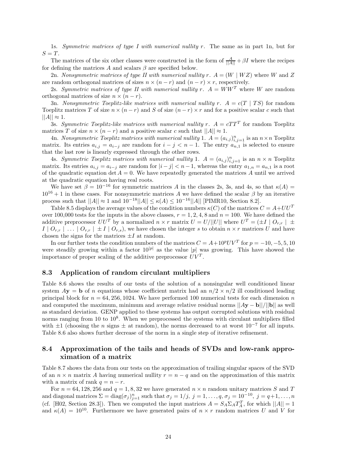1s. *Symmetric matrices of type I with numerical nullity r.* The same as in part 1n, but for  $S = T$ .

The matrices of the six other classes were constructed in the form of  $\frac{A}{||A||} + \beta I$  where the recipes for defining the matrices  $A$  and scalars  $\beta$  are specified below.

2n. *Nonsymmetric matrices of type II with numerical nullity*  $r \cdot A = (W \mid WZ)$  where *W* and *Z* are random orthogonal matrices of sizes  $n \times (n - r)$  and  $(n - r) \times r$ , respectively.

2s. Symmetric matrices of type II with numerical nullity  $r$ .  $A = WW^T$  where W are random orthogonal matrices of size  $n \times (n - r)$ .

3n. *Nonsymmetric Toeplitz-like matrices with numerical nullity*  $r \cdot A = c(T | TS)$  *for random* Toeplitz matrices *T* of size  $n \times (n - r)$  and *S* of size  $(n - r) \times r$  and for a positive scalar *c* such that  $||A|| \approx 1.$ 

3s. *Symmetric Toeplitz-like matrices with numerical nullity*  $r$ *.*  $A = cTT^{T}$  for random Toeplitz matrices *T* of size  $n \times (n - r)$  and a positive scalar *c* such that  $||A|| \approx 1$ .

4n. *Nonsymmetric Toeplitz matrices with numerical nullity* 1.  $A = (a_{i,j})_{i,j=1}^n$  is an  $n \times n$  Toeplitz matrix. Its entries  $a_{i,j} = a_{i-j}$  are random for  $i - j < n - 1$ . The entry  $a_{n,1}$  is selected to ensure that the last row is linearly expressed through the other rows.

4s. *Symmetric Toeplitz matrices with numerical nullity* 1.  $A = (a_{i,j})_{i,j=1}^n$  is an  $n \times n$  Toeplitz matrix. Its entries  $a_{i,j} = a_{i-j}$  are random for  $|i - j| < n - 1$ , whereas the entry  $a_{1,n} = a_{n,1}$  is a root of the quadratic equation det  $A = 0$ . We have repeatedly generated the matrices A until we arrived at the quadratic equation having real roots.

We have set  $\beta = 10^{-16}$  for symmetric matrices *A* in the classes 2s, 3s, and 4s, so that  $\kappa(A) =$  $10^{16} + 1$  in these cases. For nonsymmetric matrices *A* we have defined the scalar  $\beta$  by an iterative process such that  $||A|| \approx 1$  and  $10^{-18}||A|| ≤ \kappa(A) ≤ 10^{-16}||A||$  [PIMR10, Section 8.2].

Table 8.5 displays the average values of the condition numbers  $\kappa(C)$  of the matrices  $C = A + U U^T$ over 100,000 tests for the inputs in the above classes,  $r = 1, 2, 4, 8$  and  $n = 100$ . We have defined the additive preprocessor  $UU^T$  by a normalized  $n \times r$  matrix  $U = U/||U||$  where  $U^T = (\pm I \mid O_{r,r}) \pm \sqrt{O_{r,r}}$  $I \mid O_{r,r} \mid ... \mid O_{r,r} \mid \pm I \mid O_{r,s}$ , we have chosen the integer *s* to obtain  $n \times r$  matrices *U* and have chosen the signs for the matrices  $\pm I$  at random.

In our further tests the condition numbers of the matrices  $C = A + 10^p UV^T$  for  $p = -10, -5, 5, 10$ were steadily growing within a factor  $10^{|p|}$  as the value  $|p|$  was growing. This have showed the importance of proper scaling of the additive preprocessor  $UV<sup>T</sup>$ .

#### **8.3 Application of random circulant multipliers**

Table 8.6 shows the results of our tests of the solution of a nonsingular well conditioned linear system  $A$ **y** = **b** of *n* equations whose coefficient matrix had an  $n/2 \times n/2$  ill conditioned leading principal block for  $n = 64, 256, 1024$ . We have performed 100 numerical tests for each dimension *n* and computed the maximum, minimum and average relative residual norms ||*A***y** − **b**||*/*||**b**|| as well as standard deviation. GENP applied to these systems has output corrupted solutions with residual norms ranging from 10 to  $10^8$ . When we preprocessed the systems with circulant multipliers filled with  $\pm 1$  (choosing the *n* signs  $\pm$  at random), the norms decreased to at worst  $10^{-7}$  for all inputs. Table 8.6 also shows further decrease of the norm in a single step of iterative refinement.

## **8.4 Approximation of the tails and heads of SVDs and low-rank approximation of a matrix**

Table 8.7 shows the data from our tests on the approximation of trailing singular spaces of the SVD of an  $n \times n$  matrix A having numerical nullity  $r = n - q$  and on the approximation of this matrix with a matrix of rank  $q = n - r$ .

For  $n = 64, 128, 256$  and  $q = 1, 8, 32$  we have generated  $n \times n$  random unitary matrices *S* and *T* and diagonal matrices  $\Sigma = \text{diag}(\sigma_j)_{j=1}^n$  such that  $\sigma_j = 1/j$ ,  $j = 1, \ldots, q$ ,  $\sigma_j = 10^{-10}$ ,  $j = q+1, \ldots, n$ (cf. [H02, Section 28.3]). Then we computed the input matrices  $A = S_A \Sigma_A T_A^T$ , for which  $||A|| = 1$ and  $\kappa(A) = 10^{10}$ . Furthermore we have generated pairs of  $n \times r$  random matrices *U* and *V* for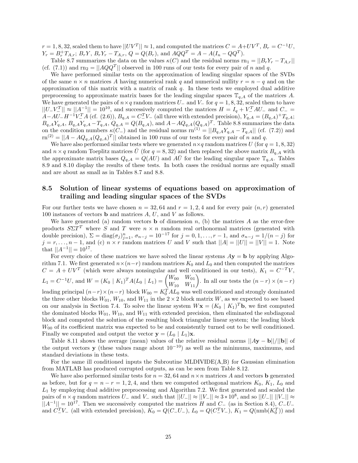$r = 1, 8, 32$ , scaled them to have  $||UV^T|| \approx 1$ , and computed the matrices  $C = A + UV^T$ ,  $B_r = C^{-1}U$ ,  $Y_r = B_r^+ T_{A,r}; B_r Y, B_r Y_r - T_{A,r}, Q = Q(B_r)$ , and  $A Q Q^T = A - A (I_n - Q Q^T)$ .

Table 8.7 summarizes the data on the values  $\kappa(C)$  and the residual norms  $\text{rn}_1 = ||B_r Y_r - T_{A,r}||$ (cf. (7.1)) and  $rn_2 = ||AQQ^T||$  observed in 100 runs of our tests for every pair of *n* and *q*.

We have performed similar tests on the approximation of leading singular spaces of the SVDs of the same  $n \times n$  matrices A having numerical rank q and numerical nullity  $r = n - q$  and on the approximation of this matrix with a matrix of rank *q*. In these tests we employed dual additive preprocessing to approximate matrix bases for the leading singular spaces  $\mathbb{T}_{q,A}$  of the matrices A. We have generated the pairs of  $n \times q$  random matrices  $U_-\$  and  $V_-\$  for  $q = 1, 8, 32$ , scaled them to have  $||U-V^T|| \approx ||A^{-1}|| = 10^{10}$ , and successively computed the matrices  $H = I_q + V^T A U^-$  and  $C^-$  =  $A - AU - H^{-1}V_{-}^{T}A$  (cf. (2.6)),  $B_{q,A} = C_{-}^{T}V_{-}$  (all three with extended precision),  $Y_{q,A} = (B_{q,A}) + T_{q,A}$ ;  $B_{q,A}Y_{q,A}, B_{q,A}Y_{q,A}-T_{q,A}, Q_{q,A}=Q(B_{q,A}),$  and  $A-AQ_{q,A}(Q_{q,A})^T$ . Table 8.8 summarizes the data on the condition numbers  $\kappa(C-)$  and the residual norms  $\text{rn}^{(1)} = ||B_{q,A}Y_{q,A} - T_{q,A}||$  (cf. (7.2)) and  $r^{(2)} = ||A - AQ_{q,A}(Q_{q,A})^T||$  obtained in 100 runs of our tests for every pair of *n* and *q*.

We have also performed similar tests where we generated  $n \times q$  random matrices *U* (for  $q = 1, 8, 32$ ) and  $n \times q$  random Toeplitz matrices  $\bar{U}$  (for  $q = 8,32$ ) and then replaced the above matrix  $B_{q,A}$  with the approximate matrix bases  $Q_{q,A} = Q(AU)$  and  $A\overline{U}$  for the leading singular space  $\mathbb{T}_{q,A}$ . Tables 8.9 and 8.10 display the results of these tests. In both cases the residual norms are equally small and are about as small as in Tables 8.7 and 8.8.

### **8.5 Solution of linear systems of equations based on approximation of trailing and leading singular spaces of the SVDs**

For our further tests we have chosen  $n = 32, 64$  and  $r = 1, 2, 4$  and for every pair  $(n, r)$  generated 100 instances of vectors **b** and matrices *A*, *U*, and *V* as follows.

We have generated (a) random vectors **b** of dimension  $n$ , (b) the matrices  $A$  as the error-free products  $S\Sigma T^T$  where *S* and *T* were  $n \times n$  random real orthonormal matrices (generated with double precision),  $\Sigma = \text{diag}(\sigma_j)_{j=1}^n$ ,  $\sigma_{n-j} = 10^{-17}$  for  $j = 0, 1, \ldots, r-1$ , and  $\sigma_{n-j} = 1/(n-j)$  for  $j = r, \ldots, n-1$ , and (c)  $n \times r$  random matrices *U* and *V* such that  $||A| = ||U|| = ||V|| = 1$ . Note that  $||A^{-1}|| = 10^{17}$ .

For every choice of these matrices we have solved the linear systems  $Ay = b$  by applying Algorithm 7.1. We first generated  $n \times (n-r)$  random matrices  $K_0$  and  $L_0$  and then computed the matrices  $C = A + UV^T$  (which were always nonsingular and well conditioned in our tests),  $K_1 = C^{-T}V$ ,  $L_1 = C^{-1}U$ , and  $W = (K_0 | K_1)^\text{T} A(L_0 | L_1) = \begin{pmatrix} W_{00} & W_{01} \\ W_{10} & W_{11} \end{pmatrix}$ . In all our tests the  $(n-r) \times (n-r)$ 

leading principal  $(n-r) \times (n-r)$  block  $W_{00} = K_0^T A L_0$  was well conditioned and strongly dominated the three other blocks  $W_{01}$ ,  $W_{10}$ , and  $W_{11}$  in the 2 × 2 block matrix *W*, as we expected to see based on our analysis in Section 7.4. To solve the linear system  $W\mathbf{x} = (K_0 | K_1)^T\mathbf{b}$ , we first computed the dominated blocks  $W_{01}$ ,  $W_{10}$ , and  $W_{11}$  with extended precision, then eliminated the subdiagonal block and computed the solution of the resulting block triangular linear system; the leading block *W*<sup>00</sup> of its coefficient matrix was expected to be and consistently turned out to be well conditioned. Finally we computed and output the vector  $\mathbf{y} = (L_0 \mid L_1)\mathbf{x}$ .

Table 8.11 shows the average (mean) values of the relative residual norms  $||Ay - b||/||b||$  of the output vectors **y** (these values range about  $10^{-10}$ ) as well as the minimums, maximums, and standard deviations in these tests.

For the same ill conditioned inputs the Subroutine MLDIVIDE(A,B) for Gaussian elimination from MATLAB has produced corrupted outputs, as can be seen from Table 8.12.

We have also performed similar tests for  $n = 32, 64$  and  $n \times n$  matrices *A* and vectors **b** generated as before, but for  $q = n - r = 1, 2, 4$ , and then we computed orthogonal matrices  $K_0, K_1, L_0$  and  $L_1$  by employing dual additive preprocessing and Algorithm 7.2. We first generated and scaled the pairs of  $n \times q$  random matrices  $U_{-}$  and  $V_{-}$  such that  $||U_{-}|| \approx ||V_{-}|| \approx 3 * 10^{8}$ , and so  $||U_{-}|| ||V_{-}|| \approx$ ||*A*−<sup>1</sup>|| = 10<sup>17</sup>. Then we successively computed the matrices *<sup>H</sup>* and *<sup>C</sup>*<sup>−</sup> (as in Section 8.4), *<sup>C</sup>*−*U*<sup>−</sup> and  $C_{-}^{T}V_{-}$  (all with extended precision),  $K_0 = Q(C_{-}U_{-})$ ,  $L_0 = Q(C_{-}^{T}V_{-})$ ,  $K_1 = Q(\text{nmb}(K_0^T))$  and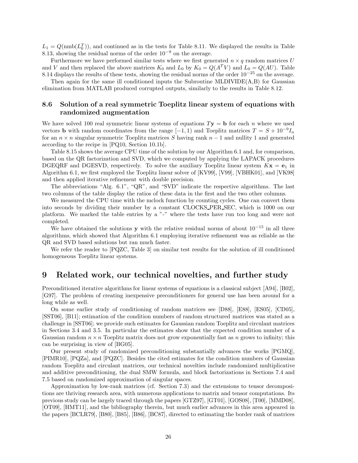$L_1 = Q(\text{nmb}(L_0^T))$ , and continued as in the tests for Table 8.11. We displayed the results in Table 8.13, showing the residual norms of the order  $10^{-9}$  on the average.

Furthermore we have performed similar tests where we first generated  $n \times q$  random matrices *U* and *V* and then replaced the above matrices  $K_0$  and  $L_0$  by  $K_0 = Q(A^T V)$  and  $L_0 = Q(AU)$ . Table 8.14 displays the results of these tests, showing the residual norms of the order  $10^{-25}$  on the average.

Then again for the same ill conditioned inputs the Subroutine MLDIVIDE $(A,B)$  for Gaussian elimination from MATLAB produced corrupted outputs, similarly to the results in Table 8.12.

## **8.6 Solution of a real symmetric Toeplitz linear system of equations with randomized augmentation**

We have solved 100 real symmetric linear systems of equations  $T$ **y** = **b** for each *n* where we used vectors **b** with random coordinates from the range  $[-1, 1)$  and Toeplitz matrices  $T = S + 10^{-9}I_n$ for an  $n \times n$  singular symmetric Toeplitz matrices *S* having rank  $n-1$  and nullity 1 and generated according to the recipe in [PQ10, Section 10.1b].

Table 8.15 shows the average CPU time of the solution by our Algorithm 6.1 and, for comparison, based on the QR factorization and SVD, which we computed by applying the LAPACK procedures DGEQRF and DGESVD, respectively. To solve the auxiliary Toeplitz linear system  $Kx = e_1$  in Algorithm 6.1, we first employed the Toeplitz linear solver of [KV99], [V99], [VBHK01], and [VK98] and then applied iterative refinement with double precision.

The abbreviations "Alg. 6.1", "QR", and "SVD" indicate the respective algorithms. The last two columns of the table display the ratios of these data in the first and the two other columns.

We measured the CPU time with the mclock function by counting cycles. One can convert them into seconds by dividing their number by a constant CLOCKS PER SEC, which is 1000 on our platform. We marked the table entries by a "-" where the tests have run too long and were not completed.

We have obtained the solutions **y** with the relative residual norms of about  $10^{-15}$  in all three algorithms, which showed that Algorithm 6.1 employing iterative refinement was as reliable as the QR and SVD based solutions but ran much faster.

We refer the reader to [PQZC, Table 3] on similar test results for the solution of ill conditioned homogeneous Toeplitz linear systems.

# **9 Related work, our technical novelties, and further study**

Preconditioned iterative algorithms for linear systems of equations is a classical subject [A94], [B02], [G97]. The problem of creating inexpensive preconditioners for general use has been around for a long while as well.

On some earlier study of conditioning of random matrices see [D88], [E88], [ES05], [CD05], [SST06], [B11]; estimation of the condition numbers of random structured matrices was stated as a challenge in [SST06]; we provide such estimates for Gaussian random Toeplitz and circulant matrices in Sections 3.4 and 3.5. In particular the estimates show that the expected condition number of a Gaussian random  $n \times n$  Toeplitz matrix does not grow exponentially fast as  $n$  grows to infinity; this can be surprising in view of [BG05].

Our present study of randomized preconditioning substantially advances the works [PGMQ], [PIMR10], [PQZa], and [PQZC]. Besides the cited estimates for the condition numbers of Gaussian random Toeplitz and circulant matrices, our technical novelties include randomized multiplicative and additive preconditioning, the dual SMW formula, and block factorizations in Sections 7.4 and 7.5 based on randomized approximation of singular spaces.

Approximation by low-rank matrices (cf. Section 7.3) and the extensions to tensor decompositions are thriving research area, with numerous applications to matrix and tensor computations. Its previous study can be largely traced through the papers [GTZ97], [GT01], [GOS08], [T00], [MMD08], [OT09], [HMT11], and the bibliography therein, but much earlier advances in this area appeared in the papers [BCLR79], [B80], [B85], [B86], [BC87], directed to estimating the border rank of matrices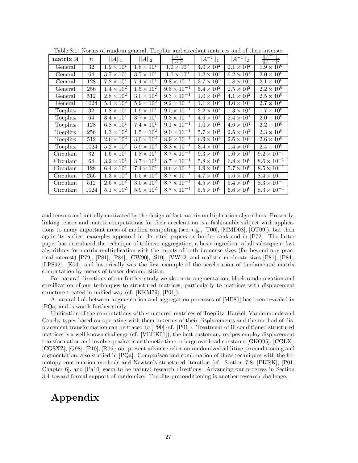| matrix A  | $\boldsymbol{n}$ | $  A  _1$           | $  A  _2$                  | $  A  _1$<br>$  A  _2$         | $  A^{-1}  _1$               | $  A^{-1}  _2$             | $  A^{-1}  _1$<br>$  A^{-1}  _2$ |
|-----------|------------------|---------------------|----------------------------|--------------------------------|------------------------------|----------------------------|----------------------------------|
| General   | $\overline{32}$  | $1.9 \times 10^{1}$ | $1.8 \times 10^{1}$        | $1.0 \times 10^{0}$            | $4.0 \times 10^{2}$          | $2.\overline{1\times10^2}$ | $1.9 \times 10^{0}$              |
| General   | 64               | $3.7 \times 10^{1}$ | $3.7 \times 10^{1}$        | $1.0 \times 10^{0}$            | $1.2 \times 10^{2}$          | $6.2 \times 10^{1}$        | $2.0 \times 10^{0}$              |
| General   | 128              | $7.2 \times 10^{1}$ | $7.4 \times 10^{1}$        | $9.8 \times 10^{-1}$           | $\overline{3.7\times10^2}$   | $1.8 \times 10^{2}$        | $2.1 \times 10^{0}$              |
| General   | 256              | $1.4 \times 10^{2}$ | $\overline{1.5\times10^2}$ | $9.5 \times 10^{-1}$           | $5.4 \times 10^{2}$          | $2.5 \times 10^{2}$        | $2.2 \times 10^{0}$              |
| General   | 512              | $2.8 \times 10^2$   | $3.0 \times 10^{2}$        | $\frac{1}{9.3 \times 10^{-1}}$ | $1.0 \times 10^{3}$          | $4.1 \times 10^{2}$        | $2.5 \times 10^{0}$              |
| General   | 1024             | $5.4 \times 10^2$   | $5.9 \times 10^2$          | $9.2 \times 10^{-1}$           | $1.1 \times 10^{3}$          | $4.0 \times 10^{2}$        | $2.7 \times 10^{0}$              |
| Toeplitz  | 32               | $1.8 \times 10^1$   | $1.9 \times 10^{1}$        | $9.5 \times 10^{-1}$           | $\overline{2.2 \times 10^1}$ | $1.3 \times 10^{1}$        | $1.7 \times 10^{0}$              |
| Toeplitz  | 64               | $3.4 \times 10^1$   | $3.7 \times 10^{1}$        | $9.3 \times 10^{-1}$           | $\overline{4.6 \times 10^1}$ | $2.4 \times 10^{1}$        | $2.0 \times 10^{0}$              |
| Toeplitz  | 128              | $6.8 \times 10^{1}$ | $7.4 \times 10^{1}$        | $9.1 \times 10^{-1}$           | $1.0 \times 10^{2}$          | $4.6 \times 10^{1}$        | $2.2 \times 10^{0}$              |
| Toeplitz  | 256              | $1.3 \times 10^2$   | $1.5 \times 10^{2}$        | $9.0 \times 10^{-1}$           | $\overline{5.7\times10^2}$   | $2.5 \times 10^{2}$        | $2.3 \times 10^{0}$              |
| Toeplitz  | 512              | $2.6 \times 10^2$   | $3.0 \times 10^{2}$        | $8.9 \times 10^{-1}$           | $6.9 \times 10^2$            | $2.6 \times 10^{2}$        | $2.6 \times 10^{0}$              |
| Toeplitz  | 1024             | $5.2 \times 10^2$   | $5.9 \times 10^2$          | $8.8 \times 10^{-1}$           | $3.4 \times 10^2$            | $1.4 \times 10^{2}$        | $2.4 \times 10^{0}$              |
| Circulant | 32               | $1.6 \times 10^1$   | $1.8 \times 10^{1}$        | $8.7 \times 10^{-1}$           | $9.3 \times 10^{0}$          | $1.0 \times 10^{1}$        | $9.2 \times 10^{-1}$             |
| Circulant | 64               | $3.2 \times 10^1$   | $3.7 \times 10^{1}$        | $8.7 \times 10^{-1}$           | $5.8 \times 10^{0}$          | $6.8 \times 10^{0}$        | $8.6 \times 10^{-1}$             |
| Circulant | 128              | $6.4 \times 10^{1}$ | $7.4 \times 10^{1}$        | $8.6 \times 10^{-1}$           | $4.9 \times 10^{0}$          | $5.7 \times 10^{0}$        | $8.5 \times 10^{-1}$             |
| Circulant | 256              | $1.3 \times 10^2$   | $1.5 \times 10^2$          | $8.7 \times 10^{-1}$           | $4.7 \times 10^{0}$          | $5.6 \times 10^{0}$        | $8.4 \times 10^{-1}$             |
| Circulant | 512              | $2.6 \times 10^{2}$ | $3.0 \times 10^{2}$        | $8.7 \times 10^{-1}$           | $\overline{4.5 \times 10^0}$ | $5.4 \times 10^{0}$        | $8.3 \times 10^{-1}$             |
| Circulant | 1024             | $5.1 \times 10^2$   | $5.9 \times 10^2$          | $8.7 \times 10^{-1}$           | $\overline{5.5\times10^0}$   | $6.6 \times 10^{0}$        | $8.3 \times 10^{-1}$             |

Table 8.1: Norms of random general, Toeplitz and circulant matrices and of their inverses

and tensors and initially motivated by the design of fast matrix multiplication algorithms. Presently, linking tensor and matrix computations for their acceleration is a fashionable subject with applications to many important areas of modern computing (see, e.g., [T00], [MMD08], [OT09]), but then again its earliest examples appeared in the cited papers on border rank and in [P72]. The latter paper has introduced the technique of trilinear aggregation, a basic ingredient of all subsequent fast algorithms for matrix multiplication with the inputs of both immense sizes (far beyond any practical interest) [P79], [P81], [P84], [CW90], [S10], [VW12] and realistic moderate sizes [P81], [P84], [LPS92], [K04], and historically was the first example of the acceleration of fundamental matrix computation by means of tensor decomposition.

For natural directions of our further study we also note augmentation, block randomization and specification of our techniques to structured matrices, particularly to matrices with displacement structure treated in unified way (cf. [KKM79], [P01]).

A natural link between augmentation and aggregation processes of [MP80] has been revealed in [PQa] and is worth further study.

Unification of the computations with structured matrices of Toeplitz, Hankel, Vandermonde and Cauchy types based on operating with them in terms of their displacements and the method of displacement transformation can be traced to [P90] (cf. [P01]). Treatment of ill conditioned structured matrices is a well known challenge (cf. [VBHK01]); the best customary recipes employ displacement transformation and involve quadratic arithmetic time or large overhead constants [GKO95], [CGLX], [CGSXZ], [G98], [P10], [R06]; our present advance relies on randomized additive preconditioning and augmentation, also studied in [PQa]. Comparison and combination of these techniques with the homotopy continuation methods and Newton's structured iteration (cf. Section 7.8, [PKRK], [P01, Chapter 6], and [Pa10] seem to be natural research directions. Advancing our progress in Section 3.4 toward formal support of randomized Toeplitz preconditioning is another research challenge.

# **Appendix**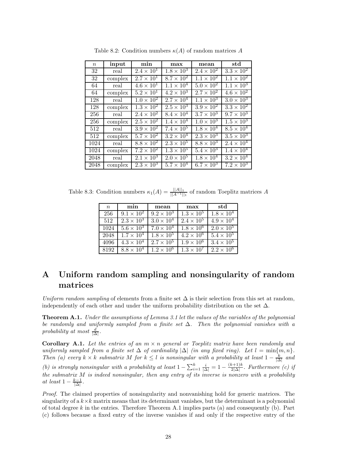| $\, n$            | input   | min                        | max                 | mean                | std                 |
|-------------------|---------|----------------------------|---------------------|---------------------|---------------------|
| 32                | real    | $2.4 \times 10^{1}$        | $1.8 \times 10^{3}$ | $2.4 \times 10^{2}$ | $3.3 \times 10^2$   |
| 32                | complex | $2.7 \times 10^{1}$        | $8.7\times10^{2}$   | $1.1 \times 10^{2}$ | $1.1 \times 10^{2}$ |
| 64                | real    | $4.6 \times 10^{1}$        | $1.1 \times 10^{4}$ | $5.0 \times 10^{2}$ | $1.1 \times 10^{3}$ |
| 64                | complex | $5.2 \times 10^{1}$        | $4.2 \times 10^3$   | $2.7 \times 10^{2}$ | $4.6 \times 10^2$   |
| 128               | real    | $1.0 \times 10^{2}$        | $2.7 \times 10^{4}$ | $1.1 \times 10^{3}$ | $3.0 \times 10^{3}$ |
| 128               | complex | $1.3 \times 10^{2}$        | $2.5 \times 10^{3}$ | $3.9 \times 10^{2}$ | $3.3 \times 10^2$   |
| 256               | real    | $2.4 \times 10^{2}$        | $8.4 \times 10^{4}$ | $3.7 \times 10^3$   | $9.7 \times 10^{3}$ |
| 256               | complex | $2.5 \times 10^2$          | $1.4 \times 10^{4}$ | $1.0 \times 10^3$   | $1.5 \times 10^{3}$ |
| 512               | real    | $3.9 \times 10^{2}$        | $7.4 \times 10^{5}$ | $1.8 \times 10^{4}$ | $8.5 \times 10^4$   |
| 512               | complex | $5.7 \times 10^2$          | $3.2 \times 10^{4}$ | $2.3 \times 10^3$   | $3.5 \times 10^3$   |
| $\overline{1}024$ | real    | $8.8 \times 10^{2}$        | $2.3 \times 10^{5}$ | $8.8 \times 10^3$   | $2.4 \times 10^{4}$ |
| 1024              | complex | $7.2 \times 10^2$          | $1.3 \times 10^5$   | $5.4 \times 10^{3}$ | $1.4 \times 10^{4}$ |
| 2048              | real    | $2.\overline{1\times10^3}$ | $2.0 \times 10^5$   | $1.8 \times 10^{4}$ | $3.2 \times 10^4$   |
| 2048              | complex | $2.3 \times 10^3$          | $5.7 \times 10^{4}$ | $6.7 \times 10^{3}$ | $7.2 \times 10^3$   |

Table 8.2: Condition numbers  $\kappa(A)$  of random matrices A

Table 8.3: Condition numbers  $\kappa_1(A) = \frac{||A||_1}{||A^{-1}||_1}$  of random Toeplitz matrices *A* 

| $\boldsymbol{n}$ | min                 | mean                | max                 | std                 |
|------------------|---------------------|---------------------|---------------------|---------------------|
| 256              | $9.1 \times 10^{2}$ | $9.2 \times 10^{3}$ | $1.3 \times 10^5$   | $1.8 \times 10^{4}$ |
| 512              | $2.3 \times 10^3$   | $3.0 \times 10^{4}$ | $2.4 \times 10^{5}$ | $4.9 \times 10^{4}$ |
| 1024             | $5.6 \times 10^3$   | $7.0 \times 10^{4}$ | $1.8 \times 10^6$   | $2.0 \times 10^{5}$ |
| 2048             | $1.7 \times 10^{4}$ | $1.8 \times 10^{5}$ | $4.2 \times 10^{6}$ | $5.4 \times 10^5$   |
| 4096             | $4.3 \times 10^4$   | $2.7 \times 10^{5}$ | $1.9 \times 10^{6}$ | $3.4 \times 10^5$   |
| 8192             | $8.8 \times 10^4$   | $1.2 \times 10^6$   | $1.3 \times 10^7$   | $2.2 \times 10^{6}$ |

# **A Uniform random sampling and nonsingularity of random matrices**

*Uniform random sampling* of elements from a finite set  $\Delta$  is their selection from this set at random, independently of each other and under the uniform probability distribution on the set  $\Delta$ .

**Theorem A.1.** *Under the assumptions of Lemma 3.1 let the values of the variables of the polynomial be randomly and uniformly sampled from a finite set* ∆*. Then the polynomial vanishes with a*  $\frac{d}{\Delta}$ .

**Corollary A.1.** Let the entries of an  $m \times n$  general or Toeplitz matrix have been randomly and *uniformly sampled from a finite set*  $\Delta$  *of cardinality*  $|\Delta|$  *(in any fixed ring). Let*  $l = \min\{m, n\}$ *. Then* (a) every  $k \times k$  *submatrix*  $M$  *for*  $k \leq l$  *is nonsingular with a probability at least*  $1 - \frac{k}{|\Delta|}$  *and (b) is strongly nonsingular with a probability at least*  $1 - \sum_{i=1}^{k} \frac{i}{|\Delta|} = 1 - \frac{(k+1)k}{2|\Delta|}$ . Furthermore *(c) if the submatrix M is indeed nonsingular, then any entry of its inverse is nonzero with a probability at least*  $1 - \frac{k-1}{|\Delta|}$ .

*Proof.* The claimed properties of nonsingularity and nonvanishing hold for generic matrices. The singularity of a  $k \times k$  matrix means that its determinant vanishes, but the determinant is a polynomial of total degree *k* in the entries. Therefore Theorem A.1 implies parts (a) and consequently (b). Part (c) follows because a fixed entry of the inverse vanishes if and only if the respective entry of the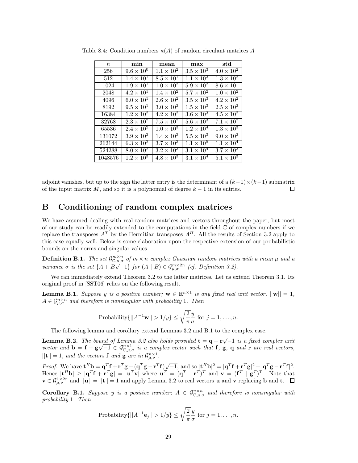| $\,n$   | min                          | mean                | max                        | std                 |
|---------|------------------------------|---------------------|----------------------------|---------------------|
| 256     | $9.6 \times 10^{0}$          | $1.1 \times 10^{2}$ | $3.5 \times 10^3$          | $4.0 \times 10^{2}$ |
| 512     | $1.4 \times 10^{1}$          | $8.5 \times 10^{1}$ | $1.1 \times 10^{3}$        | $1.3 \times 10^{2}$ |
| 1024    | $1.9 \times 10^{1}$          | $1.0 \times 10^{2}$ | $5.9 \times 10^2$          | $8.6 \times 10^{1}$ |
| 2048    | $4.2 \times 10^{1}$          | $1.4 \times 10^{2}$ | $5.7 \times 10^{2}$        | $1.0 \times 10^2$   |
| 4096    | $6.0 \times 10^{1}$          | $2.6 \times 10^{2}$ | $3.5 \times 10^{3}$        | $4.2 \times 10^{2}$ |
| 8192    | $9.5 \times 10^{1}$          | $3.0 \times 10^2$   | $1.5 \times 10^{3}$        | $2.5 \times 10^2$   |
| 16384   | $1.2 \times 10^{2}$          | $4.2 \times 10^2$   | $3.6 \times 10^3$          | $4.5 \times 10^2$   |
| 32768   | $2.3 \times 10^{2}$          | $7.5 \times 10^{2}$ | $5.6 \times 10^{3}$        | $7.1 \times 10^2$   |
| 65536   | $2.\overline{4 \times 10^2}$ | $1.0 \times 10^{3}$ | $1.2 \times 10^4$          | $1.3 \times 10^{3}$ |
| 131072  | $3.9 \times 10^2$            | $1.4 \times 10^3$   | $5.5 \times 10^3$          | $9.0 \times 10^{2}$ |
| 262144  | $6.3 \times 10^{2}$          | $3.7 \times 10^3$   | $1.1 \times 10^{5}$        | $1.1 \times 10^{4}$ |
| 524288  | $8.0 \times 10^2$            | $3.2 \times 10^3$   | $3.1 \times 10^4$          | $3.7 \times 10^3$   |
| 1048576 | $1.2 \times 10^3$            | $4.8 \times 10^3$   | $3.\overline{1\times10^4}$ | $5.1 \times 10^{3}$ |

Table 8.4: Condition numbers  $\kappa(A)$  of random circulant matrices A

adjoint vanishes, but up to the sign the latter entry is the determinant of a  $(k-1)\times(k-1)$  submatrix of the input matrix  $M$ , and so it is a polynomial of degree  $k-1$  in its entries. П

# **B Conditioning of random complex matrices**

We have assumed dealing with real random matrices and vectors throughout the paper, but most of our study can be readily extended to the computations in the field  $\mathbb C$  of complex numbers if we replace the transposes  $A<sup>T</sup>$  by the Hermitian transposes  $A<sup>H</sup>$ . All the results of Section 3.2 apply to this case equally well. Below is some elaboration upon the respective extension of our probabilistic bounds on the norms and singular values.

**Definition B.1.** *The set*  $\mathcal{G}^{m \times n}_{\mathbb{C},\mu,\sigma}$  *of*  $m \times n$  *complex Gaussian random matrices with a mean*  $\mu$  *and a variance*  $\sigma$  *is the set*  $\{A + B\sqrt{-1}\}$  *for*  $(A | B) \in \mathcal{G}_{\mu,\sigma}^{m \times 2n}$  *(cf. Definition 3.2).* 

We can immediately extend Theorem 3.2 to the latter matrices. Let us extend Theorem 3.1. Its original proof in [SST06] relies on the following result.

**Lemma B.1.** *Suppose y is a positive number;*  $\mathbf{w} \in \mathbb{R}^{n \times 1}$  *is any fixed real unit vector,*  $||\mathbf{w}|| = 1$ *,*  $A \in \mathcal{G}_{\mu,\sigma}^{n \times n}$  *and therefore is nonsingular with probability* 1*. Then* 

Probability
$$
\{||A^{-1}\mathbf{w}|| > 1/y\} \le \sqrt{\frac{2}{\pi}} \frac{y}{\sigma}
$$
 for  $j = 1, ..., n$ .

The following lemma and corollary extend Lemmas 3.2 and B.1 to the complex case.

**Lemma B.2.** *The bound of Lemma 3.2 also holds provided*  $\mathbf{t} = \mathbf{q} + \mathbf{r}\sqrt{-1}$  *is a fixed complex unit vector and*  $\mathbf{b} = \mathbf{f} + \mathbf{g}\sqrt{-1} \in \mathcal{G}_{\mathbb{C},\mu,\sigma}^{n\times1}$  *is a complex vector such that* **f**, **g**, **q** *and* **r** *are real vectors,*  $||{\bf t}|| = 1$ *, and the vectors* **f** *and* **g** *are in*  $\mathcal{G}_{\mu,\sigma}^{n\times1}$ *.* 

*Proof.* We have  $\mathbf{t}^H \mathbf{b} = \mathbf{q}^T \mathbf{f} + \mathbf{r}^T \mathbf{g} + (\mathbf{q}^T \mathbf{g} - \mathbf{r}^T \mathbf{f}) \sqrt{-1}$ , and so  $|\mathbf{t}^H \mathbf{b}|^2 = |\mathbf{q}^T \mathbf{f} + \mathbf{r}^T \mathbf{g}|^2 + |\mathbf{q}^T \mathbf{g} - \mathbf{r}^T \mathbf{f}|^2$ . Hence  $|\mathbf{t}^H\mathbf{b}| \geq |\mathbf{q}^T\mathbf{f} + \mathbf{r}^T\mathbf{g}| = |\mathbf{u}^T\mathbf{v}|$  where  $\mathbf{u}^T = (\mathbf{q}^T \mid \mathbf{r}^T)^T$  and  $\mathbf{v} = (\mathbf{f}^T \mid \mathbf{g}^T)^T$ . Note that  $\mathbf{v} \in \mathcal{G}_{\mu,\sigma}^{1 \times 2n}$  and  $||\mathbf{u}|| = ||\mathbf{t}|| = 1$  and apply Lemma 3.2 to real vectors **u** and **v** replacing **b** and **t**.  $\Box$ 

**Corollary B.1.** *Suppose y is a positive number;*  $A \in \mathcal{G}_{\mathbb{C},\mu,\sigma}^{n \times n}$  *and therefore is nonsingular with probability* 1*. Then*

Probability
$$
\{||A^{-1}\mathbf{e}_j|| > 1/y\} \le \sqrt{\frac{2}{\pi}} \frac{y}{\sigma}
$$
 for  $j = 1, ..., n$ .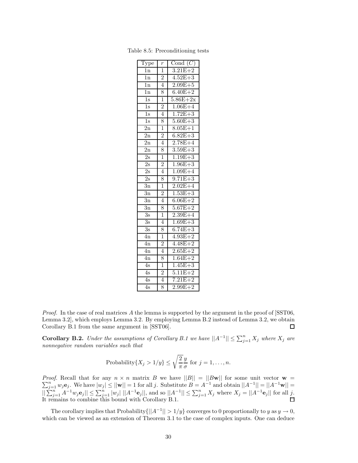| $\overline{\text{Type}}$ | $\boldsymbol{r}$ | Cond $(C)$  |
|--------------------------|------------------|-------------|
| 1n                       | $\mathbf 1$      | $3.21E + 2$ |
| 1n                       | $\overline{2}$   | $4.52E + 3$ |
| $\overline{1n}$          | $\overline{4}$   | $2.09E + 5$ |
| $\overline{1n}$          | 8                | $6.40E + 2$ |
| $\overline{1s}$          | $\overline{1}$   | $5.86E+2x$  |
| $\overline{1s}$          | $\overline{2}$   | $1.06E + 4$ |
| $\overline{1s}$          | $\overline{4}$   | $1.72E + 3$ |
| $\overline{1s}$          | 8                | $5.60E + 3$ |
| $\overline{2n}$          | 1                | $8.05E + 1$ |
| $\overline{2n}$          | $\overline{2}$   | $6.82E + 3$ |
| $\overline{2n}$          | $\overline{4}$   | $2.78E + 4$ |
| $\overline{2n}$          | 8                | $3.59E + 3$ |
| $\overline{2s}$          | $\overline{1}$   | $1.19E + 3$ |
| $\overline{2s}$          | $\frac{2}{4}$    | $1.96E + 3$ |
| $\overline{2s}$          |                  | $1.09E + 4$ |
| $\overline{2s}$          | 8                | $9.71E + 3$ |
| $\overline{3n}$          | $\overline{1}$   | $2.02E + 4$ |
| $\overline{3n}$          | $\overline{2}$   | $1.53E + 3$ |
| $\overline{3n}$          | $\overline{4}$   | $6.06E + 2$ |
| $\overline{3n}$          | 8                | $5.67E + 2$ |
| $\overline{3s}$          | $\overline{1}$   | $2.39E + 4$ |
| $\overline{3s}$          | $\overline{4}$   | $1.69E + 3$ |
| $\overline{3s}$          | 8                | $6.74E + 3$ |
| $\overline{4n}$          | $\overline{1}$   | $4.93E + 2$ |
| $\overline{4n}$          | $\overline{2}$   | $4.48E + 2$ |
| $\overline{4n}$          | $\overline{4}$   | $2.65E + 2$ |
| $\overline{4n}$          | 8                | $1.64E + 2$ |
| 4s                       | $\overline{1}$   | $1.45E + 3$ |
| $\overline{4s}$          | $\overline{2}$   | $5.11E + 2$ |
| 4s                       | $\overline{4}$   | $7.21E + 2$ |
| 4s                       | 8                | $2.99E + 2$ |

Table 8.5: Preconditioning tests

*Proof.* In the case of real matrices A the lemma is supported by the argument in the proof of [SST06, Lemma 3.2], which employs Lemma 3.2. By employing Lemma B.2 instead of Lemma 3.2, we obtain Corollary B.1 from the same argument in [SST06]. 口

**Corollary B.2.** *Under the assumptions of Corollary B.1 we have*  $||A^{-1}|| \le \sum_{j=1}^{n} X_j$  *where*  $X_j$  *are nonnegative random variables such that*

Probability{
$$
X_j > 1/y
$$
}  $\leq \sqrt{\frac{2}{\pi}} \frac{y}{\sigma}$  for  $j = 1, ..., n$ .

*Proof. Proof.* Recall that for any  $n \times n$  matrix B we have  $||B|| = ||B\mathbf{w}||$  for some unit vector  $\mathbf{w} = \sum_{j=1}^{n} w_j \mathbf{e}_j$ . We have  $|w_j| \le ||\mathbf{w}|| = 1$  for all j. Substitute  $B = A^{-1}$  and obtain  $||A^{-1}|| = ||A^{-1}\mathbf{w}|| =$  $||\sum_{j=1}^n A^{-1}w_j \mathbf{e}_j|| \le \sum_{j=1}^n |w_j| ||A^{-1} \mathbf{e}_j||$ , and so  $||A^{-1}|| \le \sum_{j=1}^n X_j$  where  $X_j = ||A^{-1} \mathbf{e}_j||$  for all j. It remains to combine this bound with Corollary B.1.

The corollary implies that Probability $\{||A^{-1}|| > 1/y\}$  converges to 0 proportionally to *y* as  $y \to 0$ , which can be viewed as an extension of Theorem 3.1 to the case of complex inputs. One can deduce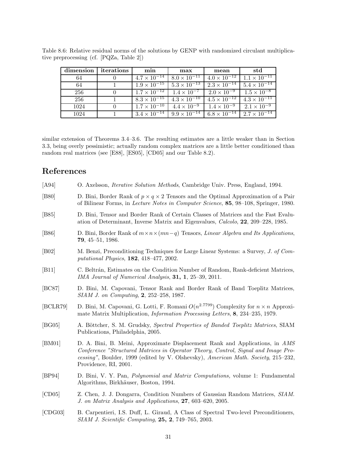| dimension | iterations | min                                           | max                                         | mean                                      | std                   |
|-----------|------------|-----------------------------------------------|---------------------------------------------|-------------------------------------------|-----------------------|
| 64        |            | $4.7 \times 10^{-14}$   $8.0 \times 10^{-11}$ |                                             | $4.0 \times \overline{10^{-12}}$          | $1.1 \times 10^{-11}$ |
| 64        |            |                                               | $1.9 \times 10^{-15}$ $5.3 \times 10^{-13}$ | $2.3 \times \overline{10^{-14}}$          | $5.4 \times 10^{-14}$ |
| 256       |            | $1.7 \times 10^{-12}$ $1.4 \times 10^{-7}$    |                                             | $2.0 \times 10^{-9}$ $1.5 \times 10^{-8}$ |                       |
| 256       |            | $8.3 \times 10^{-15}$ $4.3 \times 10^{-10}$   |                                             | $4.5 \times \overline{10^{-12}}$          | $4.3 \times 10^{-11}$ |
| 1024      |            |                                               | $1.7 \times 10^{-10}$ $4.4 \times 10^{-9}$  | $1.4 \times 10^{-9}$                      | $2.1 \times 10^{-9}$  |
| 1024      |            | $3.4 \times 10^{-14}$                         | $9.9 \times 10^{-14}$                       | $6.8 \times 10^{-14}$                     | $2.7 \times 10^{-14}$ |

Table 8.6: Relative residual norms of the solutions by GENP with randomized circulant multiplicative preprocessing (cf. [PQZa, Table 2])

similar extension of Theorems 3.4–3.6. The resulting estimates are a little weaker than in Section 3.3, being overly pessimistic; actually random complex matrices are a little better conditioned than random real matrices (see [E88], [ES05], [CD05] and our Table 8.2).

# **References**

| [A94]          | O. Axelsson, <i>Iterative Solution Methods</i> , Cambridge Univ. Press, England, 1994.                                                                                                                                                                                            |
|----------------|-----------------------------------------------------------------------------------------------------------------------------------------------------------------------------------------------------------------------------------------------------------------------------------|
| [ <b>B80</b> ] | D. Bini, Border Rank of $p \times q \times 2$ Tensors and the Optimal Approximation of a Pair<br>of Bilinear Forms, in Lecture Notes in Computer Science, 85, 98–108, Springer, 1980.                                                                                             |
| [ <b>B85</b> ] | D. Bini, Tensor and Border Rank of Certain Classes of Matrices and the Fast Evalu-<br>ation of Determinant, Inverse Matrix and Eigenvalues, Calcolo, 22, 209–228, 1985.                                                                                                           |
| [ <b>B86</b> ] | D. Bini, Border Rank of $m \times n \times (mn-q)$ Tensors, <i>Linear Algebra and Its Applications</i> ,<br>$79, 45-51, 1986.$                                                                                                                                                    |
| [ <b>B02</b> ] | M. Benzi, Preconditioning Techniques for Large Linear Systems: a Survey, J. of Com-<br>putational Physics, $182, 418-477, 2002$ .                                                                                                                                                 |
| [B11]          | C. Beltrán, Estimates on the Condition Number of Random, Rank-deficient Matrices,<br>IMA Journal of Numerical Analysis, 31, 1, 25-39, 2011.                                                                                                                                       |
| [BC87]         | D. Bini, M. Capovani, Tensor Rank and Border Rank of Band Toeplitz Matrices,<br>SIAM J. on Computing, 2, 252-258, 1987.                                                                                                                                                           |
| [BCLR79]       | D. Bini, M. Capovani, G. Lotti, F. Romani $O(n^{2.7799})$ Complexity for $n \times n$ Approxi-<br>mate Matrix Multiplication, <i>Information Processing Letters</i> , 8, 234–235, 1979.                                                                                           |
| [BG05]         | A. Böttcher, S. M. Grudsky, Spectral Properties of Banded Toeplitz Matrices, SIAM<br>Publications, Philadelphia, 2005.                                                                                                                                                            |
| [BM01]         | D. A. Bini, B. Meini, Approximate Displacement Rank and Applications, in AMS<br>Conference "Structured Matrices in Operator Theory, Control, Signal and Image Pro-<br>cessing", Boulder, 1999 (edited by V. Olshevsky), American Math. Society, 215–232,<br>Providence, RI, 2001. |
| [BP94]         | D. Bini, V. Y. Pan, <i>Polynomial and Matrix Computations</i> , volume 1: Fundamental<br>Algorithms, Birkhäuser, Boston, 1994.                                                                                                                                                    |
| [CD05]         | Z. Chen, J. J. Dongarra, Condition Numbers of Gaussian Random Matrices, SIAM.<br>J. on Matrix Analysis and Applications, 27, 603–620, 2005.                                                                                                                                       |
| [CDG03]        | B. Carpentieri, I.S. Duff, L. Giraud, A Class of Spectral Two-level Preconditioners,<br>$SIAM$ J. Scientific Computing, 25, 2, 749–765, 2003.                                                                                                                                     |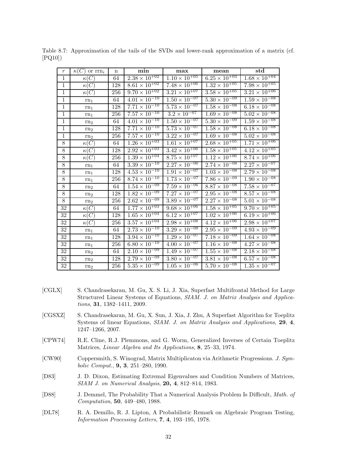| $\boldsymbol{r}$ | $\kappa(C)$ or $\text{rrn}_i$ | $\mathbf n$      | min                               | max                               | mean                              | $_{std}$                          |
|------------------|-------------------------------|------------------|-----------------------------------|-----------------------------------|-----------------------------------|-----------------------------------|
| $\mathbf{1}$     | $\kappa(C)$                   | 64               | $2.38 \times 10^{+02}$            | $1.\overline{10 \times 10^{+05}}$ | $6.\overline{25 \times 10^{+03}}$ | $1.68 \times 10^{+04}$            |
| $\overline{1}$   | $\kappa(C)$                   | 128              | $8.61 \times 10^{+02}$            | $7.48 \times 10^{+06}$            | $1.\overline{32 \times 10^{+05}}$ | $7.98 \times 10^{+05}$            |
| $\mathbf{1}$     | $\kappa(C)$                   | 256              | $9.70 \times 10^{+02}$            | $3.21 \times 10^{+07}$            | $3.58 \times 10^{+05}$            | $3.21 \times 10^{+06}$            |
| $\overline{1}$   | $rn_1$                        | 64               | $4.01 \times 10^{-10}$            | $1.50 \times 10^{-07}$            | $5.30 \times 10^{-09}$            | $1.\overline{59} \times 10^{-08}$ |
| $\overline{1}$   | rn <sub>1</sub>               | 128              | $7.71 \times 10^{-10}$            | $5.\overline{73 \times 10^{-07}}$ | $1.58 \times 10^{-08}$            | $6.18 \times 10^{-08}$            |
| $\overline{1}$   | $rn_1$                        | $25\overline{6}$ | $7.57 \times 10^{-10}$            | $3.2 \times 10^{-07}$             | $1.69 \times 10^{-08}$            | $5.02 \times 10^{-08}$            |
| $\,1$            | rn <sub>2</sub>               | 64               | $4.01 \times 10^{-10}$            | $1.50 \times 10^{-07}$            | $5.30 \times 10^{-09}$            | $1.\overline{59} \times 10^{-08}$ |
| $\overline{1}$   | rn <sub>2</sub>               | 128              | $7.\overline{71} \times 10^{-10}$ | $5.73 \times 10^{-07}$            | $1.\overline{58 \times 10^{-08}}$ | $6.18 \times 10^{-08}$            |
| $1\,$            | rn <sub>2</sub>               | 256              | $7.57 \times 10^{-10}$            | $3.22 \times 10^{-07}$            | $1.69 \times 10^{-08}$            | $5.02 \times 10^{-08}$            |
| $\overline{8}$   | $\kappa(C)$                   | 64               | $1.26 \times 10^{+03}$            | $1.\overline{61 \times 10^{+07}}$ | $2.68 \times 10^{+05}$            | $1.\overline{71 \times 10^{+06}}$ |
| $\overline{8}$   | $\kappa(C)$                   | 128              | $2.92 \times 10^{+03}$            | $3.42 \times 10^{+06}$            | $1.58 \times 10^{+05}$            | $4.12 \times 10^{+05}$            |
| $\overline{8}$   | $\kappa(C)$                   | 256              | $1.39 \times 10^{+04}$            | $8.75 \times 10^{+07}$            | $1.12 \times 10^{+06}$            | $8.74 \times 10^{+06}$            |
| $\overline{8}$   | $rn_1$                        | 64               | $3.39 \times 10^{-10}$            | $2.27 \times 10^{-06}$            | $2.74 \times 10^{-08}$            | $2.27 \times 10^{-07}$            |
| $8\,$            | $rn_1$                        | 128              | $4.\overline{53} \times 10^{-10}$ | $1.\overline{91 \times 10^{-07}}$ | $1.03 \times 10^{-08}$            | $2.79 \times 10^{-08}$            |
| $8\,$            | rn <sub>1</sub>               | 256              | $8.74 \times 10^{-10}$            | $1.73 \times 10^{-07}$            | $7.86 \times 10^{-09}$            | $1.90 \times 10^{-08}$            |
| $8\,$            | rn <sub>2</sub>               | 64               | $1.54 \times 10^{-09}$            | $7.\overline{59 \times 10^{-06}}$ | $8.87 \times 10^{-08}$            | $7.\overline{58} \times 10^{-07}$ |
| $8\,$            | rn <sub>2</sub>               | 128              | $1.82 \times 10^{-09}$            | $7.\overline{27 \times 10^{-07}}$ | $2.95 \times 10^{-08}$            | $8.\overline{57 \times 10^{-08}}$ |
| $\overline{8}$   | rn <sub>2</sub>               | 256              | $2.62 \times 10^{-09}$            | $3.89 \times 10^{-07}$            | $2.27 \times 10^{-08}$            | $5.01 \times 10^{-08}$            |
| $\overline{32}$  | $\kappa(C)$                   | 64               | $1.\overline{77 \times 10^{+03}}$ | $9.\overline{68 \times 10^{+06}}$ | $1.58 \times 10^{+05}$            | $9.70 \times 10^{+05}$            |
| 32               | $\kappa(C)$                   | 128              | $1.65 \times 10^{+04}$            | $6.\overline{12 \times 10^{+07}}$ | $1.02 \times 10^{+06}$            | $6.19 \times 10^{+06}$            |
| 32               | $E^{\mathcal{L}}(C)$          | 256              | $3.57 \times 10^{+04}$            | $2.98 \times 10^{+08}$            | $4.12 \times 10^{+06}$            | $2.98 \times 10^{+07}$            |
| 32               | $rn_1$                        | 64               | $2.73 \times 10^{-10}$            | $3.29 \times 10^{-08}$            | $2.\overline{95 \times 10^{-09}}$ | $4.93 \times 10^{-09}$            |
| 32               | $rn_1$                        | 128              | $3.94 \times 10^{-10}$            | $1.29 \times 10^{-07}$            | $7.18 \times 10^{-09}$            | $1.64 \times 10^{-08}$            |
| 32               | rn <sub>1</sub>               | 256              | $6.80 \times 10^{-10}$            | $4.00 \times 10^{-07}$            | $1.16 \times 10^{-08}$            | $4.27 \times 10^{-08}$            |
| $\overline{32}$  | rn <sub>2</sub>               | 64               | $2.\overline{10 \times 10^{-09}}$ | $1.\overline{49 \times 10^{-07}}$ | $1.\overline{55 \times 10^{-08}}$ | $2.18 \times 10^{-08}$            |
| 32               | rn <sub>2</sub>               | 128              | $2.79 \times 10^{-09}$            | $3.80 \times 10^{-07}$            | $3.81 \times 10^{-08}$            | $6.57 \times 10^{-08}$            |
| 32               | rn <sub>2</sub>               | 256              | $5.35 \times 10^{-09}$            | $1.\overline{05 \times 10^{-06}}$ | $5.70 \times 10^{-08}$            | $1.\overline{35} \times 10^{-07}$ |

Table 8.7: Approximation of the tails of the SVDs and lower-rank approximation of a matrix (cf. [PQ10])

- [CGLX] S. Chandrasekaran, M. Gu, X. S. Li, J. Xia, Superfast Multifrontal Method for Large Structured Linear Systems of Equations, *SIAM. J. on Matrix Analysis and Applications*, **31**, 1382–1411, 2009.
- [CGSXZ] S. Chandrasekaran, M. Gu, X. Sun, J. Xia, J. Zhu, A Superfast Algorithm for Toeplitz Systems of linear Equations, *SIAM. J. on Matrix Analysis and Applications*, **29**, **4**, 1247–1266, 2007.
- [CPW74] R.E. Cline, R.J. Plemmons, and G. Worm, Generalized Inverses of Certain Toeplitz Matrices, *Linear Algebra and Its Applications,* **8**, 25–33, 1974.
- [CW90] Coppersmith, S. Winograd, Matrix Multiplicaton via Arithmetic Progressions. *J. Symbolic Comput.*, **9, 3**, 251–280, 1990.
- [D83] J. D. Dixon, Estimating Extremal Eigenvalues and Condition Numbers of Matrices, *SIAM J. on Numerical Analysis*, **20, 4**, 812–814, 1983.
- [D88] J. Demmel, The Probability That a Numerical Analysis Problem Is Difficult, *Math. of Computation*, **50**, 449–480, 1988.
- [DL78] R. A. Demillo, R. J. Lipton, A Probabilistic Remark on Algebraic Program Testing, *Information Processing Letters*, **7**, **4**, 193–195, 1978.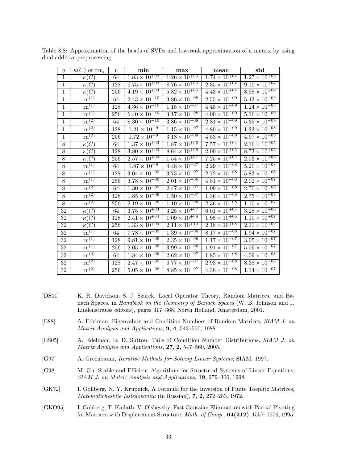| q               | $\kappa(C)$ or $\text{rrn}_i$  | $\mathbf n$ | min                               | max                               | mean                              | $_{std}$                        |
|-----------------|--------------------------------|-------------|-----------------------------------|-----------------------------------|-----------------------------------|---------------------------------|
| $\mathbf{1}$    | $\kappa(C)$                    | 64          | $1.83 \times 10^{+02}$            | $1.26 \times 10^{+06}$            | $1.74 \times 10^{+04}$            | $1.27 \times 10^{+05}$          |
| $\mathbf{1}$    | $\kappa(C)$                    | 128         | $6.75 \times 10^{+02}$            | $8.\overline{76 \times 10^{+05}}$ | $2.\overline{35} \times 10^{+04}$ | $9.10 \times 10^{+04}$          |
| $\mathbf{1}$    | $\kappa(C)$                    | 256         | $4.19 \times 10^{+03}$            | $5.82 \times 10^{+05}$            | $4.43 \times 10^{+04}$            | $8.98 \times 10^{+04}$          |
| $\,1$           | $rn^{(1)}$                     | 64          | $2.43\times\overline{10^{-10}}$   | $3.86 \times 10^{-08}$            | $2.55 \times 10^{-09}$            | $5.43\times\overline{10^{-09}}$ |
| $\mathbf{1}$    | $\mathrm{rn}^{(1)}$            | 128         | $4.36 \times 10^{-10}$            | $1.15 \times 10^{-07}$            | $4.45 \times 10^{-09}$            | $1.24 \times 10^{-08}$          |
| $\,1$           | $\mathrm{rn}^{(1)}$            | 256         | $6.40 \times 10^{-10}$            | $3.17 \times 10^{-08}$            | $4.00 \times 10^{-09}$            | $5.16\times\overline{10^{-09}}$ |
| $\mathbf{1}$    | $\overline{\text{rn}^{(2)}}$   | 64          | $8.30 \times 10^{-10}$            | $3.86 \times 10^{-08}$            | $2.81 \times 10^{-09}$            | $5.35\times\overline{10^{-09}}$ |
| $\mathbf{1}$    | $\overline{\text{rn}^{(2)}}$   | 128         | $1.21 \times 10^{-9}$             | $1.15 \times 10^{-07}$            | $4.80 \times 10^{-09}$            | $1.23 \times 10^{-08}$          |
| $\mathbf{1}$    | $\mathrm{rn}^{(2)}$            | 256         | $1.72 \times 10^{-9}$             | $3.18 \times 10^{-08}$            | $4.53 \times 10^{-09}$            | $4.97 \times 10^{-09}$          |
| $\overline{8}$  | $\overline{\kappa(C)}$         | 64          | $1.\overline{37} \times 10^{+03}$ | $1.87 \times 10^{+06}$            | $7.\overline{57 \times 10^{+04}}$ | $2.16 \times 10^{+05}$          |
| $8\,$           | $\kappa(C)$                    | 128         | $3.80 \times 10^{+03}$            | $8.64 \times 10^{+06}$            | $2.00 \times 10^{+05}$            | $8.73 \times 10^{+05}$          |
| $8\,$           | $\kappa(C)$                    | 256         | $2.57\times10^{+04}$              | $1.54 \times 10^{+07}$            | $7.25 \times 10^{+05}$            | $2.03 \times 10^{+06}$          |
| $8\,$           | $\mathrm{rn}^{(1)}$            | 64          | $1.87 \times 10^{-9}$             | $4.48 \times 10^{-07}$            | $2.29 \times 10^{-08}$            | $5.20 \times 10^{-08}$          |
| $8\,$           | $\mathrm{rn}^{(1)}$            | 128         | $3.04 \times 10^{-09}$            | $3.73 \times 10^{-07}$            | $2.72 \times 10^{-08}$            | $5.83 \times 10^{-08}$          |
| $8\,$           | $\overline{\mathrm{rn}^{(1)}}$ | 256         | $3.78\times10^{-09}$              | $2.01 \times 10^{-06}$            | $4.81 \times 10^{-08}$            | $2.02\times\overline{10^{-07}}$ |
| $8\,$           | $\mathrm{rn}^{\left(2\right)}$ | 64          | $1.30 \times 10^{-09}$            | $2.47 \times 10^{-07}$            | $1.09 \times 10^{-08}$            | $2.70 \times 10^{-08}$          |
| $8\,$           | $\rm{rn}^{(2)}$                | 128         | $1.85 \times 10^{-09}$            | $1.50 \times 10^{-07}$            | $1.36 \times 10^{-08}$            | $2.75 \times 10^{-08}$          |
| $\overline{8}$  | $\overline{\text{rn}^{(2)}}$   | 256         | $2.19 \times 10^{-09}$            | $1.10 \times 10^{-06}$            | $2.36 \times 10^{-08}$            | $1.10 \times 10^{-07}$          |
| $\overline{32}$ | $\kappa(\overline{C})$         | 64          | $3.75 \times 10^{+03}$            | $3.25 \times 10^{+07}$            | $6.01 \times 10^{+05}$            | $3.28 \times 10^{+06}$          |
| $32\,$          | $\kappa(C)$                    | 128         | $2.41 \times 10^{+04}$            | $1.09 \times 10^{+08}$            | $1.95 \times 10^{+06}$            | $1.10 \times 10^{+07}$          |
| 32              | $\kappa(C)$                    | 256         | $1.33 \times 10^{+05}$            | $2.11 \times 10^{+10}$            | $2.18 \times 10^{+08}$            | $2.11 \times 10^{+09}$          |
| 32              | $rn^{(1)}$                     | 64          | $7.78 \times 10^{-09}$            | $1.39 \times 10^{-06}$            | $8.17 \times 10^{-08}$            | $1.94 \times 10^{-07}$          |
| $32\,$          | $\overline{\mathrm{rn}}^{(1)}$ | 128         | $9.81 \times 10^{-09}$            | $2.\overline{35 \times 10^{-06}}$ | $1.17 \times 10^{-07}$            | $3.05 \times 10^{-07}$          |
| 32              | $\mathrm{rn}^{(1)}$            | 256         | $2.05 \times 10^{-08}$            | $3.99 \times 10^{-06}$            | $1.91 \times 10^{-07}$            | $5.06\times10^{-07}$            |
| 32              | $\mathrm{rn}^{\left(2\right)}$ | 64          | $1.84 \times 10^{-09}$            | $2.62 \times 10^{-07}$            | $1.85 \times 10^{-08}$            | $4.09\times10^{-08}$            |
| $32\,$          | $\overline{\mathrm{rn}}^{(2)}$ | 128         | $2.47 \times 10^{-09}$            | $6.77 \times 10^{-07}$            | $2.93 \times 10^{-08}$            | $8.38 \times 10^{-08}$          |
| 32              | $\mathrm{rn}^{\left(2\right)}$ | 256         | $5.05 \times 10^{-09}$            | $8.85 \times 10^{-07}$            | $4.38 \times 10^{-08}$            | $1.14 \times 10^{-07}$          |

Table 8.8: Approximation of the heads of SVDs and low-rank approximation of a matrix by using dual additive preprocessing

- [DS01] K. R. Davidson, S. J. Szarek, Local Operator Theory, Random Matrices, and Banach Spaces, in *Handbook on the Geometry of Banach Spaces* (W. B. Johnson and J. Lindenstrauss editors), pages 317–368, North Holland, Amsterdam, 2001.
- [E88] A. Edelman, Eigenvalues and Condition Numbers of Random Matrices, *SIAM J. on Matrix Analysis and Applications*, **9**, **4**, 543–560, 1988.
- [ES05] A. Edelman, B. D. Sutton, Tails of Condition Number Distributions, *SIAM J. on Matrix Analysis and Applications*, **27**, **2**, 547–560, 2005.
- [G97] A. Greenbaum, *Iterative Methods for Solving Linear Systems*, SIAM, 1997.
- [G98] M. Gu, Stable and Efficient Algorithms for Structured Systems of Linear Equations, *SIAM J. on Matrix Analysis and Applications*, **19**, 279–306, 1998.
- [GK72] I. Gohberg, N. Y. Krupnick, A Formula for the Inversion of Finite Toeplitz Matrices, *Matematicheskiie Issledovaniia* (in Russian), **7**, **2**, 272–283, 1972.
- [GKO95] I. Gohberg, T. Kailath, V. Olshevsky, Fast Gaussian Elimination with Partial Pivoting for Matrices with Displacement Structure, *Math. of Comp.,* **64(212)**, 1557–1576, 1995.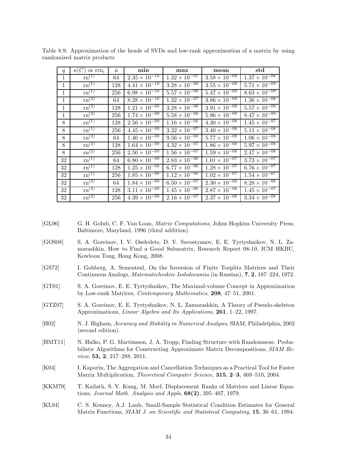| q            | $\kappa(C)$ or $\text{rrn}_i$  | $\mathbf n$ | min                    | max                               | mean                   | $_{std}$                          |
|--------------|--------------------------------|-------------|------------------------|-----------------------------------|------------------------|-----------------------------------|
| 1            | $\mathrm{rn}^{(1)}$            | 64          | $2.35 \times 10^{-10}$ | $1.32 \times 10^{-07}$            | $3.58 \times 10^{-09}$ | $1.37 \times 10^{-08}$            |
| $\mathbf{1}$ | $rn^{(1)}$                     | 128         | $4.41 \times 10^{-10}$ | $3.28 \times 10^{-08}$            | $3.55 \times 10^{-09}$ | $5.71 \times 10^{-09}$            |
| $\mathbf{1}$ | $\overline{\mathrm{rn}}^{(1)}$ | 256         | $6.98 \times 10^{-10}$ | $5.57 \times 10^{-08}$            | $5.47 \times 10^{-09}$ | $8.63 \times 10^{-09}$            |
| 1            | $\overline{\text{rn}^{(2)}}$   | 64          | $8.28 \times 10^{-10}$ | $1.32 \times 10^{-07}$            | $3.86 \times 10^{-09}$ | $1.36 \times 10^{-08}$            |
| 1            | $\overline{\mathrm{rn}}^{(2)}$ | 128         | $1.21 \times 10^{-09}$ | $3.28 \times 10^{-08}$            | $3.91 \times 10^{-09}$ | $5.57 \times 10^{-09}$            |
| 1            | $\overline{\mathrm{rn}^{(2)}}$ | 256         | $1.74 \times 10^{-09}$ | $5.58 \times 10^{-\overline{08}}$ | $5.96 \times 10^{-09}$ | $8.47 \times 10^{-09}$            |
| 8            | $\overline{\mathrm{rn}^{(1)}}$ | 128         | $2.56 \times 10^{-09}$ | $1.16 \times 10^{-06}$            | $4.30 \times 10^{-08}$ | $1.45 \times 10^{-07}$            |
| 8            | $\mathrm{rn}^{(1)}$            | 256         | $4.45 \times 10^{-09}$ | $3.32 \times 10^{-07}$            | $3.40 \times 10^{-08}$ | $5.11 \times 10^{-08}$            |
| 8            | $\mathrm{rn}^{(2)}$            | 64          | $1.46 \times 10^{-09}$ | $9.56 \times 10^{-08}$            | $5.77 \times 10^{-09}$ | $1.06 \times \overline{10^{-08}}$ |
| 8            | $\rm{rn}^{(2)}$                | 128         | $1.64 \times 10^{-09}$ | $4.32 \times 10^{-07}$            | $1.86 \times 10^{-08}$ | $5.97 \times 10^{-08}$            |
| 8            | $rm^{(2)}$                     | 256         | $2.50 \times 10^{-09}$ | $1.56 \times 10^{-\overline{07}}$ | $1.59 \times 10^{-08}$ | $2.47 \times 10^{-08}$            |
| 32           | $\mathrm{rn}^{(1)}$            | 64          | $6.80 \times 10^{-09}$ | $2.83 \times 10^{-06}$            | $1.01 \times 10^{-07}$ | $3.73 \times 10^{-07}$            |
| 32           | $\mathrm{rn}^{(1)}$            | 128         | $1.25 \times 10^{-08}$ | $6.77 \times 10^{-06}$            | $1.28 \times 10^{-07}$ | $6.76 \times 10^{-07}$            |
| 32           | $\mathrm{rn}^{(1)}$            | 256         | $1.85 \times 10^{-08}$ | $1.12 \times 10^{-06}$            | $1.02 \times 10^{-07}$ | $1.54 \times 10^{-07}$            |
| 32           | $rm^{(2)}$                     | 64          | $1.84 \times 10^{-09}$ | $6.50 \times 10^{-\overline{07}}$ | $2.30 \times 10^{-08}$ | $8.28 \times 10^{-08}$            |
| 32           | $\rm{rn}^{(2)}$                | 128         | $3.11 \times 10^{-09}$ | $1.45 \times 10^{-06}$            | $2.87 \times 10^{-08}$ | $1.45 \times 10^{-07}$            |
| 32           | $\overline{\mathrm{rn}}^{(2)}$ | 256         | $4.39 \times 10^{-09}$ | $2.16 \times 10^{-07}$            | $2.37 \times 10^{-08}$ | $3.34 \times 10^{-08}$            |

Table 8.9: Approximation of the heads of SVDs and low-rank approximation of a matrix by using randomized matrix products

- [GL96] G. H. Golub, C. F. Van Loan, *Matrix Computations*, Johns Hopkins University Press, Baltimore, Maryland, 1996 (third addition).
- [GOS08] S. A. Goreinov, I. V. Oseledets, D. V. Savostyanov, E. E. Tyrtyshnikov, N. L. Zamarashkin, How to Find a Good Submatrix, Research Report 08-10, ICM HKBU, Kowloon Tong, Hong Kong, 2008.
- [GS72] I. Gohberg, A. Sementsul, On the Inversion of Finite Toeplitz Matrices and Their Continuous Analogs, *Matematicheskiie Issledovaniia* (in Russian), **7**, **2**, 187–224, 1972.
- [GT01] S. A. Goreinov, E. E. Tyrtyshnikov, The Maximal-volume Concept in Approximation by Low-rank Matrices, *Contemporary Mathematics*, **208**, 47–51, 2001.
- [GTZ97] S. A. Goreinov, E. E. Tyrtyshnikov, N. L. Zamarashkin, A Theory of Pseudo-skeleton Approximations, *Linear Algebra and Its Applications*, **261**, 1–22, 1997.
- [H02] N. J. Higham, *Accuracy and Stability in Numerical Analysis*, SIAM, Philadelphia, 2002 (second edition).
- [HMT11] N. Halko, P. G. Martinsson, J. A. Tropp, Finding Structure with Randomness: Probabilistic Algorithms for Constructing Approximate Matrix Decompositions, *SIAM Review*, **53, 2**, 217–288, 2011.
- [K04] I. Kaporin, The Aggregation and Cancellation Techniques as a Practical Tool for Faster Matrix Multiplication, *Theoretical Computer Science*, **315**, **2–3**, 469–510, 2004.
- [KKM79] T. Kailath, S. Y. Kung, M. Morf, Displacement Ranks of Matrices and Linear Equations, *Journal Math. Analysis and Appls*, **68(2)**, 395–407, 1979.
- [KL94] C. S. Kenney, A.J. Laub, Small-Sample Statistical Condition Estimates for General Matrix Functions, *SIAM J. on Scientific and Statistical Computing*, **15**, 36–61, 1994.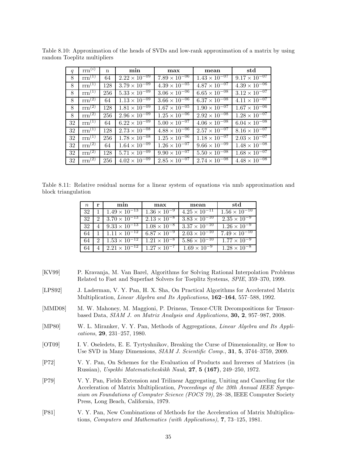| q  | $\operatorname{rrn}(i)$ | $\mathbf n$ | min                               | max                    | mean                   | std                    |
|----|-------------------------|-------------|-----------------------------------|------------------------|------------------------|------------------------|
| 8  | $rm^{(1)}$              | 64          | $2.22 \times 10^{-09}$            | $7.89 \times 10^{-06}$ | $1.43 \times 10^{-07}$ | $9.17 \times 10^{-07}$ |
| 8  | $rm^{(1)}$              | 128         | $3.79 \times 10^{-09}$            | $4.39 \times 10^{-05}$ | $4.87 \times 10^{-07}$ | $4.39 \times 10^{-06}$ |
| 8  | $rm^{(1)}$              | 256         | $5.33 \times 10^{-09}$            | $3.06 \times 10^{-06}$ | $6.65 \times 10^{-08}$ | $3.12 \times 10^{-07}$ |
| 8  | $rm^{(2)}$              | 64          | $1.13 \times 10^{-09}$            | $3.66 \times 10^{-06}$ | $6.37 \times 10^{-08}$ | $4.11 \times 10^{-07}$ |
| 8  | $rm^{(2)}$              | 128         | $1.81 \times 10^{-09}$            | $1.67 \times 10^{-05}$ | $1.90 \times 10^{-07}$ | $1.67 \times 10^{-06}$ |
| 8  | $rm^{(2)}$              | 256         | $2.96 \times 10^{-09}$            | $1.25 \times 10^{-06}$ | $2.92 \times 10^{-08}$ | $1.28 \times 10^{-07}$ |
| 32 | $rm^{(1)}$              | 64          | $6.22 \times 10^{-09}$            | $5.00 \times 10^{-07}$ | $4.06 \times 10^{-08}$ | $6.04 \times 10^{-08}$ |
| 32 | $rm^{(1)}$              | 128         | $2.73 \times 10^{-\overline{08}}$ | $4.88 \times 10^{-06}$ | $2.57 \times 10^{-07}$ | $8.16 \times 10^{-07}$ |
| 32 | $rm^{(1)}$              | 256         | $1.78 \times 10^{-08}$            | $1.25 \times 10^{-06}$ | $1.18 \times 10^{-07}$ | $2.03 \times 10^{-07}$ |
| 32 | $rm^{(2)}$              | 64          | $1.64 \times 10^{-09}$            | $1.26 \times 10^{-07}$ | $9.66 \times 10^{-09}$ | $1.48 \times 10^{-08}$ |
| 32 | $rm^{(2)}$              | 128         | $5.71 \times 10^{-09}$            | $9.90 \times 10^{-07}$ | $5.50 \times 10^{-08}$ | $1.68 \times 10^{-07}$ |
| 32 | $rm^{(2)}$              | 256         | $4.02 \times 10^{-09}$            | $2.85 \times 10^{-07}$ | $2.74 \times 10^{-08}$ | $4.48 \times 10^{-08}$ |

Table 8.10: Approximation of the heads of SVDs and low-rank approximation of a matrix by using random Toeplitz multipliers

Table 8.11: Relative residual norms for a linear system of equations via nmb approximation and block triangulation

| $\eta$ | r                           | min                    | max                   | mean                   | std                                                 |
|--------|-----------------------------|------------------------|-----------------------|------------------------|-----------------------------------------------------|
| 32     |                             | $1.49 \times 10^{-13}$ | $1.36 \times 10^{-9}$ | $4.25 \times 10^{-11}$ | $\frac{1.56 \times 10^{-10}}{1.56 \times 10^{-10}}$ |
| 32     | $\mathcal{D}_{\mathcal{A}}$ | $3.70 \times 10^{-13}$ | $2.13 \times 10^{-8}$ | $3.83 \times 10^{-10}$ | $2.35 \times 10^{-9}$                               |
| 32     |                             | $9.33 \times 10^{-13}$ | $1.08 \times 10^{-8}$ | $3.37 \times 10^{-10}$ | $1.26 \times 10^{-9}$                               |
| 64     |                             | $1.11 \times 10^{-12}$ | $6.87 \times 10^{-9}$ | $2.03 \times 10^{-10}$ | $7.49 \times 10^{-10}$                              |
| 64     | 2                           | $1.53 \times 10^{-12}$ | $1.21 \times 10^{-8}$ | $5.86 \times 10^{-10}$ | $1.77 \times 10^{-9}$                               |
| 64     |                             | $2.21 \times 10^{-12}$ | $1.27 \times 10^{-7}$ | $1.69 \times 10^{-9}$  | $1.28 \times 10^{-8}$                               |

- [KV99] P. Kravanja, M. Van Barel, Algorithms for Solving Rational Interpolation Problems Related to Fast and Superfast Solvers for Toeplitz Systems, *SPIE*, 359–370, 1999.
- [LPS92] J. Laderman, V. Y. Pan, H. X. Sha, On Practical Algorithms for Accelerated Matrix Multiplication, *Linear Algebra and Its Applications*, **162–164**, 557–588, 1992.
- [MMD08] M. W. Mahoney, M. Maggioni, P. Drineas, Tensor-CUR Decompositions for Tensorbased Data, *SIAM J. on Matrix Analysis and Applications*, **30, 2**, 957–987, 2008.
- [MP80] W. L. Miranker, V. Y. Pan, Methods of Aggregations, *Linear Algebra and Its Applications*, **29**, 231–257, 1980.
- [OT09] I. V. Oseledets, E. E. Tyrtyshnikov, Breaking the Curse of Dimensionality, or How to Use SVD in Many Dimensions, *SIAM J. Scientific Comp.*, **31**, **5**, 3744–3759, 2009.
- [P72] V. Y. Pan, On Schemes for the Evaluation of Products and Inverses of Matrices (in Russian), *Uspekhi Matematicheskikh Nauk*, **27**, **5 (167)**, 249–250, 1972.
- [P79] V. Y. Pan, Fields Extension and Trilinear Aggregating, Uniting and Canceling for the Acceleration of Matrix Multiplication, *Proceedings of the 20th Annual IEEE Symposium on Foundations of Computer Science (FOCS 79)*, 28–38, IEEE Computer Society Press, Long Beach, California, 1979.
- [P81] V. Y. Pan, New Combinations of Methods for the Acceleration of Matrix Multiplications, *Computers and Mathematics (with Applications)*, **7**, 73–125, 1981.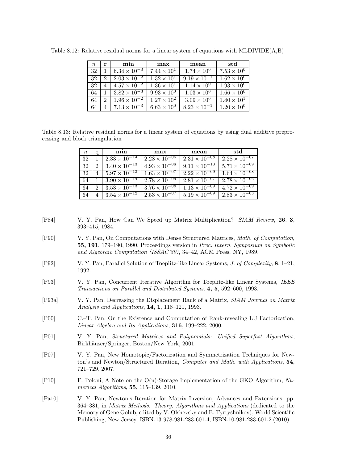| $n_{\rm c}$ | r             | min                          | max                  | mean                          | std                  |
|-------------|---------------|------------------------------|----------------------|-------------------------------|----------------------|
| 32          |               | $6.34 \times 10^{-3}$        | $7.44 \times 10^{1}$ | $1.74 \times 10^{0}$          | $7.53 \times 10^{0}$ |
| 32          | $\mathcal{D}$ | $2.03 \times 10^{-2}$        | $1.32 \times 10^{1}$ | $9.19 \times 10^{-1}$         | $1.62 \times 10^{0}$ |
| 32          |               | $4.57 \times 10^{-2}$        | $1.36 \times 10^{1}$ | $1.14 \times 10^{0}$          | $1.93 \times 10^{0}$ |
| 64          |               | $3.82 \times 10^{-3}$        | $9.93 \times 10^{0}$ | $\overline{1.03 \times 10^0}$ | $1.66 \times 10^{0}$ |
| 64          | 2             | $1.96 \times 10^{-2}$        | $1.27 \times 10^{2}$ | $3.09 \times 10^{0}$          | $1.40 \times 10^{1}$ |
| 64          |               | $\sqrt{7.13 \times 10^{-3}}$ | $6.63 \times 10^{0}$ | $8.23 \times 10^{-1}$         | $1.20 \times 10^{0}$ |

Table 8.12: Relative residual norms for a linear system of equations with MLDIVIDE(A,B)

Table 8.13: Relative residual norms for a linear system of equations by using dual additive preprocessing and block triangulation

| $\,n$ | q | min                    | max                    | mean                   | std                    |
|-------|---|------------------------|------------------------|------------------------|------------------------|
| 32    |   | $2.33 \times 10^{-14}$ | $2.28 \times 10^{-06}$ | $2.31 \times 10^{-08}$ | $2.28 \times 10^{-07}$ |
| 32    | 2 | $3.40 \times 10^{-13}$ | $4.93 \times 10^{-08}$ | $9.11 \times 10^{-10}$ | $5.71 \times 10^{-09}$ |
| 32    | 4 | $5.97 \times 10^{-13}$ | $1.63 \times 10^{-07}$ | $2.22 \times 10^{-09}$ | $1.64 \times 10^{-08}$ |
| 64    |   | $3.90 \times 10^{-14}$ | $2.78 \times 10^{-05}$ | $2.81 \times 10^{-07}$ | $2.78 \times 10^{-06}$ |
| 64    | 2 | $3.53 \times 10^{-13}$ | $3.76 \times 10^{-08}$ | $1.13 \times 10^{-09}$ | $4.72 \times 10^{-09}$ |
|       | 4 | $3.54 \times 10^{-12}$ | $2.53 \times 10^{-07}$ | $5.19 \times 10^{-09}$ | $2.83 \times 10^{-08}$ |

- [P84] V. Y. Pan, How Can We Speed up Matrix Multiplication? *SIAM Review,* **26**, **3**, 393–415, 1984.
- [P90] V. Y. Pan, On Computations with Dense Structured Matrices, *Math. of Computation*, **55, 191**, 179–190, 1990. Proceedings version in *Proc. Intern. Symposium on Symbolic and Algebraic Computation (ISSAC'89)*, 34–42, ACM Press, NY, 1989.
- [P92] V. Y. Pan, Parallel Solution of Toeplitz-like Linear Systems, *J. of Complexity*, **8**, 1–21, 1992.
- [P93] V. Y. Pan, Concurrent Iterative Algorithm for Toeplitz-like Linear Systems, *IEEE Transactions on Parallel and Distributed Systems*, **4, 5**, 592–600, 1993.
- [P93a] V. Y. Pan, Decreasing the Displacement Rank of a Matrix, *SIAM Journal on Matrix Analysis and Applications*, **14**, **1**, 118–121, 1993.
- [P00] C.–T. Pan, On the Existence and Computation of Rank-revealing LU Factorization, *Linear Algebra and Its Applications*, **316**, 199–222, 2000.
- [P01] V. Y. Pan, *Structured Matrices and Polynomials: Unified Superfast Algorithms*, Birkhäuser/Springer, Boston/New York, 2001.
- [P07] V. Y. Pan, New Homotopic/Factorization and Symmetrization Techniques for Newton's and Newton/Structured Iteration, *Computer and Math. with Applications*, **54**, 721–729, 2007.
- [P10] F. Poloni, A Note on the O(n)-Storage Implementation of the GKO Algorithm, *Numerical Algorithms*, **55**, 115–139, 2010.
- [Pa10] V. Y. Pan, Newton's Iteration for Matrix Inversion, Advances and Extensions, pp. 364–381, in *Matrix Methods: Theory, Algorithms and Applications* (dedicated to the Memory of Gene Golub, edited by V. Olshevsky and E. Tyrtyshnikov), World Scientific Publishing, New Jersey, ISBN-13 978-981-283-601-4, ISBN-10-981-283-601-2 (2010).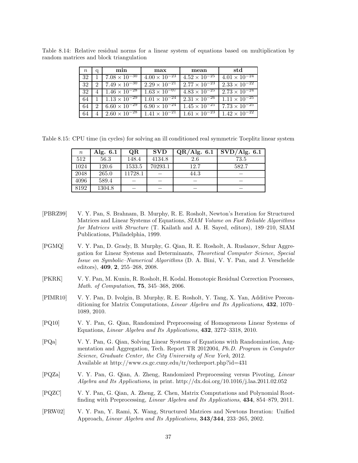| $n_{-}$ | a                           | min                                                               | max                    | mean                                          | std                    |
|---------|-----------------------------|-------------------------------------------------------------------|------------------------|-----------------------------------------------|------------------------|
| 32      |                             | $7.08 \times 10^{-30}$                                            | $4.00 \times 10^{-23}$ | $4.52 \times 10^{-25}$                        | $4.01 \times 10^{-24}$ |
| 32      | $\mathcal{D}_{\mathcal{L}}$ | $7.49 \times 10^{-30}$                                            | $2.29 \times 10^{-21}$ | $2.77 \times 10^{-23}$                        | $2.33 \times 10^{-22}$ |
| 32      |                             | $4\sqrt{1.46\times10^{-28}}$                                      | $1.63 \times 10^{-07}$ | $4.83 \times 10^{-25}$                        | $2.73 \times 10^{-24}$ |
| 64      |                             | $1 \mid 1.13 \times 10^{-29} \mid 1.01 \times 10^{-24}$           |                        | $1.11 \times 10^{-25}$ $1.11 \times 10^{-25}$ |                        |
| 64      |                             | 2 6.60 $\times$ 10 <sup>-29</sup> 6.90 $\times$ 10 <sup>-24</sup> |                        | $1.45 \times 10^{-25}$ 7.73 $\times 10^{-25}$ |                        |
| 64      |                             | $4 \mid 2.60 \times 10^{-28} \mid 1.41 \times 10^{-21}$           |                        | $1.61 \times 10^{-23}$ $1.42 \times 10^{-22}$ |                        |

Table 8.14: Relative residual norms for a linear system of equations based on multiplication by random matrices and block triangulation

Table 8.15: CPU time (in cycles) for solving an ill conditioned real symmetric Toeplitz linear system

| $\,n$ | Alg. $6.1$ | OR      | <b>SVD</b> | $\overline{\text{QR}/\text{Alg}}$ . 6.1 | $\overline{\mathrm{SVD/A}}$ lg. 6.1 |
|-------|------------|---------|------------|-----------------------------------------|-------------------------------------|
| 512   | 56.3       | 148.4   | 4134.8     | 2.6                                     | 73.5                                |
| 1024  | 120.6      | 1533.5  | 70293.1    | 12.7                                    | 582.7                               |
| 2048  | 265.0      | 11728.1 |            | 44.3                                    |                                     |
| 4096  | 589.4      |         |            |                                         |                                     |
| 8192  | 1304.8     |         |            |                                         |                                     |

- [PBRZ99] V. Y. Pan, S. Brahnam, B. Murphy, R. E. Rosholt, Newton's Iteration for Structured Matrices and Linear Systems of Equations, *SIAM Volume on Fast Reliable Algorithms for Matrices with Structure* (T. Kailath and A. H. Sayed, editors), 189–210, SIAM Publications, Philadelphia, 1999.
- [PGMQ] V. Y. Pan, D. Grady, B. Murphy, G. Qian, R. E. Rosholt, A. Ruslanov, Schur Aggregation for Linear Systems and Determinants, *Theoretical Computer Science*, *Special Issue on Symbolic–Numerical Algorithms* (D. A. Bini, V. Y. Pan, and J. Verschelde editors), **409**, **2**, 255–268, 2008.
- [PKRK] V. Y. Pan, M. Kunin, R. Rosholt, H. Kodal. Homotopic Residual Correction Processes, *Math. of Computation*, **75**, 345–368, 2006.
- [PIMR10] V. Y. Pan, D. Ivolgin, B. Murphy, R. E. Rosholt, Y. Tang, X. Yan, Additive Preconditioning for Matrix Computations, *Linear Algebra and Its Applications*, **432**, 1070– 1089, 2010.
- [PQ10] V. Y. Pan, G. Qian, Randomized Preprocessing of Homogeneous Linear Systems of Equations, *Linear Algebra and Its Applications*, **432**, 3272–3318, 2010.
- [PQa] V. Y. Pan, G. Qian, Solving Linear Systems of Equations with Randomization, Augmentation and Aggregation, Tech. Report TR 2012004, *Ph.D. Program in Computer Science*, *Graduate Center, the City University of New York*, 2012. Available at http://www.cs.gc.cuny.edu/tr/techreport.php?id=431
- [PQZa] V. Y. Pan, G. Qian, A. Zheng, Randomized Preprocessing versus Pivoting, *Linear Algebra and Its Applications*, in print. http://dx.doi.org/10.1016/j.laa.2011.02.052
- [PQZC] V. Y. Pan, G. Qian, A. Zheng, Z. Chen, Matrix Computations and Polynomial Rootfinding with Preprocessing, *Linear Algebra and Its Applications*, **434**, 854–879, 2011.
- [PRW02] V. Y. Pan, Y. Rami, X. Wang, Structured Matrices and Newtons Iteration: Unified Approach, *Linear Algebra and Its Applications*, **343/344**, 233–265, 2002.